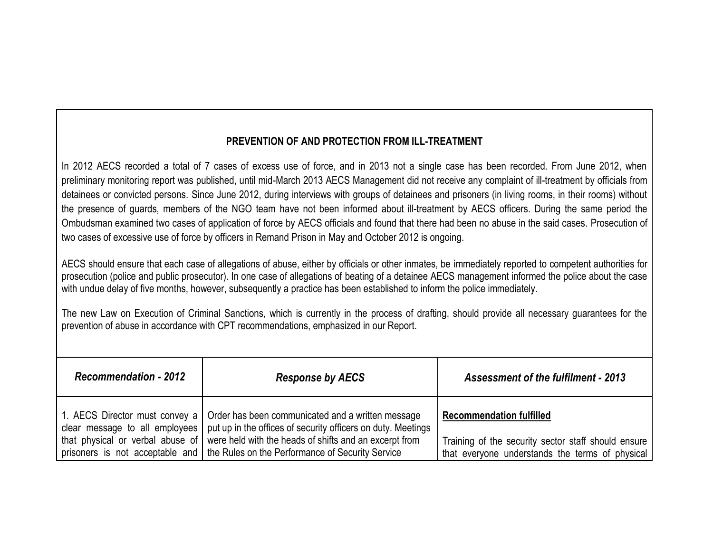# **PREVENTION OF AND PROTECTION FROM ILL-TREATMENT**

In 2012 AECS recorded a total of 7 cases of excess use of force, and in 2013 not a single case has been recorded. From June 2012, when preliminary monitoring report was published, until mid-March 2013 AECS Management did not receive any complaint of ill-treatment by officials from detainees or convicted persons. Since June 2012, during interviews with groups of detainees and prisoners (in living rooms, in their rooms) without the presence of guards, members of the NGO team have not been informed about ill-treatment by AECS officers. During the same period the Ombudsman examined two cases of application of force by AECS officials and found that there had been no abuse in the said cases. Prosecution of two cases of excessive use of force by officers in Remand Prison in May and October 2012 is ongoing.

AECS should ensure that each case of allegations of abuse, either by officials or other inmates, be immediately reported to competent authorities for prosecution (police and public prosecutor). In one case of allegations of beating of a detainee AECS management informed the police about the case with undue delay of five months, however, subsequently a practice has been established to inform the police immediately.

The new Law on Execution of Criminal Sanctions, which is currently in the process of drafting, should provide all necessary guarantees for the prevention of abuse in accordance with CPT recommendations, emphasized in our Report.

| <b>Recommendation - 2012</b> | <b>Response by AECS</b>                                                                                                                                                             | <b>Assessment of the fulfilment - 2013</b>                                                             |
|------------------------------|-------------------------------------------------------------------------------------------------------------------------------------------------------------------------------------|--------------------------------------------------------------------------------------------------------|
|                              | 1. AECS Director must convey a   Order has been communicated and a written message<br>clear message to all employees   put up in the offices of security officers on duty. Meetings | <b>Recommendation fulfilled</b>                                                                        |
|                              | that physical or verbal abuse of were held with the heads of shifts and an excerpt from<br>prisoners is not acceptable and   the Rules on the Performance of Security Service       | Training of the security sector staff should ensure<br>that everyone understands the terms of physical |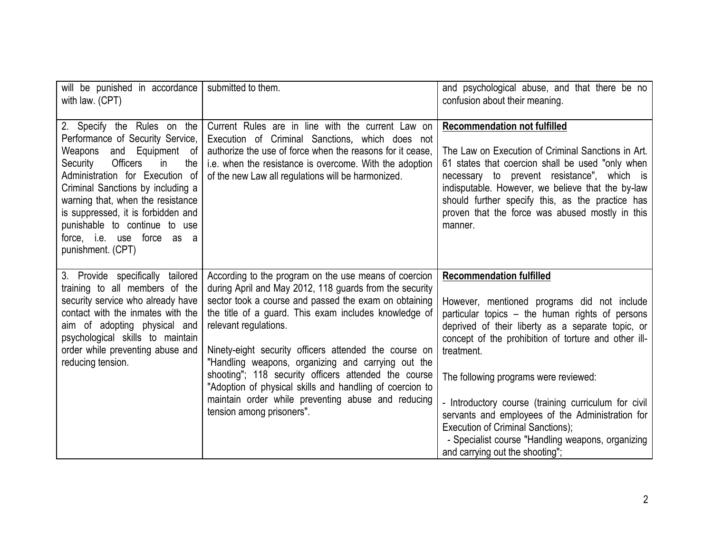| will be punished in accordance<br>with law. (CPT)                                                                                                                                                                                                                                                                                                                                         | submitted to them.                                                                                                                                                                                                                                                                                                                                                                                                                                                                                                                                                                | and psychological abuse, and that there be no<br>confusion about their meaning.                                                                                                                                                                                                                                                                                                                                                                                                                                                                |
|-------------------------------------------------------------------------------------------------------------------------------------------------------------------------------------------------------------------------------------------------------------------------------------------------------------------------------------------------------------------------------------------|-----------------------------------------------------------------------------------------------------------------------------------------------------------------------------------------------------------------------------------------------------------------------------------------------------------------------------------------------------------------------------------------------------------------------------------------------------------------------------------------------------------------------------------------------------------------------------------|------------------------------------------------------------------------------------------------------------------------------------------------------------------------------------------------------------------------------------------------------------------------------------------------------------------------------------------------------------------------------------------------------------------------------------------------------------------------------------------------------------------------------------------------|
| 2. Specify the Rules on the<br>Performance of Security Service,<br>Weapons and Equipment of<br>Security<br><b>Officers</b><br>$\mathsf{in}$<br>the<br>Administration for Execution of<br>Criminal Sanctions by including a<br>warning that, when the resistance<br>is suppressed, it is forbidden and<br>punishable to continue to use<br>force, i.e. use force as a<br>punishment. (CPT) | Current Rules are in line with the current Law on<br>Execution of Criminal Sanctions, which does not<br>authorize the use of force when the reasons for it cease,<br>i.e. when the resistance is overcome. With the adoption<br>of the new Law all regulations will be harmonized.                                                                                                                                                                                                                                                                                                | <b>Recommendation not fulfilled</b><br>The Law on Execution of Criminal Sanctions in Art.<br>61 states that coercion shall be used "only when<br>necessary to prevent resistance", which is<br>indisputable. However, we believe that the by-law<br>should further specify this, as the practice has<br>proven that the force was abused mostly in this<br>manner.                                                                                                                                                                             |
| 3. Provide specifically tailored<br>training to all members of the<br>security service who already have<br>contact with the inmates with the<br>aim of adopting physical and<br>psychological skills to maintain<br>order while preventing abuse and<br>reducing tension.                                                                                                                 | According to the program on the use means of coercion<br>during April and May 2012, 118 guards from the security<br>sector took a course and passed the exam on obtaining<br>the title of a guard. This exam includes knowledge of<br>relevant regulations.<br>Ninety-eight security officers attended the course on<br>"Handling weapons, organizing and carrying out the<br>shooting"; 118 security officers attended the course<br>"Adoption of physical skills and handling of coercion to<br>maintain order while preventing abuse and reducing<br>tension among prisoners". | <b>Recommendation fulfilled</b><br>However, mentioned programs did not include<br>particular topics – the human rights of persons<br>deprived of their liberty as a separate topic, or<br>concept of the prohibition of torture and other ill-<br>treatment.<br>The following programs were reviewed:<br>- Introductory course (training curriculum for civil<br>servants and employees of the Administration for<br>Execution of Criminal Sanctions);<br>- Specialist course "Handling weapons, organizing<br>and carrying out the shooting"; |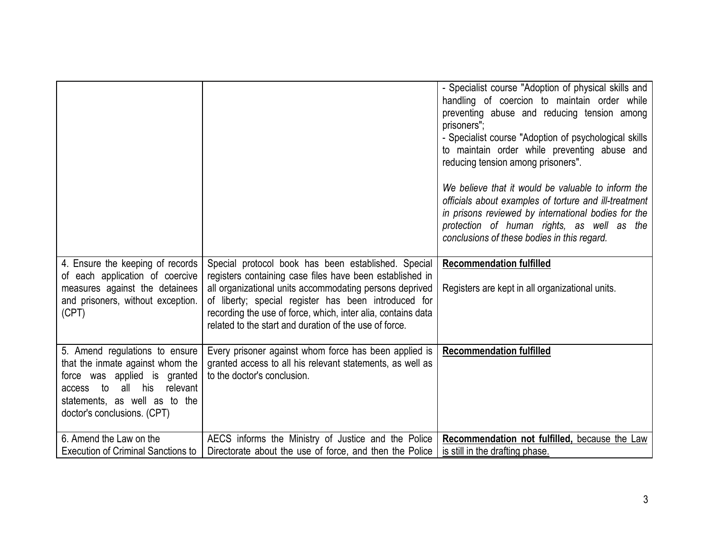|                                                                                                                                                                                                        |                                                                                                                                                                                                                                                                                                                                                              | - Specialist course "Adoption of physical skills and<br>handling of coercion to maintain order while<br>preventing abuse and reducing tension among<br>prisoners":<br>- Specialist course "Adoption of psychological skills<br>to maintain order while preventing abuse and<br>reducing tension among prisoners".<br>We believe that it would be valuable to inform the<br>officials about examples of torture and ill-treatment<br>in prisons reviewed by international bodies for the<br>protection of human rights, as well as the<br>conclusions of these bodies in this regard. |
|--------------------------------------------------------------------------------------------------------------------------------------------------------------------------------------------------------|--------------------------------------------------------------------------------------------------------------------------------------------------------------------------------------------------------------------------------------------------------------------------------------------------------------------------------------------------------------|--------------------------------------------------------------------------------------------------------------------------------------------------------------------------------------------------------------------------------------------------------------------------------------------------------------------------------------------------------------------------------------------------------------------------------------------------------------------------------------------------------------------------------------------------------------------------------------|
| 4. Ensure the keeping of records<br>of each application of coercive<br>measures against the detainees<br>and prisoners, without exception.<br>(CPT)                                                    | Special protocol book has been established. Special<br>registers containing case files have been established in<br>all organizational units accommodating persons deprived<br>of liberty; special register has been introduced for<br>recording the use of force, which, inter alia, contains data<br>related to the start and duration of the use of force. | <b>Recommendation fulfilled</b><br>Registers are kept in all organizational units.                                                                                                                                                                                                                                                                                                                                                                                                                                                                                                   |
| 5. Amend regulations to ensure<br>that the inmate against whom the<br>force was applied is granted<br>relevant<br>all his<br>access to<br>statements, as well as to the<br>doctor's conclusions. (CPT) | Every prisoner against whom force has been applied is<br>granted access to all his relevant statements, as well as<br>to the doctor's conclusion.                                                                                                                                                                                                            | <b>Recommendation fulfilled</b>                                                                                                                                                                                                                                                                                                                                                                                                                                                                                                                                                      |
| 6. Amend the Law on the<br><b>Execution of Criminal Sanctions to</b>                                                                                                                                   | AECS informs the Ministry of Justice and the Police<br>Directorate about the use of force, and then the Police   is still in the drafting phase.                                                                                                                                                                                                             | Recommendation not fulfilled, because the Law                                                                                                                                                                                                                                                                                                                                                                                                                                                                                                                                        |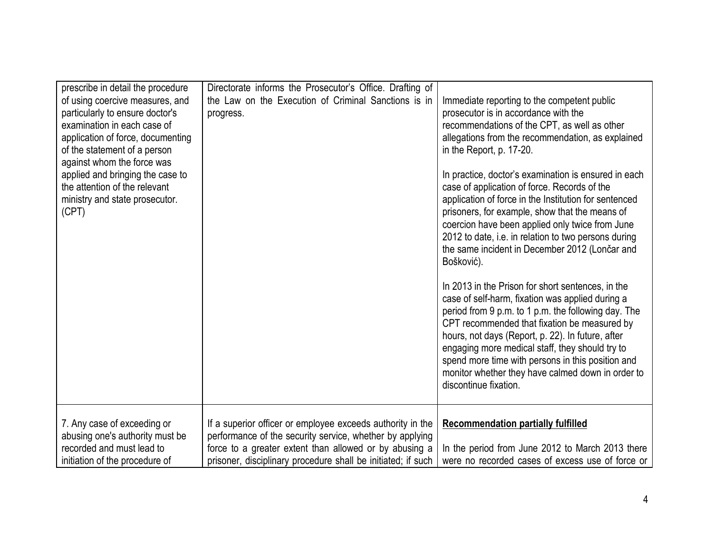| prescribe in detail the procedure<br>of using coercive measures, and<br>particularly to ensure doctor's<br>examination in each case of<br>application of force, documenting<br>of the statement of a person<br>against whom the force was<br>applied and bringing the case to<br>the attention of the relevant<br>ministry and state prosecutor.<br>(CPT) | Directorate informs the Prosecutor's Office. Drafting of<br>the Law on the Execution of Criminal Sanctions is in<br>progress.                                                                                                                    | Immediate reporting to the competent public<br>prosecutor is in accordance with the<br>recommendations of the CPT, as well as other<br>allegations from the recommendation, as explained<br>in the Report, p. 17-20.<br>In practice, doctor's examination is ensured in each<br>case of application of force. Records of the<br>application of force in the Institution for sentenced<br>prisoners, for example, show that the means of<br>coercion have been applied only twice from June<br>2012 to date, i.e. in relation to two persons during<br>the same incident in December 2012 (Lončar and<br>Bošković).<br>In 2013 in the Prison for short sentences, in the<br>case of self-harm, fixation was applied during a<br>period from 9 p.m. to 1 p.m. the following day. The<br>CPT recommended that fixation be measured by<br>hours, not days (Report, p. 22). In future, after<br>engaging more medical staff, they should try to<br>spend more time with persons in this position and<br>monitor whether they have calmed down in order to<br>discontinue fixation. |
|-----------------------------------------------------------------------------------------------------------------------------------------------------------------------------------------------------------------------------------------------------------------------------------------------------------------------------------------------------------|--------------------------------------------------------------------------------------------------------------------------------------------------------------------------------------------------------------------------------------------------|-------------------------------------------------------------------------------------------------------------------------------------------------------------------------------------------------------------------------------------------------------------------------------------------------------------------------------------------------------------------------------------------------------------------------------------------------------------------------------------------------------------------------------------------------------------------------------------------------------------------------------------------------------------------------------------------------------------------------------------------------------------------------------------------------------------------------------------------------------------------------------------------------------------------------------------------------------------------------------------------------------------------------------------------------------------------------------|
| 7. Any case of exceeding or<br>abusing one's authority must be<br>recorded and must lead to<br>initiation of the procedure of                                                                                                                                                                                                                             | If a superior officer or employee exceeds authority in the<br>performance of the security service, whether by applying<br>force to a greater extent than allowed or by abusing a<br>prisoner, disciplinary procedure shall be initiated; if such | <b>Recommendation partially fulfilled</b><br>In the period from June 2012 to March 2013 there<br>were no recorded cases of excess use of force or                                                                                                                                                                                                                                                                                                                                                                                                                                                                                                                                                                                                                                                                                                                                                                                                                                                                                                                             |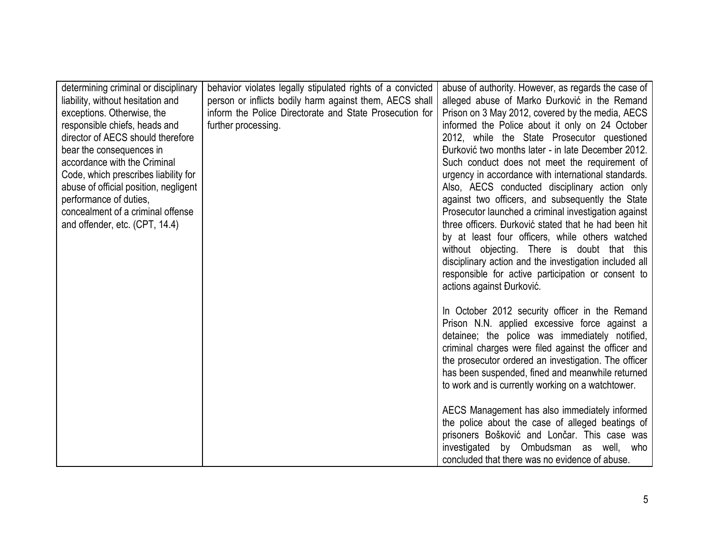| determining criminal or disciplinary  | behavior violates legally stipulated rights of a convicted | abuse of authority. However, as regards the case of                                               |
|---------------------------------------|------------------------------------------------------------|---------------------------------------------------------------------------------------------------|
| liability, without hesitation and     | person or inflicts bodily harm against them, AECS shall    | alleged abuse of Marko Đurković in the Remand                                                     |
| exceptions. Otherwise, the            | inform the Police Directorate and State Prosecution for    | Prison on 3 May 2012, covered by the media, AECS                                                  |
| responsible chiefs, heads and         | further processing.                                        | informed the Police about it only on 24 October                                                   |
| director of AECS should therefore     |                                                            | 2012, while the State Prosecutor questioned                                                       |
| bear the consequences in              |                                                            | Durković two months later - in late December 2012.                                                |
| accordance with the Criminal          |                                                            | Such conduct does not meet the requirement of                                                     |
| Code, which prescribes liability for  |                                                            | urgency in accordance with international standards.                                               |
| abuse of official position, negligent |                                                            | Also, AECS conducted disciplinary action only                                                     |
| performance of duties,                |                                                            | against two officers, and subsequently the State                                                  |
| concealment of a criminal offense     |                                                            | Prosecutor launched a criminal investigation against                                              |
| and offender, etc. (CPT, 14.4)        |                                                            | three officers. Đurković stated that he had been hit                                              |
|                                       |                                                            | by at least four officers, while others watched                                                   |
|                                       |                                                            | without objecting. There is doubt that this                                                       |
|                                       |                                                            | disciplinary action and the investigation included all                                            |
|                                       |                                                            | responsible for active participation or consent to                                                |
|                                       |                                                            | actions against Durković.                                                                         |
|                                       |                                                            |                                                                                                   |
|                                       |                                                            | In October 2012 security officer in the Remand                                                    |
|                                       |                                                            | Prison N.N. applied excessive force against a                                                     |
|                                       |                                                            | detainee; the police was immediately notified,                                                    |
|                                       |                                                            | criminal charges were filed against the officer and                                               |
|                                       |                                                            | the prosecutor ordered an investigation. The officer                                              |
|                                       |                                                            | has been suspended, fined and meanwhile returned                                                  |
|                                       |                                                            | to work and is currently working on a watchtower.                                                 |
|                                       |                                                            |                                                                                                   |
|                                       |                                                            | AECS Management has also immediately informed<br>the police about the case of alleged beatings of |
|                                       |                                                            | prisoners Bošković and Lončar. This case was                                                      |
|                                       |                                                            | investigated by Ombudsman as well, who                                                            |
|                                       |                                                            | concluded that there was no evidence of abuse.                                                    |
|                                       |                                                            |                                                                                                   |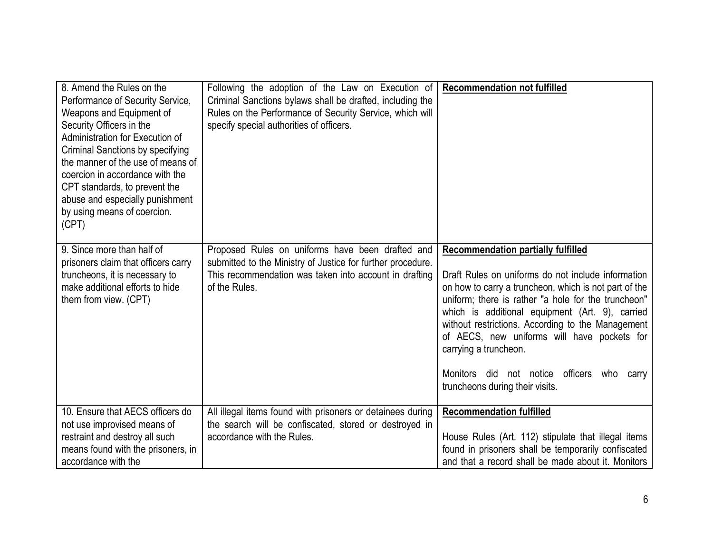| 8. Amend the Rules on the<br>Performance of Security Service,<br>Weapons and Equipment of<br>Security Officers in the<br>Administration for Execution of<br>Criminal Sanctions by specifying<br>the manner of the use of means of<br>coercion in accordance with the<br>CPT standards, to prevent the<br>abuse and especially punishment<br>by using means of coercion.<br>(CPT) | Following the adoption of the Law on Execution of<br>Criminal Sanctions bylaws shall be drafted, including the<br>Rules on the Performance of Security Service, which will<br>specify special authorities of officers. | <b>Recommendation not fulfilled</b>                                                                                                                                                                                                                                                                                                                                                                                                                                                    |
|----------------------------------------------------------------------------------------------------------------------------------------------------------------------------------------------------------------------------------------------------------------------------------------------------------------------------------------------------------------------------------|------------------------------------------------------------------------------------------------------------------------------------------------------------------------------------------------------------------------|----------------------------------------------------------------------------------------------------------------------------------------------------------------------------------------------------------------------------------------------------------------------------------------------------------------------------------------------------------------------------------------------------------------------------------------------------------------------------------------|
| 9. Since more than half of<br>prisoners claim that officers carry<br>truncheons, it is necessary to<br>make additional efforts to hide<br>them from view. (CPT)                                                                                                                                                                                                                  | Proposed Rules on uniforms have been drafted and<br>submitted to the Ministry of Justice for further procedure.<br>This recommendation was taken into account in drafting<br>of the Rules.                             | <b>Recommendation partially fulfilled</b><br>Draft Rules on uniforms do not include information<br>on how to carry a truncheon, which is not part of the<br>uniform; there is rather "a hole for the truncheon"<br>which is additional equipment (Art. 9), carried<br>without restrictions. According to the Management<br>of AECS, new uniforms will have pockets for<br>carrying a truncheon.<br>Monitors did not notice officers<br>who<br>carry<br>truncheons during their visits. |
| 10. Ensure that AECS officers do<br>not use improvised means of<br>restraint and destroy all such<br>means found with the prisoners, in<br>accordance with the                                                                                                                                                                                                                   | All illegal items found with prisoners or detainees during<br>the search will be confiscated, stored or destroyed in<br>accordance with the Rules.                                                                     | <b>Recommendation fulfilled</b><br>House Rules (Art. 112) stipulate that illegal items<br>found in prisoners shall be temporarily confiscated<br>and that a record shall be made about it. Monitors                                                                                                                                                                                                                                                                                    |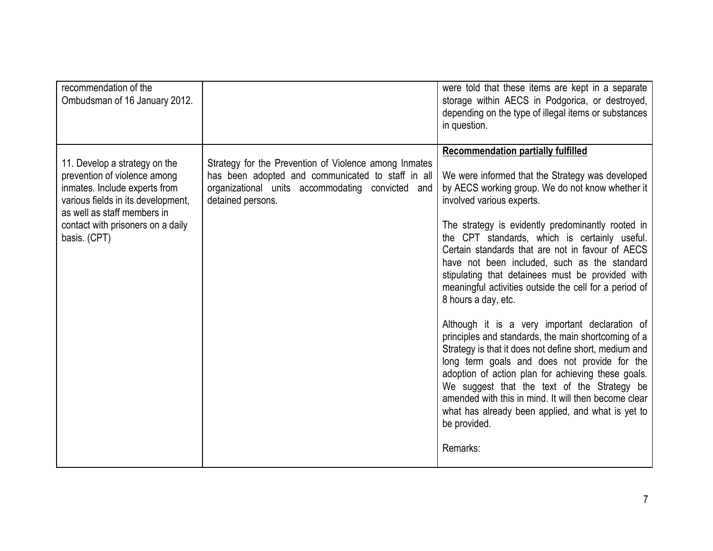| recommendation of the<br>Ombudsman of 16 January 2012.                                                                                                                                                                   |                                                                                                                                                                                     | were told that these items are kept in a separate<br>storage within AECS in Podgorica, or destroyed,<br>depending on the type of illegal items or substances<br>in question.                                                                                                                                                                                                                                                                                                                                                                                                                                                                                                                                                                                                                                                                                                                                                                                                                  |
|--------------------------------------------------------------------------------------------------------------------------------------------------------------------------------------------------------------------------|-------------------------------------------------------------------------------------------------------------------------------------------------------------------------------------|-----------------------------------------------------------------------------------------------------------------------------------------------------------------------------------------------------------------------------------------------------------------------------------------------------------------------------------------------------------------------------------------------------------------------------------------------------------------------------------------------------------------------------------------------------------------------------------------------------------------------------------------------------------------------------------------------------------------------------------------------------------------------------------------------------------------------------------------------------------------------------------------------------------------------------------------------------------------------------------------------|
| 11. Develop a strategy on the<br>prevention of violence among<br>inmates. Include experts from<br>various fields in its development,<br>as well as staff members in<br>contact with prisoners on a daily<br>basis. (CPT) | Strategy for the Prevention of Violence among Inmates<br>has been adopted and communicated to staff in all<br>organizational units accommodating convicted and<br>detained persons. | <b>Recommendation partially fulfilled</b><br>We were informed that the Strategy was developed<br>by AECS working group. We do not know whether it<br>involved various experts.<br>The strategy is evidently predominantly rooted in<br>the CPT standards, which is certainly useful.<br>Certain standards that are not in favour of AECS<br>have not been included, such as the standard<br>stipulating that detainees must be provided with<br>meaningful activities outside the cell for a period of<br>8 hours a day, etc.<br>Although it is a very important declaration of<br>principles and standards, the main shortcoming of a<br>Strategy is that it does not define short, medium and<br>long term goals and does not provide for the<br>adoption of action plan for achieving these goals.<br>We suggest that the text of the Strategy be<br>amended with this in mind. It will then become clear<br>what has already been applied, and what is yet to<br>be provided.<br>Remarks: |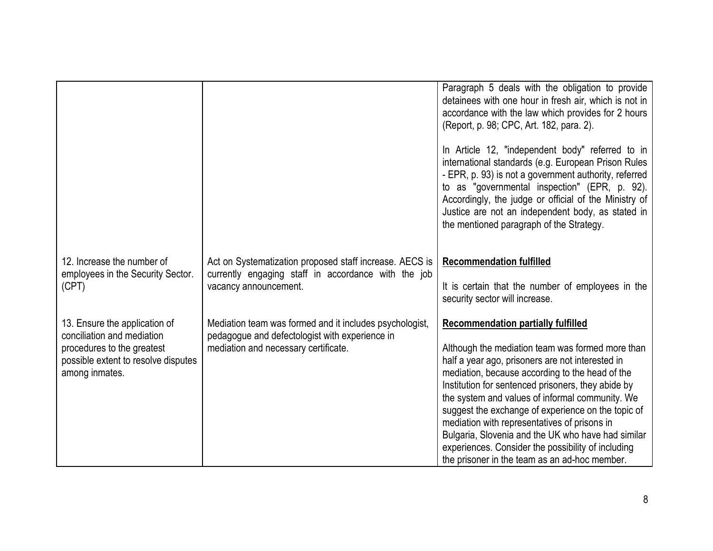|                                                                                                                                                    |                                                                                                                                                   | Paragraph 5 deals with the obligation to provide<br>detainees with one hour in fresh air, which is not in<br>accordance with the law which provides for 2 hours<br>(Report, p. 98; CPC, Art. 182, para. 2).<br>In Article 12, "independent body" referred to in<br>international standards (e.g. European Prison Rules<br>- EPR, p. 93) is not a government authority, referred<br>to as "governmental inspection" (EPR, p. 92).<br>Accordingly, the judge or official of the Ministry of<br>Justice are not an independent body, as stated in<br>the mentioned paragraph of the Strategy. |
|----------------------------------------------------------------------------------------------------------------------------------------------------|---------------------------------------------------------------------------------------------------------------------------------------------------|--------------------------------------------------------------------------------------------------------------------------------------------------------------------------------------------------------------------------------------------------------------------------------------------------------------------------------------------------------------------------------------------------------------------------------------------------------------------------------------------------------------------------------------------------------------------------------------------|
| 12. Increase the number of<br>employees in the Security Sector.<br>(CPT)                                                                           | Act on Systematization proposed staff increase. AECS is<br>currently engaging staff in accordance with the job<br>vacancy announcement.           | <b>Recommendation fulfilled</b><br>It is certain that the number of employees in the<br>security sector will increase.                                                                                                                                                                                                                                                                                                                                                                                                                                                                     |
| 13. Ensure the application of<br>conciliation and mediation<br>procedures to the greatest<br>possible extent to resolve disputes<br>among inmates. | Mediation team was formed and it includes psychologist,<br>pedagogue and defectologist with experience in<br>mediation and necessary certificate. | <b>Recommendation partially fulfilled</b><br>Although the mediation team was formed more than<br>half a year ago, prisoners are not interested in<br>mediation, because according to the head of the<br>Institution for sentenced prisoners, they abide by<br>the system and values of informal community. We<br>suggest the exchange of experience on the topic of<br>mediation with representatives of prisons in<br>Bulgaria, Slovenia and the UK who have had similar<br>experiences. Consider the possibility of including<br>the prisoner in the team as an ad-hoc member.           |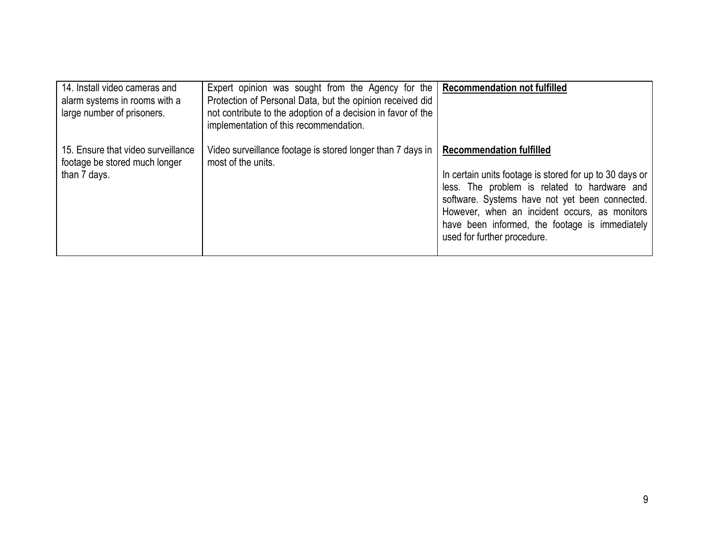| 14. Install video cameras and<br>alarm systems in rooms with a<br>large number of prisoners. | Expert opinion was sought from the Agency for the   Recommendation not fulfilled<br>Protection of Personal Data, but the opinion received did<br>not contribute to the adoption of a decision in favor of the<br>implementation of this recommendation. |                                                                                                                                                                                                                                                                                                                                |
|----------------------------------------------------------------------------------------------|---------------------------------------------------------------------------------------------------------------------------------------------------------------------------------------------------------------------------------------------------------|--------------------------------------------------------------------------------------------------------------------------------------------------------------------------------------------------------------------------------------------------------------------------------------------------------------------------------|
| 15. Ensure that video surveillance<br>footage be stored much longer<br>than 7 days.          | Video surveillance footage is stored longer than 7 days in  <br>most of the units.                                                                                                                                                                      | <b>Recommendation fulfilled</b><br>In certain units footage is stored for up to 30 days or<br>less. The problem is related to hardware and<br>software. Systems have not yet been connected.<br>However, when an incident occurs, as monitors<br>have been informed, the footage is immediately<br>used for further procedure. |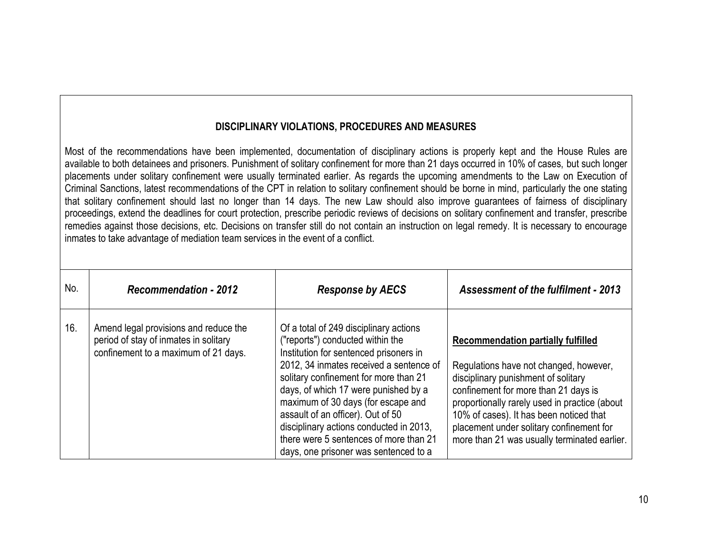#### **DISCIPLINARY VIOLATIONS, PROCEDURES AND MEASURES**

Most of the recommendations have been implemented, documentation of disciplinary actions is properly kept and the House Rules are available to both detainees and prisoners. Punishment of solitary confinement for more than 21 days occurred in 10% of cases, but such longer placements under solitary confinement were usually terminated earlier. As regards the upcoming amendments to the Law on Execution of Criminal Sanctions, latest recommendations of the CPT in relation to solitary confinement should be borne in mind, particularly the one stating that solitary confinement should last no longer than 14 days. The new Law should also improve guarantees of fairness of disciplinary proceedings, extend the deadlines for court protection, prescribe periodic reviews of decisions on solitary confinement and transfer, prescribe remedies against those decisions, etc. Decisions on transfer still do not contain an instruction on legal remedy. It is necessary to encourage inmates to take advantage of mediation team services in the event of a conflict.

| No. | <b>Recommendation - 2012</b>                                                                                           | <b>Response by AECS</b>                                                                                                                                                                                                                                                                                                                                                                                                                                   | <b>Assessment of the fulfilment - 2013</b>                                                                                                                                                                                                                                                                                                                 |
|-----|------------------------------------------------------------------------------------------------------------------------|-----------------------------------------------------------------------------------------------------------------------------------------------------------------------------------------------------------------------------------------------------------------------------------------------------------------------------------------------------------------------------------------------------------------------------------------------------------|------------------------------------------------------------------------------------------------------------------------------------------------------------------------------------------------------------------------------------------------------------------------------------------------------------------------------------------------------------|
| 16. | Amend legal provisions and reduce the<br>period of stay of inmates in solitary<br>confinement to a maximum of 21 days. | Of a total of 249 disciplinary actions<br>("reports") conducted within the<br>Institution for sentenced prisoners in<br>2012, 34 inmates received a sentence of<br>solitary confinement for more than 21<br>days, of which 17 were punished by a<br>maximum of 30 days (for escape and<br>assault of an officer). Out of 50<br>disciplinary actions conducted in 2013,<br>there were 5 sentences of more than 21<br>days, one prisoner was sentenced to a | <b>Recommendation partially fulfilled</b><br>Regulations have not changed, however,<br>disciplinary punishment of solitary<br>confinement for more than 21 days is<br>proportionally rarely used in practice (about<br>10% of cases). It has been noticed that<br>placement under solitary confinement for<br>more than 21 was usually terminated earlier. |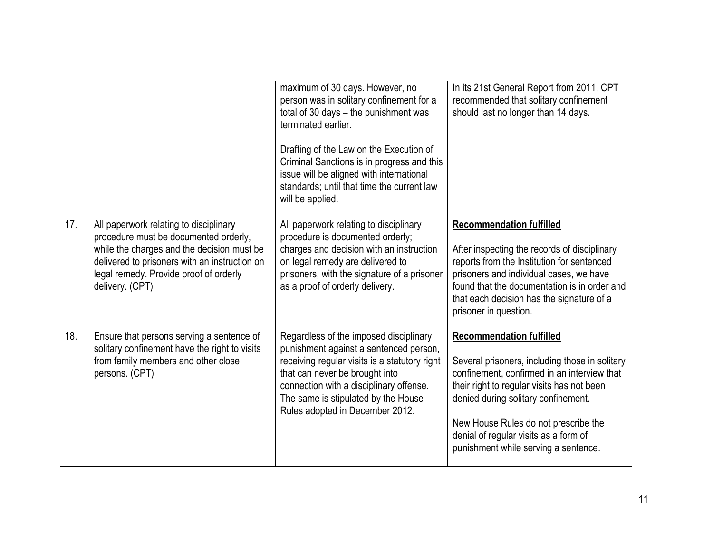|     |                                                                                                                                                                                                                                             | maximum of 30 days. However, no<br>person was in solitary confinement for a<br>total of 30 days - the punishment was<br>terminated earlier.<br>Drafting of the Law on the Execution of<br>Criminal Sanctions is in progress and this<br>issue will be aligned with international<br>standards; until that time the current law<br>will be applied. | In its 21st General Report from 2011, CPT<br>recommended that solitary confinement<br>should last no longer than 14 days.                                                                                                                                                                                                                      |
|-----|---------------------------------------------------------------------------------------------------------------------------------------------------------------------------------------------------------------------------------------------|----------------------------------------------------------------------------------------------------------------------------------------------------------------------------------------------------------------------------------------------------------------------------------------------------------------------------------------------------|------------------------------------------------------------------------------------------------------------------------------------------------------------------------------------------------------------------------------------------------------------------------------------------------------------------------------------------------|
| 17. | All paperwork relating to disciplinary<br>procedure must be documented orderly,<br>while the charges and the decision must be<br>delivered to prisoners with an instruction on<br>legal remedy. Provide proof of orderly<br>delivery. (CPT) | All paperwork relating to disciplinary<br>procedure is documented orderly;<br>charges and decision with an instruction<br>on legal remedy are delivered to<br>prisoners, with the signature of a prisoner<br>as a proof of orderly delivery.                                                                                                       | <b>Recommendation fulfilled</b><br>After inspecting the records of disciplinary<br>reports from the Institution for sentenced<br>prisoners and individual cases, we have<br>found that the documentation is in order and<br>that each decision has the signature of a<br>prisoner in question.                                                 |
| 18. | Ensure that persons serving a sentence of<br>solitary confinement have the right to visits<br>from family members and other close<br>persons. (CPT)                                                                                         | Regardless of the imposed disciplinary<br>punishment against a sentenced person,<br>receiving regular visits is a statutory right<br>that can never be brought into<br>connection with a disciplinary offense.<br>The same is stipulated by the House<br>Rules adopted in December 2012.                                                           | <b>Recommendation fulfilled</b><br>Several prisoners, including those in solitary<br>confinement, confirmed in an interview that<br>their right to regular visits has not been<br>denied during solitary confinement.<br>New House Rules do not prescribe the<br>denial of regular visits as a form of<br>punishment while serving a sentence. |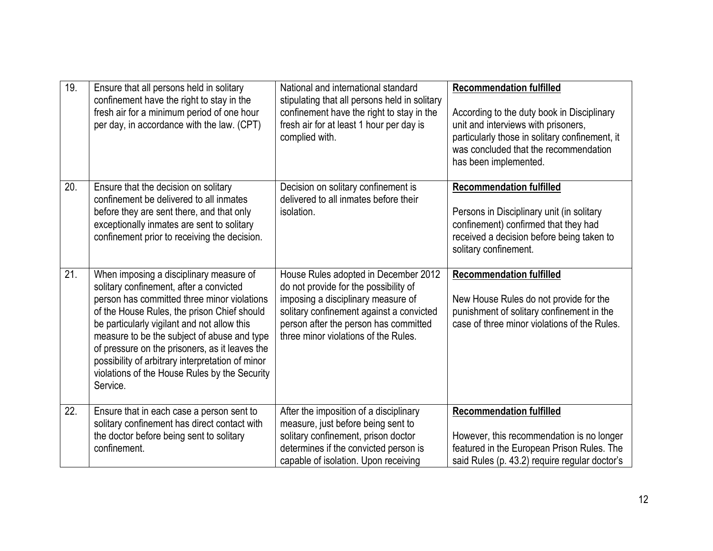| 19. | Ensure that all persons held in solitary<br>confinement have the right to stay in the<br>fresh air for a minimum period of one hour<br>per day, in accordance with the law. (CPT)                                                                                                                                                                                                                                                                 | National and international standard<br>stipulating that all persons held in solitary<br>confinement have the right to stay in the<br>fresh air for at least 1 hour per day is<br>complied with.                                                  | <b>Recommendation fulfilled</b><br>According to the duty book in Disciplinary<br>unit and interviews with prisoners,<br>particularly those in solitary confinement, it<br>was concluded that the recommendation<br>has been implemented. |
|-----|---------------------------------------------------------------------------------------------------------------------------------------------------------------------------------------------------------------------------------------------------------------------------------------------------------------------------------------------------------------------------------------------------------------------------------------------------|--------------------------------------------------------------------------------------------------------------------------------------------------------------------------------------------------------------------------------------------------|------------------------------------------------------------------------------------------------------------------------------------------------------------------------------------------------------------------------------------------|
| 20. | Ensure that the decision on solitary<br>confinement be delivered to all inmates<br>before they are sent there, and that only<br>exceptionally inmates are sent to solitary<br>confinement prior to receiving the decision.                                                                                                                                                                                                                        | Decision on solitary confinement is<br>delivered to all inmates before their<br>isolation.                                                                                                                                                       | <b>Recommendation fulfilled</b><br>Persons in Disciplinary unit (in solitary<br>confinement) confirmed that they had<br>received a decision before being taken to<br>solitary confinement.                                               |
| 21. | When imposing a disciplinary measure of<br>solitary confinement, after a convicted<br>person has committed three minor violations<br>of the House Rules, the prison Chief should<br>be particularly vigilant and not allow this<br>measure to be the subject of abuse and type<br>of pressure on the prisoners, as it leaves the<br>possibility of arbitrary interpretation of minor<br>violations of the House Rules by the Security<br>Service. | House Rules adopted in December 2012<br>do not provide for the possibility of<br>imposing a disciplinary measure of<br>solitary confinement against a convicted<br>person after the person has committed<br>three minor violations of the Rules. | <b>Recommendation fulfilled</b><br>New House Rules do not provide for the<br>punishment of solitary confinement in the<br>case of three minor violations of the Rules.                                                                   |
| 22. | Ensure that in each case a person sent to<br>solitary confinement has direct contact with<br>the doctor before being sent to solitary<br>confinement.                                                                                                                                                                                                                                                                                             | After the imposition of a disciplinary<br>measure, just before being sent to<br>solitary confinement, prison doctor<br>determines if the convicted person is<br>capable of isolation. Upon receiving                                             | <b>Recommendation fulfilled</b><br>However, this recommendation is no longer<br>featured in the European Prison Rules. The<br>said Rules (p. 43.2) require regular doctor's                                                              |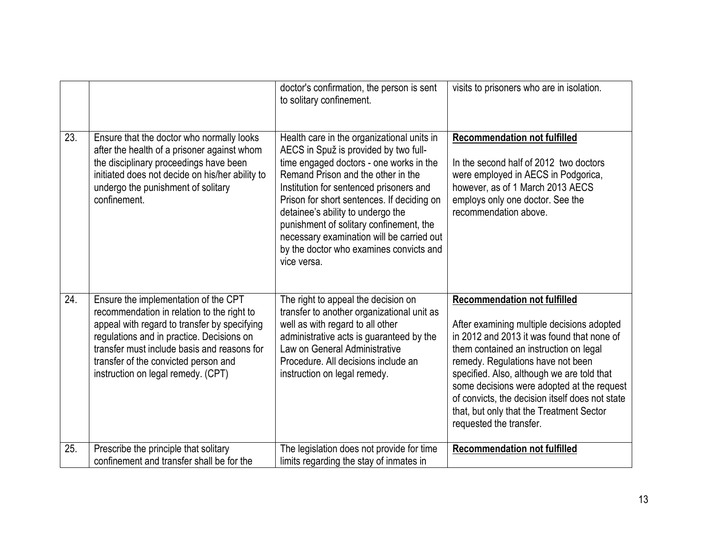|     |                                                                                                                                                                                                                                                                                                              | doctor's confirmation, the person is sent<br>to solitary confinement.                                                                                                                                                                                                                                                                                                                                                                                | visits to prisoners who are in isolation.                                                                                                                                                                                                                                                                                                                                                                                            |
|-----|--------------------------------------------------------------------------------------------------------------------------------------------------------------------------------------------------------------------------------------------------------------------------------------------------------------|------------------------------------------------------------------------------------------------------------------------------------------------------------------------------------------------------------------------------------------------------------------------------------------------------------------------------------------------------------------------------------------------------------------------------------------------------|--------------------------------------------------------------------------------------------------------------------------------------------------------------------------------------------------------------------------------------------------------------------------------------------------------------------------------------------------------------------------------------------------------------------------------------|
| 23. | Ensure that the doctor who normally looks<br>after the health of a prisoner against whom<br>the disciplinary proceedings have been<br>initiated does not decide on his/her ability to<br>undergo the punishment of solitary<br>confinement.                                                                  | Health care in the organizational units in<br>AECS in Spuž is provided by two full-<br>time engaged doctors - one works in the<br>Remand Prison and the other in the<br>Institution for sentenced prisoners and<br>Prison for short sentences. If deciding on<br>detainee's ability to undergo the<br>punishment of solitary confinement, the<br>necessary examination will be carried out<br>by the doctor who examines convicts and<br>vice versa. | <b>Recommendation not fulfilled</b><br>In the second half of 2012 two doctors<br>were employed in AECS in Podgorica,<br>however, as of 1 March 2013 AECS<br>employs only one doctor. See the<br>recommendation above.                                                                                                                                                                                                                |
| 24. | Ensure the implementation of the CPT<br>recommendation in relation to the right to<br>appeal with regard to transfer by specifying<br>regulations and in practice. Decisions on<br>transfer must include basis and reasons for<br>transfer of the convicted person and<br>instruction on legal remedy. (CPT) | The right to appeal the decision on<br>transfer to another organizational unit as<br>well as with regard to all other<br>administrative acts is guaranteed by the<br>Law on General Administrative<br>Procedure. All decisions include an<br>instruction on legal remedy.                                                                                                                                                                            | <b>Recommendation not fulfilled</b><br>After examining multiple decisions adopted<br>in 2012 and 2013 it was found that none of<br>them contained an instruction on legal<br>remedy. Regulations have not been<br>specified. Also, although we are told that<br>some decisions were adopted at the request<br>of convicts, the decision itself does not state<br>that, but only that the Treatment Sector<br>requested the transfer. |
| 25. | Prescribe the principle that solitary<br>confinement and transfer shall be for the                                                                                                                                                                                                                           | The legislation does not provide for time<br>limits regarding the stay of inmates in                                                                                                                                                                                                                                                                                                                                                                 | <b>Recommendation not fulfilled</b>                                                                                                                                                                                                                                                                                                                                                                                                  |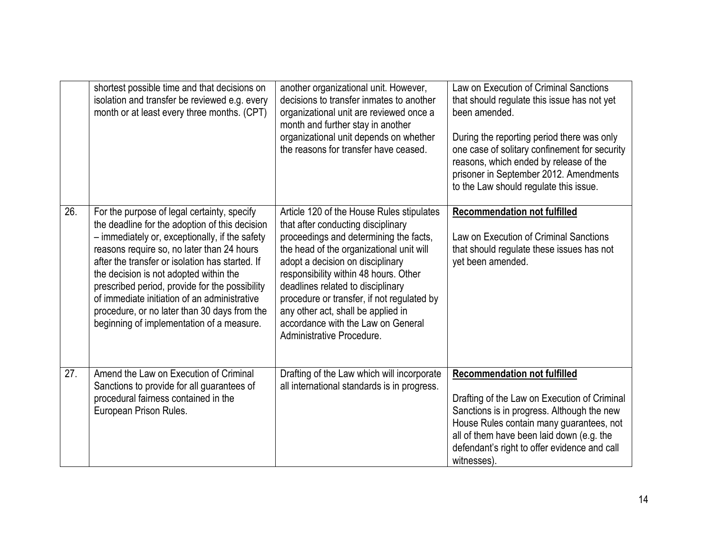|     | shortest possible time and that decisions on<br>isolation and transfer be reviewed e.g. every<br>month or at least every three months. (CPT)                                                                                                                                                                                                                                                                                                                                              | another organizational unit. However,<br>decisions to transfer inmates to another<br>organizational unit are reviewed once a<br>month and further stay in another<br>organizational unit depends on whether<br>the reasons for transfer have ceased.                                                                                                                                                                                           | Law on Execution of Criminal Sanctions<br>that should regulate this issue has not yet<br>been amended.<br>During the reporting period there was only<br>one case of solitary confinement for security<br>reasons, which ended by release of the<br>prisoner in September 2012. Amendments<br>to the Law should regulate this issue. |
|-----|-------------------------------------------------------------------------------------------------------------------------------------------------------------------------------------------------------------------------------------------------------------------------------------------------------------------------------------------------------------------------------------------------------------------------------------------------------------------------------------------|------------------------------------------------------------------------------------------------------------------------------------------------------------------------------------------------------------------------------------------------------------------------------------------------------------------------------------------------------------------------------------------------------------------------------------------------|-------------------------------------------------------------------------------------------------------------------------------------------------------------------------------------------------------------------------------------------------------------------------------------------------------------------------------------|
| 26. | For the purpose of legal certainty, specify<br>the deadline for the adoption of this decision<br>- immediately or, exceptionally, if the safety<br>reasons require so, no later than 24 hours<br>after the transfer or isolation has started. If<br>the decision is not adopted within the<br>prescribed period, provide for the possibility<br>of immediate initiation of an administrative<br>procedure, or no later than 30 days from the<br>beginning of implementation of a measure. | Article 120 of the House Rules stipulates<br>that after conducting disciplinary<br>proceedings and determining the facts,<br>the head of the organizational unit will<br>adopt a decision on disciplinary<br>responsibility within 48 hours. Other<br>deadlines related to disciplinary<br>procedure or transfer, if not regulated by<br>any other act, shall be applied in<br>accordance with the Law on General<br>Administrative Procedure. | <b>Recommendation not fulfilled</b><br>Law on Execution of Criminal Sanctions<br>that should regulate these issues has not<br>yet been amended.                                                                                                                                                                                     |
| 27. | Amend the Law on Execution of Criminal<br>Sanctions to provide for all guarantees of<br>procedural fairness contained in the<br>European Prison Rules.                                                                                                                                                                                                                                                                                                                                    | Drafting of the Law which will incorporate<br>all international standards is in progress.                                                                                                                                                                                                                                                                                                                                                      | <b>Recommendation not fulfilled</b><br>Drafting of the Law on Execution of Criminal<br>Sanctions is in progress. Although the new<br>House Rules contain many guarantees, not<br>all of them have been laid down (e.g. the<br>defendant's right to offer evidence and call<br>witnesses).                                           |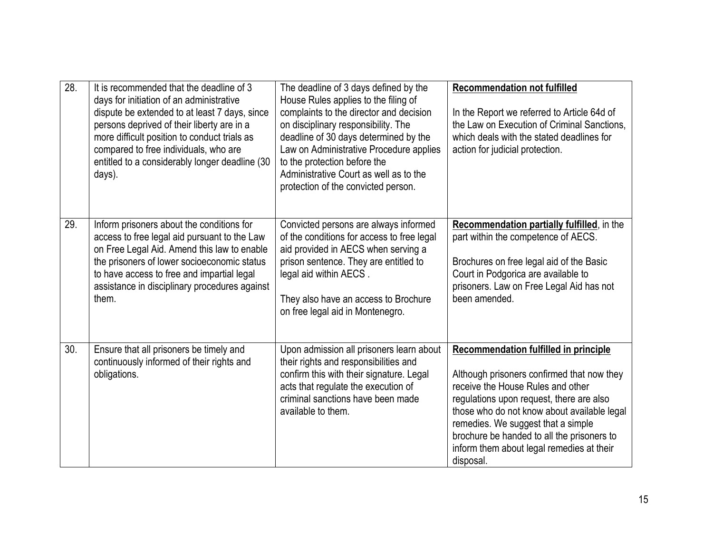| 28. | It is recommended that the deadline of 3<br>days for initiation of an administrative<br>dispute be extended to at least 7 days, since<br>persons deprived of their liberty are in a<br>more difficult position to conduct trials as<br>compared to free individuals, who are<br>entitled to a considerably longer deadline (30<br>days). | The deadline of 3 days defined by the<br>House Rules applies to the filing of<br>complaints to the director and decision<br>on disciplinary responsibility. The<br>deadline of 30 days determined by the<br>Law on Administrative Procedure applies<br>to the protection before the<br>Administrative Court as well as to the<br>protection of the convicted person. | <b>Recommendation not fulfilled</b><br>In the Report we referred to Article 64d of<br>the Law on Execution of Criminal Sanctions,<br>which deals with the stated deadlines for<br>action for judicial protection.                                                                                                                                                        |
|-----|------------------------------------------------------------------------------------------------------------------------------------------------------------------------------------------------------------------------------------------------------------------------------------------------------------------------------------------|----------------------------------------------------------------------------------------------------------------------------------------------------------------------------------------------------------------------------------------------------------------------------------------------------------------------------------------------------------------------|--------------------------------------------------------------------------------------------------------------------------------------------------------------------------------------------------------------------------------------------------------------------------------------------------------------------------------------------------------------------------|
| 29. | Inform prisoners about the conditions for<br>access to free legal aid pursuant to the Law<br>on Free Legal Aid. Amend this law to enable<br>the prisoners of lower socioeconomic status<br>to have access to free and impartial legal<br>assistance in disciplinary procedures against<br>them.                                          | Convicted persons are always informed<br>of the conditions for access to free legal<br>aid provided in AECS when serving a<br>prison sentence. They are entitled to<br>legal aid within AECS.<br>They also have an access to Brochure<br>on free legal aid in Montenegro.                                                                                            | Recommendation partially fulfilled, in the<br>part within the competence of AECS.<br>Brochures on free legal aid of the Basic<br>Court in Podgorica are available to<br>prisoners. Law on Free Legal Aid has not<br>been amended.                                                                                                                                        |
| 30. | Ensure that all prisoners be timely and<br>continuously informed of their rights and<br>obligations.                                                                                                                                                                                                                                     | Upon admission all prisoners learn about<br>their rights and responsibilities and<br>confirm this with their signature. Legal<br>acts that regulate the execution of<br>criminal sanctions have been made<br>available to them.                                                                                                                                      | <b>Recommendation fulfilled in principle</b><br>Although prisoners confirmed that now they<br>receive the House Rules and other<br>regulations upon request, there are also<br>those who do not know about available legal<br>remedies. We suggest that a simple<br>brochure be handed to all the prisoners to<br>inform them about legal remedies at their<br>disposal. |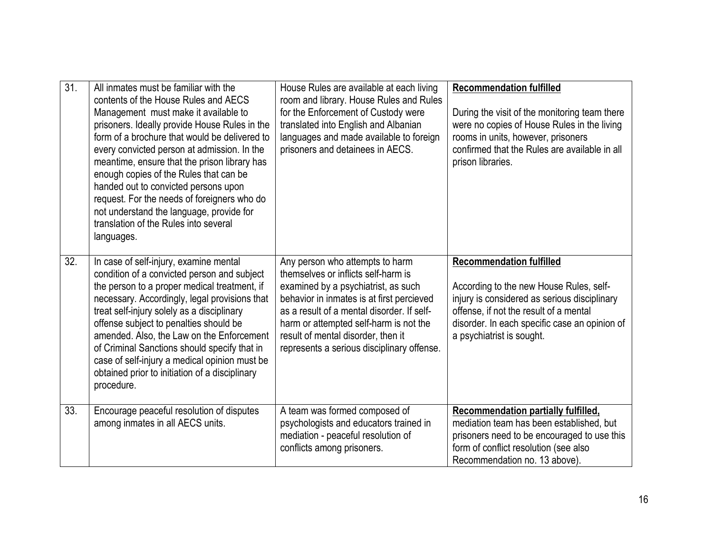| $\overline{31}$ . | All inmates must be familiar with the<br>contents of the House Rules and AECS<br>Management must make it available to<br>prisoners. Ideally provide House Rules in the<br>form of a brochure that would be delivered to<br>every convicted person at admission. In the<br>meantime, ensure that the prison library has<br>enough copies of the Rules that can be<br>handed out to convicted persons upon<br>request. For the needs of foreigners who do<br>not understand the language, provide for<br>translation of the Rules into several<br>languages. | House Rules are available at each living<br>room and library. House Rules and Rules<br>for the Enforcement of Custody were<br>translated into English and Albanian<br>languages and made available to foreign<br>prisoners and detainees in AECS.                                                                                      | <b>Recommendation fulfilled</b><br>During the visit of the monitoring team there<br>were no copies of House Rules in the living<br>rooms in units, however, prisoners<br>confirmed that the Rules are available in all<br>prison libraries.        |
|-------------------|------------------------------------------------------------------------------------------------------------------------------------------------------------------------------------------------------------------------------------------------------------------------------------------------------------------------------------------------------------------------------------------------------------------------------------------------------------------------------------------------------------------------------------------------------------|----------------------------------------------------------------------------------------------------------------------------------------------------------------------------------------------------------------------------------------------------------------------------------------------------------------------------------------|----------------------------------------------------------------------------------------------------------------------------------------------------------------------------------------------------------------------------------------------------|
| 32.               | In case of self-injury, examine mental<br>condition of a convicted person and subject<br>the person to a proper medical treatment, if<br>necessary. Accordingly, legal provisions that<br>treat self-injury solely as a disciplinary<br>offense subject to penalties should be<br>amended. Also, the Law on the Enforcement<br>of Criminal Sanctions should specify that in<br>case of self-injury a medical opinion must be<br>obtained prior to initiation of a disciplinary<br>procedure.                                                               | Any person who attempts to harm<br>themselves or inflicts self-harm is<br>examined by a psychiatrist, as such<br>behavior in inmates is at first percieved<br>as a result of a mental disorder. If self-<br>harm or attempted self-harm is not the<br>result of mental disorder, then it<br>represents a serious disciplinary offense. | <b>Recommendation fulfilled</b><br>According to the new House Rules, self-<br>injury is considered as serious disciplinary<br>offense, if not the result of a mental<br>disorder. In each specific case an opinion of<br>a psychiatrist is sought. |
| 33.               | Encourage peaceful resolution of disputes<br>among inmates in all AECS units.                                                                                                                                                                                                                                                                                                                                                                                                                                                                              | A team was formed composed of<br>psychologists and educators trained in<br>mediation - peaceful resolution of<br>conflicts among prisoners.                                                                                                                                                                                            | Recommendation partially fulfilled,<br>mediation team has been established, but<br>prisoners need to be encouraged to use this<br>form of conflict resolution (see also<br>Recommendation no. 13 above).                                           |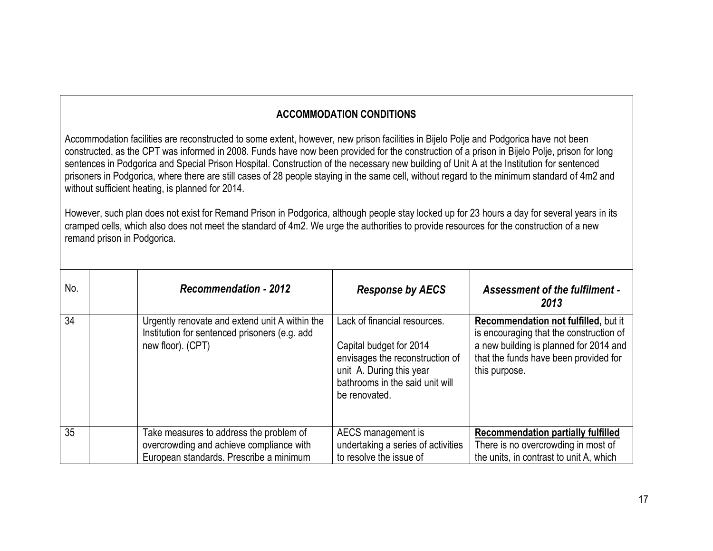## **ACCOMMODATION CONDITIONS**

Accommodation facilities are reconstructed to some extent, however, new prison facilities in Bijelo Polje and Podgorica have not been constructed, as the CPT was informed in 2008. Funds have now been provided for the construction of a prison in Bijelo Polje, prison for long sentences in Podgorica and Special Prison Hospital. Construction of the necessary new building of Unit A at the Institution for sentenced prisoners in Podgorica, where there are still cases of 28 people staying in the same cell, without regard to the minimum standard of 4m2 and without sufficient heating, is planned for 2014.

However, such plan does not exist for Remand Prison in Podgorica, although people stay locked up for 23 hours a day for several years in its cramped cells, which also does not meet the standard of 4m2. We urge the authorities to provide resources for the construction of a new remand prison in Podgorica.

| No. | <b>Recommendation - 2012</b>                                                                                                   | <b>Response by AECS</b>                                                                                                                                                    | <b>Assessment of the fulfilment -</b><br>2013                                                                                                                                       |
|-----|--------------------------------------------------------------------------------------------------------------------------------|----------------------------------------------------------------------------------------------------------------------------------------------------------------------------|-------------------------------------------------------------------------------------------------------------------------------------------------------------------------------------|
| 34  | Urgently renovate and extend unit A within the<br>Institution for sentenced prisoners (e.g. add<br>new floor). (CPT)           | Lack of financial resources.<br>Capital budget for 2014<br>envisages the reconstruction of<br>unit A. During this year<br>bathrooms in the said unit will<br>be renovated. | Recommendation not fulfilled, but it<br>is encouraging that the construction of<br>a new building is planned for 2014 and<br>that the funds have been provided for<br>this purpose. |
| 35  | Take measures to address the problem of<br>overcrowding and achieve compliance with<br>European standards. Prescribe a minimum | AECS management is<br>undertaking a series of activities<br>to resolve the issue of                                                                                        | <b>Recommendation partially fulfilled</b><br>There is no overcrowding in most of<br>the units, in contrast to unit A, which                                                         |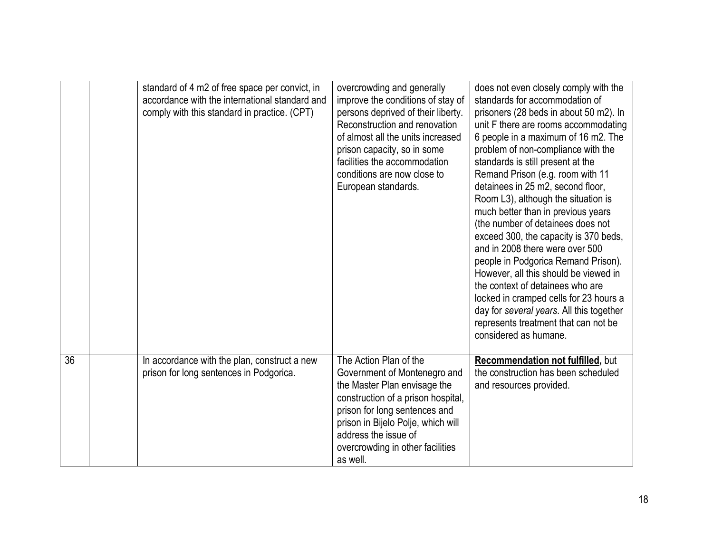|    | standard of 4 m2 of free space per convict, in<br>accordance with the international standard and<br>comply with this standard in practice. (CPT) | overcrowding and generally<br>improve the conditions of stay of<br>persons deprived of their liberty.<br>Reconstruction and renovation<br>of almost all the units increased<br>prison capacity, so in some<br>facilities the accommodation<br>conditions are now close to<br>European standards. | does not even closely comply with the<br>standards for accommodation of<br>prisoners (28 beds in about 50 m2). In<br>unit F there are rooms accommodating<br>6 people in a maximum of 16 m2. The<br>problem of non-compliance with the<br>standards is still present at the<br>Remand Prison (e.g. room with 11<br>detainees in 25 m2, second floor,<br>Room L3), although the situation is<br>much better than in previous years<br>(the number of detainees does not<br>exceed 300, the capacity is 370 beds,<br>and in 2008 there were over 500<br>people in Podgorica Remand Prison).<br>However, all this should be viewed in<br>the context of detainees who are<br>locked in cramped cells for 23 hours a<br>day for several years. All this together<br>represents treatment that can not be<br>considered as humane. |
|----|--------------------------------------------------------------------------------------------------------------------------------------------------|--------------------------------------------------------------------------------------------------------------------------------------------------------------------------------------------------------------------------------------------------------------------------------------------------|-------------------------------------------------------------------------------------------------------------------------------------------------------------------------------------------------------------------------------------------------------------------------------------------------------------------------------------------------------------------------------------------------------------------------------------------------------------------------------------------------------------------------------------------------------------------------------------------------------------------------------------------------------------------------------------------------------------------------------------------------------------------------------------------------------------------------------|
| 36 | In accordance with the plan, construct a new<br>prison for long sentences in Podgorica.                                                          | The Action Plan of the<br>Government of Montenegro and<br>the Master Plan envisage the<br>construction of a prison hospital,<br>prison for long sentences and<br>prison in Bijelo Polje, which will<br>address the issue of<br>overcrowding in other facilities<br>as well.                      | Recommendation not fulfilled, but<br>the construction has been scheduled<br>and resources provided.                                                                                                                                                                                                                                                                                                                                                                                                                                                                                                                                                                                                                                                                                                                           |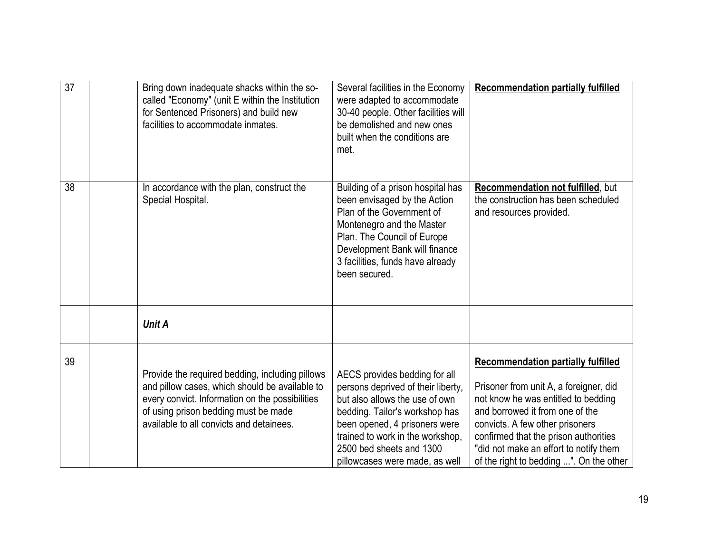| $\overline{37}$ | Bring down inadequate shacks within the so-<br>called "Economy" (unit E within the Institution<br>for Sentenced Prisoners) and build new<br>facilities to accommodate inmates.                                                           | Several facilities in the Economy<br>were adapted to accommodate<br>30-40 people. Other facilities will<br>be demolished and new ones<br>built when the conditions are<br>met.                                                                                             | <b>Recommendation partially fulfilled</b>                                                                                                                                                                                                                                                                                      |
|-----------------|------------------------------------------------------------------------------------------------------------------------------------------------------------------------------------------------------------------------------------------|----------------------------------------------------------------------------------------------------------------------------------------------------------------------------------------------------------------------------------------------------------------------------|--------------------------------------------------------------------------------------------------------------------------------------------------------------------------------------------------------------------------------------------------------------------------------------------------------------------------------|
| 38              | In accordance with the plan, construct the<br>Special Hospital.                                                                                                                                                                          | Building of a prison hospital has<br>been envisaged by the Action<br>Plan of the Government of<br>Montenegro and the Master<br>Plan. The Council of Europe<br>Development Bank will finance<br>3 facilities, funds have already<br>been secured.                           | <b>Recommendation not fulfilled, but</b><br>the construction has been scheduled<br>and resources provided.                                                                                                                                                                                                                     |
|                 | <b>Unit A</b>                                                                                                                                                                                                                            |                                                                                                                                                                                                                                                                            |                                                                                                                                                                                                                                                                                                                                |
| 39              | Provide the required bedding, including pillows<br>and pillow cases, which should be available to<br>every convict. Information on the possibilities<br>of using prison bedding must be made<br>available to all convicts and detainees. | AECS provides bedding for all<br>persons deprived of their liberty,<br>but also allows the use of own<br>bedding. Tailor's workshop has<br>been opened, 4 prisoners were<br>trained to work in the workshop,<br>2500 bed sheets and 1300<br>pillowcases were made, as well | <b>Recommendation partially fulfilled</b><br>Prisoner from unit A, a foreigner, did<br>not know he was entitled to bedding<br>and borrowed it from one of the<br>convicts. A few other prisoners<br>confirmed that the prison authorities<br>"did not make an effort to notify them<br>of the right to bedding ". On the other |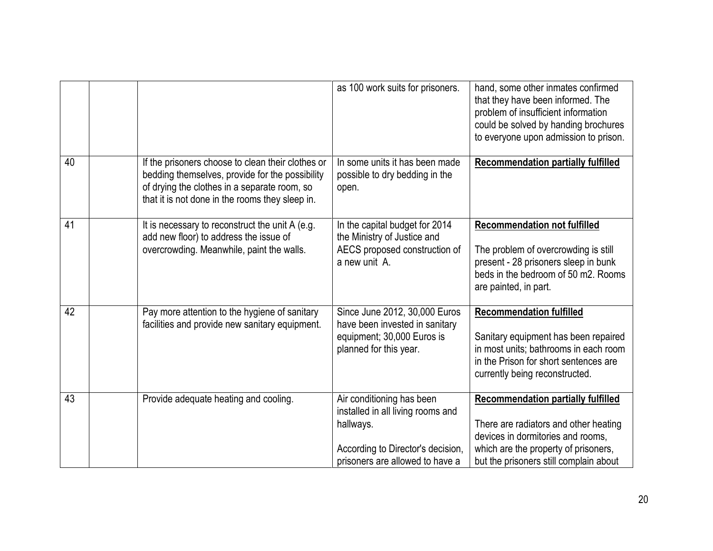|    |                                                                                                                                                                                                         | as 100 work suits for prisoners.                                                                                                                    | hand, some other inmates confirmed<br>that they have been informed. The<br>problem of insufficient information<br>could be solved by handing brochures<br>to everyone upon admission to prison.           |
|----|---------------------------------------------------------------------------------------------------------------------------------------------------------------------------------------------------------|-----------------------------------------------------------------------------------------------------------------------------------------------------|-----------------------------------------------------------------------------------------------------------------------------------------------------------------------------------------------------------|
| 40 | If the prisoners choose to clean their clothes or<br>bedding themselves, provide for the possibility<br>of drying the clothes in a separate room, so<br>that it is not done in the rooms they sleep in. | In some units it has been made<br>possible to dry bedding in the<br>open.                                                                           | <b>Recommendation partially fulfilled</b>                                                                                                                                                                 |
| 41 | It is necessary to reconstruct the unit A (e.g.<br>add new floor) to address the issue of<br>overcrowding. Meanwhile, paint the walls.                                                                  | In the capital budget for 2014<br>the Ministry of Justice and<br>AECS proposed construction of<br>a new unit A.                                     | <b>Recommendation not fulfilled</b><br>The problem of overcrowding is still<br>present - 28 prisoners sleep in bunk<br>beds in the bedroom of 50 m2. Rooms<br>are painted, in part.                       |
| 42 | Pay more attention to the hygiene of sanitary<br>facilities and provide new sanitary equipment.                                                                                                         | Since June 2012, 30,000 Euros<br>have been invested in sanitary<br>equipment; 30,000 Euros is<br>planned for this year.                             | <b>Recommendation fulfilled</b><br>Sanitary equipment has been repaired<br>in most units; bathrooms in each room<br>in the Prison for short sentences are<br>currently being reconstructed.               |
| 43 | Provide adequate heating and cooling.                                                                                                                                                                   | Air conditioning has been<br>installed in all living rooms and<br>hallways.<br>According to Director's decision,<br>prisoners are allowed to have a | <b>Recommendation partially fulfilled</b><br>There are radiators and other heating<br>devices in dormitories and rooms,<br>which are the property of prisoners,<br>but the prisoners still complain about |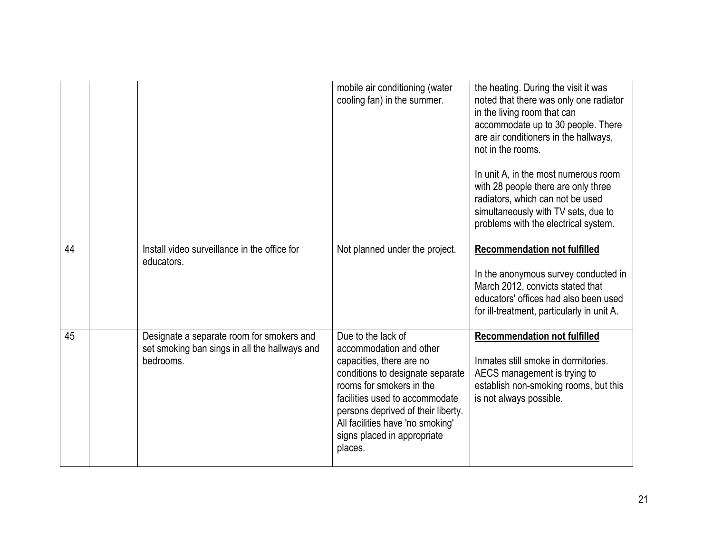|                 |                                                                                                         | mobile air conditioning (water<br>cooling fan) in the summer.                                                                                                                                                                                                                                   | the heating. During the visit it was<br>noted that there was only one radiator<br>in the living room that can<br>accommodate up to 30 people. There<br>are air conditioners in the hallways,<br>not in the rooms.<br>In unit A, in the most numerous room<br>with 28 people there are only three<br>radiators, which can not be used<br>simultaneously with TV sets, due to<br>problems with the electrical system. |
|-----------------|---------------------------------------------------------------------------------------------------------|-------------------------------------------------------------------------------------------------------------------------------------------------------------------------------------------------------------------------------------------------------------------------------------------------|---------------------------------------------------------------------------------------------------------------------------------------------------------------------------------------------------------------------------------------------------------------------------------------------------------------------------------------------------------------------------------------------------------------------|
| 44              | Install video surveillance in the office for<br>educators.                                              | Not planned under the project.                                                                                                                                                                                                                                                                  | <b>Recommendation not fulfilled</b><br>In the anonymous survey conducted in<br>March 2012, convicts stated that<br>educators' offices had also been used<br>for ill-treatment, particularly in unit A.                                                                                                                                                                                                              |
| $\overline{45}$ | Designate a separate room for smokers and<br>set smoking ban sings in all the hallways and<br>bedrooms. | Due to the lack of<br>accommodation and other<br>capacities, there are no<br>conditions to designate separate<br>rooms for smokers in the<br>facilities used to accommodate<br>persons deprived of their liberty.<br>All facilities have 'no smoking'<br>signs placed in appropriate<br>places. | <b>Recommendation not fulfilled</b><br>Inmates still smoke in dormitories.<br>AECS management is trying to<br>establish non-smoking rooms, but this<br>is not always possible.                                                                                                                                                                                                                                      |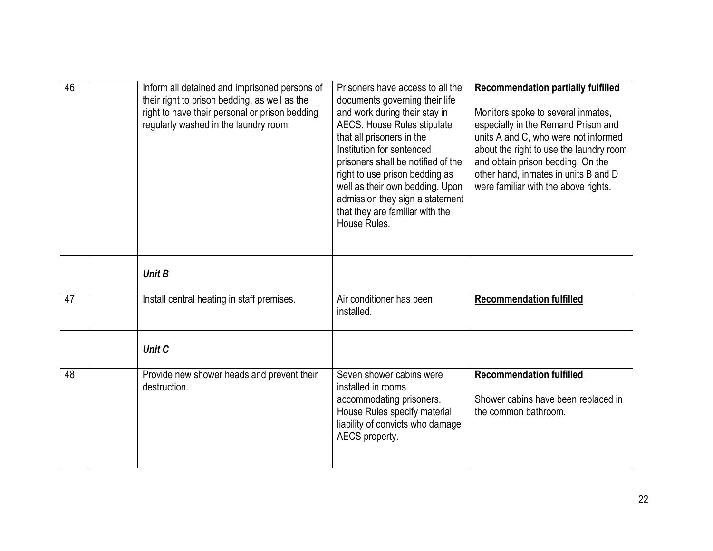| 46              | Inform all detained and imprisoned persons of<br>their right to prison bedding, as well as the<br>right to have their personal or prison bedding<br>regularly washed in the laundry room. | Prisoners have access to all the<br>documents governing their life<br>and work during their stay in<br><b>AECS. House Rules stipulate</b><br>that all prisoners in the<br>Institution for sentenced<br>prisoners shall be notified of the<br>right to use prison bedding as<br>well as their own bedding. Upon<br>admission they sign a statement<br>that they are familiar with the<br>House Rules. | <b>Recommendation partially fulfilled</b><br>Monitors spoke to several inmates,<br>especially in the Remand Prison and<br>units A and C, who were not informed<br>about the right to use the laundry room<br>and obtain prison bedding. On the<br>other hand, inmates in units B and D<br>were familiar with the above rights. |
|-----------------|-------------------------------------------------------------------------------------------------------------------------------------------------------------------------------------------|------------------------------------------------------------------------------------------------------------------------------------------------------------------------------------------------------------------------------------------------------------------------------------------------------------------------------------------------------------------------------------------------------|--------------------------------------------------------------------------------------------------------------------------------------------------------------------------------------------------------------------------------------------------------------------------------------------------------------------------------|
|                 | <b>Unit B</b>                                                                                                                                                                             |                                                                                                                                                                                                                                                                                                                                                                                                      |                                                                                                                                                                                                                                                                                                                                |
| 47              | Install central heating in staff premises.                                                                                                                                                | Air conditioner has been<br>installed.                                                                                                                                                                                                                                                                                                                                                               | <b>Recommendation fulfilled</b>                                                                                                                                                                                                                                                                                                |
|                 | <b>Unit C</b>                                                                                                                                                                             |                                                                                                                                                                                                                                                                                                                                                                                                      |                                                                                                                                                                                                                                                                                                                                |
| $\overline{48}$ | Provide new shower heads and prevent their<br>destruction.                                                                                                                                | Seven shower cabins were<br>installed in rooms<br>accommodating prisoners.<br>House Rules specify material<br>liability of convicts who damage<br>AECS property.                                                                                                                                                                                                                                     | <b>Recommendation fulfilled</b><br>Shower cabins have been replaced in<br>the common bathroom.                                                                                                                                                                                                                                 |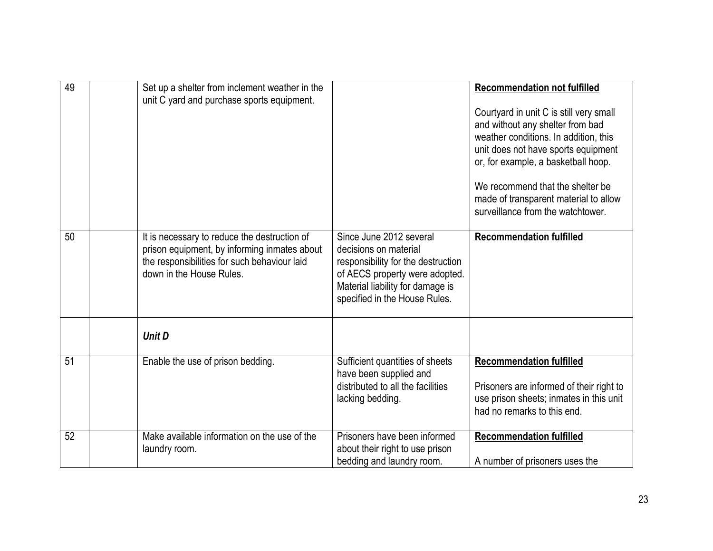| 49              | Set up a shelter from inclement weather in the<br>unit C yard and purchase sports equipment.                                                                             |                                                                                                                                                                                               | <b>Recommendation not fulfilled</b><br>Courtyard in unit C is still very small<br>and without any shelter from bad<br>weather conditions. In addition, this<br>unit does not have sports equipment<br>or, for example, a basketball hoop.<br>We recommend that the shelter be<br>made of transparent material to allow<br>surveillance from the watchtower. |
|-----------------|--------------------------------------------------------------------------------------------------------------------------------------------------------------------------|-----------------------------------------------------------------------------------------------------------------------------------------------------------------------------------------------|-------------------------------------------------------------------------------------------------------------------------------------------------------------------------------------------------------------------------------------------------------------------------------------------------------------------------------------------------------------|
| $\overline{50}$ | It is necessary to reduce the destruction of<br>prison equipment, by informing inmates about<br>the responsibilities for such behaviour laid<br>down in the House Rules. | Since June 2012 several<br>decisions on material<br>responsibility for the destruction<br>of AECS property were adopted.<br>Material liability for damage is<br>specified in the House Rules. | <b>Recommendation fulfilled</b>                                                                                                                                                                                                                                                                                                                             |
|                 | <b>Unit D</b>                                                                                                                                                            |                                                                                                                                                                                               |                                                                                                                                                                                                                                                                                                                                                             |
| 51              | Enable the use of prison bedding.                                                                                                                                        | Sufficient quantities of sheets<br>have been supplied and<br>distributed to all the facilities<br>lacking bedding.                                                                            | <b>Recommendation fulfilled</b><br>Prisoners are informed of their right to<br>use prison sheets; inmates in this unit<br>had no remarks to this end.                                                                                                                                                                                                       |
| $\overline{52}$ | Make available information on the use of the<br>laundry room.                                                                                                            | Prisoners have been informed<br>about their right to use prison<br>bedding and laundry room.                                                                                                  | <b>Recommendation fulfilled</b><br>A number of prisoners uses the                                                                                                                                                                                                                                                                                           |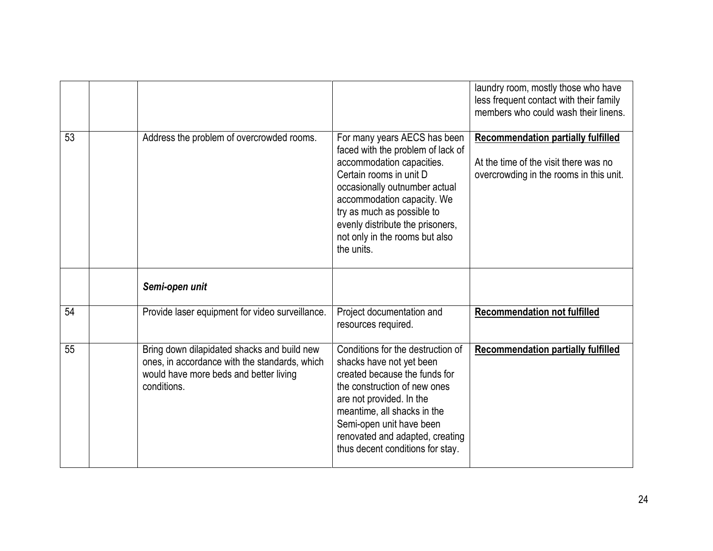|    |                                                 |                                                                                                                                                                                                                                                                                                            | laundry room, mostly those who have<br>less frequent contact with their family<br>members who could wash their linens.        |
|----|-------------------------------------------------|------------------------------------------------------------------------------------------------------------------------------------------------------------------------------------------------------------------------------------------------------------------------------------------------------------|-------------------------------------------------------------------------------------------------------------------------------|
| 53 | Address the problem of overcrowded rooms.       | For many years AECS has been<br>faced with the problem of lack of<br>accommodation capacities.<br>Certain rooms in unit D<br>occasionally outnumber actual<br>accommodation capacity. We<br>try as much as possible to<br>evenly distribute the prisoners,<br>not only in the rooms but also<br>the units. | <b>Recommendation partially fulfilled</b><br>At the time of the visit there was no<br>overcrowding in the rooms in this unit. |
|    | Semi-open unit                                  |                                                                                                                                                                                                                                                                                                            |                                                                                                                               |
| 54 | Provide laser equipment for video surveillance. | Project documentation and<br>resources required.                                                                                                                                                                                                                                                           | <b>Recommendation not fulfilled</b>                                                                                           |
|    |                                                 |                                                                                                                                                                                                                                                                                                            |                                                                                                                               |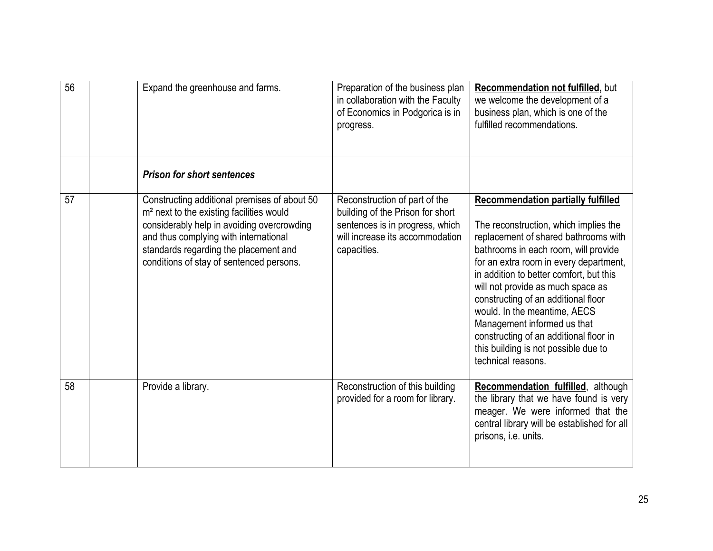| $\overline{56}$ | Expand the greenhouse and farms.                                                                                                                                                                                                                                                 | Preparation of the business plan<br>in collaboration with the Faculty<br>of Economics in Podgorica is in<br>progress.                                  | Recommendation not fulfilled, but<br>we welcome the development of a<br>business plan, which is one of the<br>fulfilled recommendations.                                                                                                                                                                                                                                                                                                                                                                   |
|-----------------|----------------------------------------------------------------------------------------------------------------------------------------------------------------------------------------------------------------------------------------------------------------------------------|--------------------------------------------------------------------------------------------------------------------------------------------------------|------------------------------------------------------------------------------------------------------------------------------------------------------------------------------------------------------------------------------------------------------------------------------------------------------------------------------------------------------------------------------------------------------------------------------------------------------------------------------------------------------------|
|                 | <b>Prison for short sentences</b>                                                                                                                                                                                                                                                |                                                                                                                                                        |                                                                                                                                                                                                                                                                                                                                                                                                                                                                                                            |
| 57              | Constructing additional premises of about 50<br>m <sup>2</sup> next to the existing facilities would<br>considerably help in avoiding overcrowding<br>and thus complying with international<br>standards regarding the placement and<br>conditions of stay of sentenced persons. | Reconstruction of part of the<br>building of the Prison for short<br>sentences is in progress, which<br>will increase its accommodation<br>capacities. | <b>Recommendation partially fulfilled</b><br>The reconstruction, which implies the<br>replacement of shared bathrooms with<br>bathrooms in each room, will provide<br>for an extra room in every department,<br>in addition to better comfort, but this<br>will not provide as much space as<br>constructing of an additional floor<br>would. In the meantime, AECS<br>Management informed us that<br>constructing of an additional floor in<br>this building is not possible due to<br>technical reasons. |
| 58              | Provide a library.                                                                                                                                                                                                                                                               | Reconstruction of this building<br>provided for a room for library.                                                                                    | Recommendation fulfilled, although<br>the library that we have found is very<br>meager. We were informed that the<br>central library will be established for all<br>prisons, i.e. units.                                                                                                                                                                                                                                                                                                                   |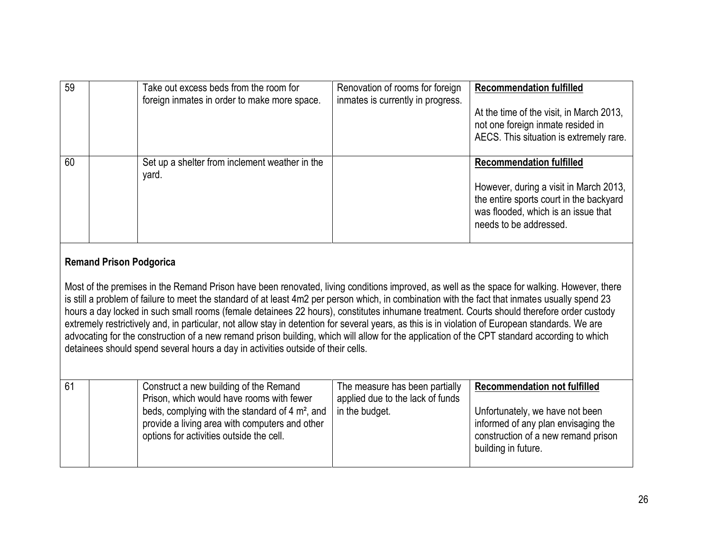| 59 | Take out excess beds from the room for<br>foreign inmates in order to make more space. | Renovation of rooms for foreign<br>inmates is currently in progress. | <b>Recommendation fulfilled</b><br>At the time of the visit, in March 2013,<br>not one foreign inmate resided in<br>AECS. This situation is extremely rare.                           |
|----|----------------------------------------------------------------------------------------|----------------------------------------------------------------------|---------------------------------------------------------------------------------------------------------------------------------------------------------------------------------------|
| 60 | Set up a shelter from inclement weather in the<br>yard.                                |                                                                      | <b>Recommendation fulfilled</b><br>However, during a visit in March 2013,<br>the entire sports court in the backyard<br>was flooded, which is an issue that<br>needs to be addressed. |

#### **Remand Prison Podgorica**

Most of the premises in the Remand Prison have been renovated, living conditions improved, as well as the space for walking. However, there is still a problem of failure to meet the standard of at least 4m2 per person which, in combination with the fact that inmates usually spend 23 hours a day locked in such small rooms (female detainees 22 hours), constitutes inhumane treatment. Courts should therefore order custody extremely restrictively and, in particular, not allow stay in detention for several years, as this is in violation of European standards. We are advocating for the construction of a new remand prison building, which will allow for the application of the CPT standard according to which detainees should spend several hours a day in activities outside of their cells.

| 61 | Construct a new building of the Remand<br>Prison, which would have rooms with fewer<br>beds, complying with the standard of 4 $m^2$ , and $\vert$<br>provide a living area with computers and other<br>options for activities outside the cell. | The measure has been partially<br>applied due to the lack of funds<br>in the budget. | <b>Recommendation not fulfilled</b><br>Unfortunately, we have not been<br>informed of any plan envisaging the<br>construction of a new remand prison<br>building in future. |
|----|-------------------------------------------------------------------------------------------------------------------------------------------------------------------------------------------------------------------------------------------------|--------------------------------------------------------------------------------------|-----------------------------------------------------------------------------------------------------------------------------------------------------------------------------|
|----|-------------------------------------------------------------------------------------------------------------------------------------------------------------------------------------------------------------------------------------------------|--------------------------------------------------------------------------------------|-----------------------------------------------------------------------------------------------------------------------------------------------------------------------------|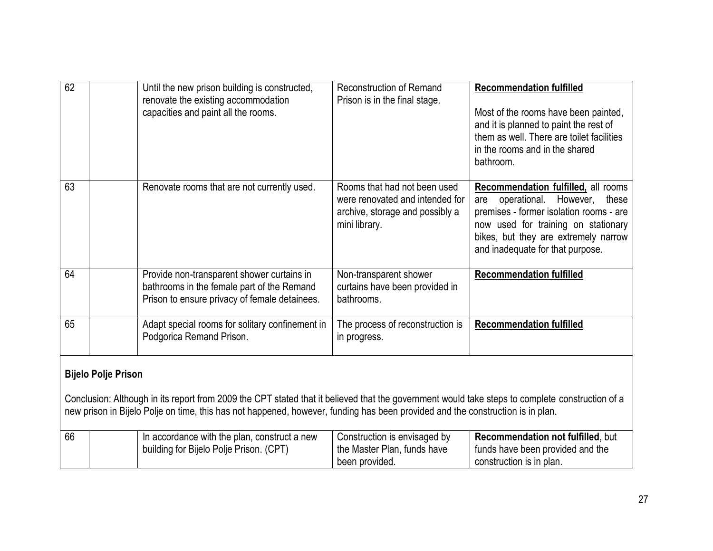| 62 | Until the new prison building is constructed,<br>renovate the existing accommodation<br>capacities and paint all the rooms.                                                                                                                                                                                     | <b>Reconstruction of Remand</b><br>Prison is in the final stage.                                                    | <b>Recommendation fulfilled</b><br>Most of the rooms have been painted,<br>and it is planned to paint the rest of<br>them as well. There are toilet facilities<br>in the rooms and in the shared<br>bathroom.                                        |
|----|-----------------------------------------------------------------------------------------------------------------------------------------------------------------------------------------------------------------------------------------------------------------------------------------------------------------|---------------------------------------------------------------------------------------------------------------------|------------------------------------------------------------------------------------------------------------------------------------------------------------------------------------------------------------------------------------------------------|
| 63 | Renovate rooms that are not currently used.                                                                                                                                                                                                                                                                     | Rooms that had not been used<br>were renovated and intended for<br>archive, storage and possibly a<br>mini library. | <b>Recommendation fulfilled, all rooms</b><br>operational.<br>However,<br>these<br>are<br>premises - former isolation rooms - are<br>now used for training on stationary<br>bikes, but they are extremely narrow<br>and inadequate for that purpose. |
| 64 | Provide non-transparent shower curtains in<br>bathrooms in the female part of the Remand<br>Prison to ensure privacy of female detainees.                                                                                                                                                                       | Non-transparent shower<br>curtains have been provided in<br>bathrooms.                                              | <b>Recommendation fulfilled</b>                                                                                                                                                                                                                      |
| 65 | Adapt special rooms for solitary confinement in<br>Podgorica Remand Prison.                                                                                                                                                                                                                                     | The process of reconstruction is<br>in progress.                                                                    | <b>Recommendation fulfilled</b>                                                                                                                                                                                                                      |
|    | <b>Bijelo Polje Prison</b><br>Conclusion: Although in its report from 2009 the CPT stated that it believed that the government would take steps to complete construction of a<br>new prison in Bijelo Polje on time, this has not happened, however, funding has been provided and the construction is in plan. |                                                                                                                     |                                                                                                                                                                                                                                                      |

| 66 | In accordance with the plan, construct a new<br>building for Bijelo Polje Prison. (CPT) | Construction is envisaged by<br>the Master Plan, funds have | <b>Recommendation not fulfilled, but</b><br>I funds have been provided and the |
|----|-----------------------------------------------------------------------------------------|-------------------------------------------------------------|--------------------------------------------------------------------------------|
|    |                                                                                         | been provided.                                              | construction is in plan.                                                       |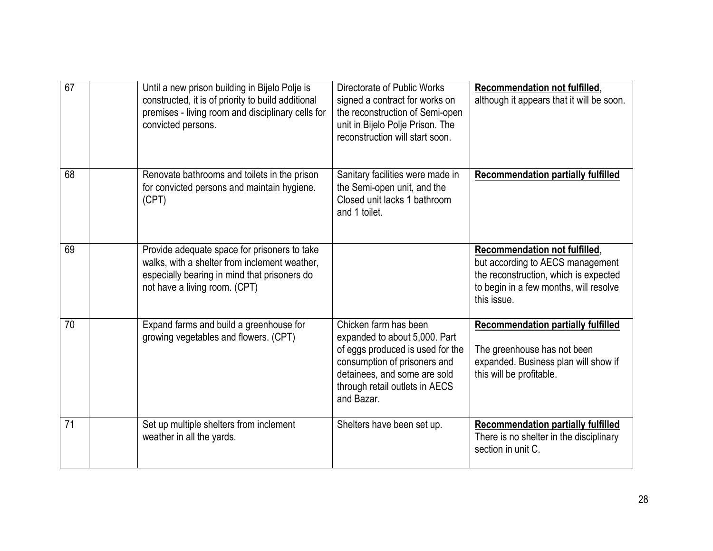| 67 | Until a new prison building in Bijelo Polje is<br>constructed, it is of priority to build additional<br>premises - living room and disciplinary cells for<br>convicted persons. | Directorate of Public Works<br>signed a contract for works on<br>the reconstruction of Semi-open<br>unit in Bijelo Polje Prison. The<br>reconstruction will start soon.                                    | Recommendation not fulfilled,<br>although it appears that it will be soon.                                                                                          |
|----|---------------------------------------------------------------------------------------------------------------------------------------------------------------------------------|------------------------------------------------------------------------------------------------------------------------------------------------------------------------------------------------------------|---------------------------------------------------------------------------------------------------------------------------------------------------------------------|
| 68 | Renovate bathrooms and toilets in the prison<br>for convicted persons and maintain hygiene.<br>(CPT)                                                                            | Sanitary facilities were made in<br>the Semi-open unit, and the<br>Closed unit lacks 1 bathroom<br>and 1 toilet.                                                                                           | <b>Recommendation partially fulfilled</b>                                                                                                                           |
| 69 | Provide adequate space for prisoners to take<br>walks, with a shelter from inclement weather,<br>especially bearing in mind that prisoners do<br>not have a living room. (CPT)  |                                                                                                                                                                                                            | Recommendation not fulfilled,<br>but according to AECS management<br>the reconstruction, which is expected<br>to begin in a few months, will resolve<br>this issue. |
| 70 | Expand farms and build a greenhouse for<br>growing vegetables and flowers. (CPT)                                                                                                | Chicken farm has been<br>expanded to about 5,000. Part<br>of eggs produced is used for the<br>consumption of prisoners and<br>detainees, and some are sold<br>through retail outlets in AECS<br>and Bazar. | <b>Recommendation partially fulfilled</b><br>The greenhouse has not been<br>expanded. Business plan will show if<br>this will be profitable.                        |
| 71 | Set up multiple shelters from inclement<br>weather in all the yards.                                                                                                            | Shelters have been set up.                                                                                                                                                                                 | <b>Recommendation partially fulfilled</b><br>There is no shelter in the disciplinary<br>section in unit C.                                                          |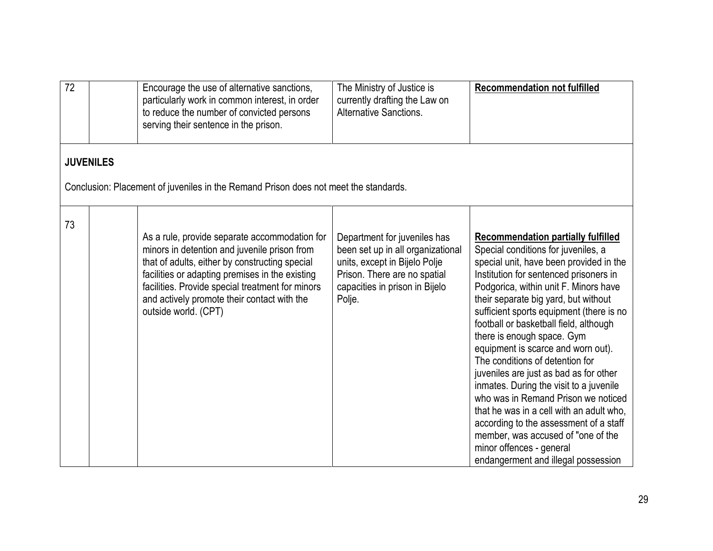| $\overline{72}$ |                  | Encourage the use of alternative sanctions,<br>particularly work in common interest, in order<br>to reduce the number of convicted persons<br>serving their sentence in the prison.                                                                                                                                           | The Ministry of Justice is<br>currently drafting the Law on<br><b>Alternative Sanctions.</b>                                                                                   | <b>Recommendation not fulfilled</b>                                                                                                                                                                                                                                                                                                                                                                                                                                                                                                                                                                                                                                                                                                                                            |
|-----------------|------------------|-------------------------------------------------------------------------------------------------------------------------------------------------------------------------------------------------------------------------------------------------------------------------------------------------------------------------------|--------------------------------------------------------------------------------------------------------------------------------------------------------------------------------|--------------------------------------------------------------------------------------------------------------------------------------------------------------------------------------------------------------------------------------------------------------------------------------------------------------------------------------------------------------------------------------------------------------------------------------------------------------------------------------------------------------------------------------------------------------------------------------------------------------------------------------------------------------------------------------------------------------------------------------------------------------------------------|
|                 | <b>JUVENILES</b> | Conclusion: Placement of juveniles in the Remand Prison does not meet the standards.                                                                                                                                                                                                                                          |                                                                                                                                                                                |                                                                                                                                                                                                                                                                                                                                                                                                                                                                                                                                                                                                                                                                                                                                                                                |
| 73              |                  | As a rule, provide separate accommodation for<br>minors in detention and juvenile prison from<br>that of adults, either by constructing special<br>facilities or adapting premises in the existing<br>facilities. Provide special treatment for minors<br>and actively promote their contact with the<br>outside world. (CPT) | Department for juveniles has<br>been set up in all organizational<br>units, except in Bijelo Polje<br>Prison. There are no spatial<br>capacities in prison in Bijelo<br>Polje. | <b>Recommendation partially fulfilled</b><br>Special conditions for juveniles, a<br>special unit, have been provided in the<br>Institution for sentenced prisoners in<br>Podgorica, within unit F. Minors have<br>their separate big yard, but without<br>sufficient sports equipment (there is no<br>football or basketball field, although<br>there is enough space. Gym<br>equipment is scarce and worn out).<br>The conditions of detention for<br>juveniles are just as bad as for other<br>inmates. During the visit to a juvenile<br>who was in Remand Prison we noticed<br>that he was in a cell with an adult who,<br>according to the assessment of a staff<br>member, was accused of "one of the<br>minor offences - general<br>endangerment and illegal possession |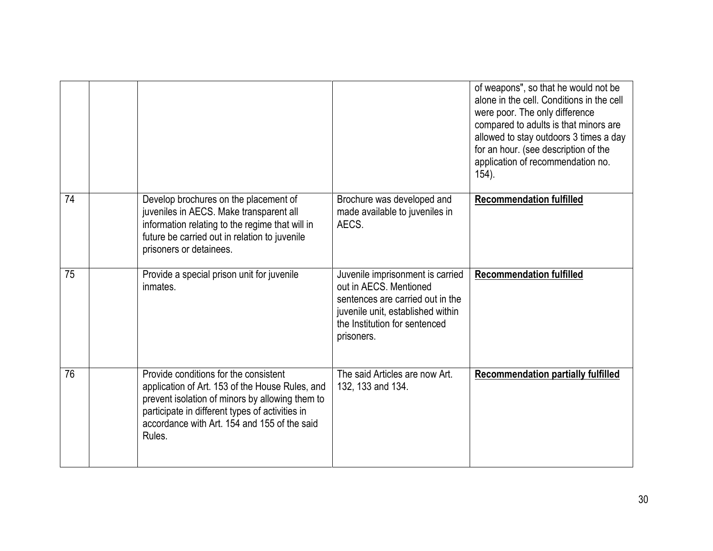|    |                                                                                                                                                                                                                                                          |                                                                                                                                                                                    | of weapons", so that he would not be<br>alone in the cell. Conditions in the cell<br>were poor. The only difference<br>compared to adults is that minors are<br>allowed to stay outdoors 3 times a day<br>for an hour. (see description of the<br>application of recommendation no.<br>$154$ ). |
|----|----------------------------------------------------------------------------------------------------------------------------------------------------------------------------------------------------------------------------------------------------------|------------------------------------------------------------------------------------------------------------------------------------------------------------------------------------|-------------------------------------------------------------------------------------------------------------------------------------------------------------------------------------------------------------------------------------------------------------------------------------------------|
| 74 | Develop brochures on the placement of<br>juveniles in AECS. Make transparent all<br>information relating to the regime that will in<br>future be carried out in relation to juvenile<br>prisoners or detainees.                                          | Brochure was developed and<br>made available to juveniles in<br>AECS.                                                                                                              | <b>Recommendation fulfilled</b>                                                                                                                                                                                                                                                                 |
| 75 | Provide a special prison unit for juvenile<br>inmates.                                                                                                                                                                                                   | Juvenile imprisonment is carried<br>out in AECS. Mentioned<br>sentences are carried out in the<br>juvenile unit, established within<br>the Institution for sentenced<br>prisoners. | <b>Recommendation fulfilled</b>                                                                                                                                                                                                                                                                 |
| 76 | Provide conditions for the consistent<br>application of Art. 153 of the House Rules, and<br>prevent isolation of minors by allowing them to<br>participate in different types of activities in<br>accordance with Art. 154 and 155 of the said<br>Rules. | The said Articles are now Art.<br>132, 133 and 134.                                                                                                                                | <b>Recommendation partially fulfilled</b>                                                                                                                                                                                                                                                       |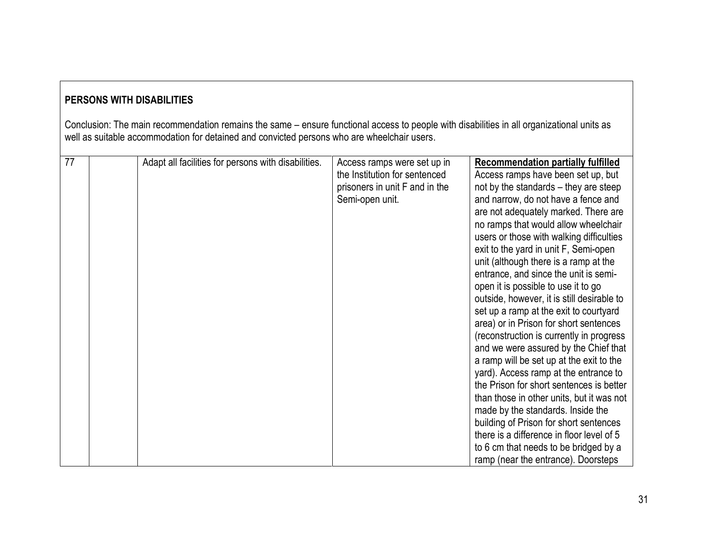# **PERSONS WITH DISABILITIES**

Conclusion: The main recommendation remains the same – ensure functional access to people with disabilities in all organizational units as well as suitable accommodation for detained and convicted persons who are wheelchair users.

| $\overline{77}$ | Adapt all facilities for persons with disabilities. | Access ramps were set up in    | <b>Recommendation partially fulfilled</b>  |
|-----------------|-----------------------------------------------------|--------------------------------|--------------------------------------------|
|                 |                                                     | the Institution for sentenced  |                                            |
|                 |                                                     |                                | Access ramps have been set up, but         |
|                 |                                                     | prisoners in unit F and in the | not by the standards – they are steep      |
|                 |                                                     | Semi-open unit.                | and narrow, do not have a fence and        |
|                 |                                                     |                                | are not adequately marked. There are       |
|                 |                                                     |                                | no ramps that would allow wheelchair       |
|                 |                                                     |                                | users or those with walking difficulties   |
|                 |                                                     |                                | exit to the yard in unit F, Semi-open      |
|                 |                                                     |                                | unit (although there is a ramp at the      |
|                 |                                                     |                                | entrance, and since the unit is semi-      |
|                 |                                                     |                                | open it is possible to use it to go        |
|                 |                                                     |                                | outside, however, it is still desirable to |
|                 |                                                     |                                | set up a ramp at the exit to courtyard     |
|                 |                                                     |                                | area) or in Prison for short sentences     |
|                 |                                                     |                                | (reconstruction is currently in progress   |
|                 |                                                     |                                | and we were assured by the Chief that      |
|                 |                                                     |                                | a ramp will be set up at the exit to the   |
|                 |                                                     |                                | yard). Access ramp at the entrance to      |
|                 |                                                     |                                | the Prison for short sentences is better   |
|                 |                                                     |                                | than those in other units, but it was not  |
|                 |                                                     |                                | made by the standards. Inside the          |
|                 |                                                     |                                | building of Prison for short sentences     |
|                 |                                                     |                                | there is a difference in floor level of 5  |
|                 |                                                     |                                | to 6 cm that needs to be bridged by a      |
|                 |                                                     |                                | ramp (near the entrance). Doorsteps        |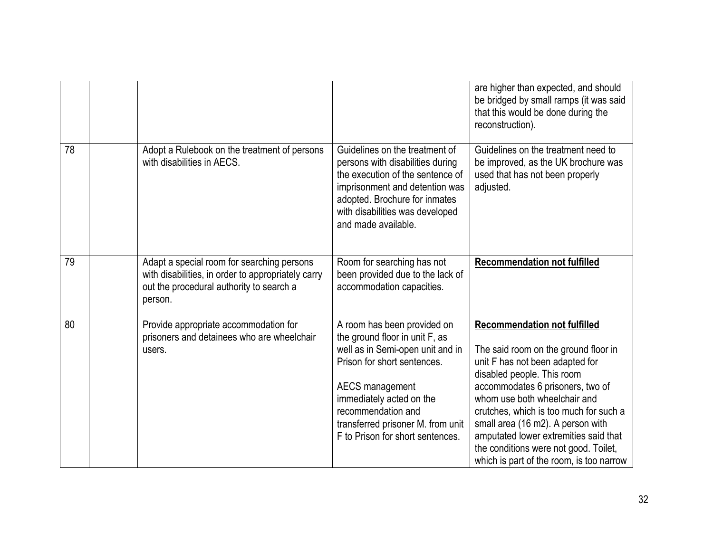|    |                                                                                                                                                         |                                                                                                                                                                                                                                                                                | are higher than expected, and should<br>be bridged by small ramps (it was said<br>that this would be done during the<br>reconstruction).                                                                                                                                                                                                                                                                                      |
|----|---------------------------------------------------------------------------------------------------------------------------------------------------------|--------------------------------------------------------------------------------------------------------------------------------------------------------------------------------------------------------------------------------------------------------------------------------|-------------------------------------------------------------------------------------------------------------------------------------------------------------------------------------------------------------------------------------------------------------------------------------------------------------------------------------------------------------------------------------------------------------------------------|
| 78 | Adopt a Rulebook on the treatment of persons<br>with disabilities in AECS.                                                                              | Guidelines on the treatment of<br>persons with disabilities during<br>the execution of the sentence of<br>imprisonment and detention was<br>adopted. Brochure for inmates<br>with disabilities was developed<br>and made available.                                            | Guidelines on the treatment need to<br>be improved, as the UK brochure was<br>used that has not been properly<br>adjusted.                                                                                                                                                                                                                                                                                                    |
| 79 | Adapt a special room for searching persons<br>with disabilities, in order to appropriately carry<br>out the procedural authority to search a<br>person. | Room for searching has not<br>been provided due to the lack of<br>accommodation capacities.                                                                                                                                                                                    | <b>Recommendation not fulfilled</b>                                                                                                                                                                                                                                                                                                                                                                                           |
| 80 | Provide appropriate accommodation for<br>prisoners and detainees who are wheelchair<br>users.                                                           | A room has been provided on<br>the ground floor in unit F, as<br>well as in Semi-open unit and in<br>Prison for short sentences.<br>AECS management<br>immediately acted on the<br>recommendation and<br>transferred prisoner M. from unit<br>F to Prison for short sentences. | <b>Recommendation not fulfilled</b><br>The said room on the ground floor in<br>unit F has not been adapted for<br>disabled people. This room<br>accommodates 6 prisoners, two of<br>whom use both wheelchair and<br>crutches, which is too much for such a<br>small area (16 m2). A person with<br>amputated lower extremities said that<br>the conditions were not good. Toilet,<br>which is part of the room, is too narrow |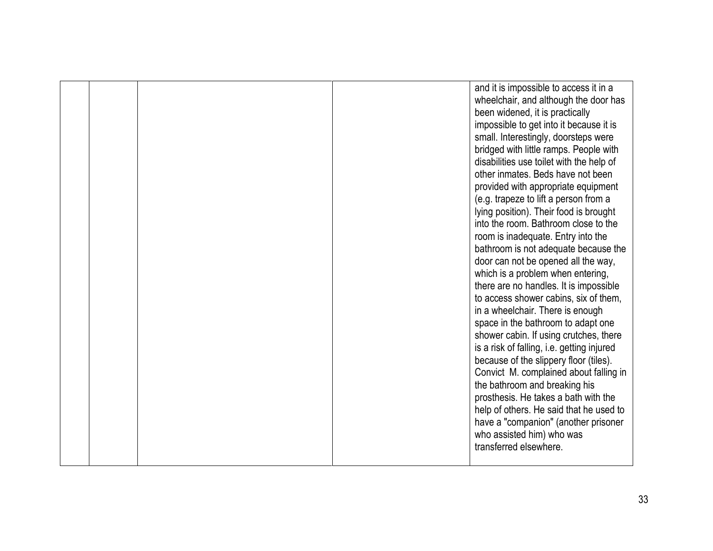|  |  | and it is impossible to access it in a     |
|--|--|--------------------------------------------|
|  |  | wheelchair, and although the door has      |
|  |  | been widened, it is practically            |
|  |  | impossible to get into it because it is    |
|  |  | small. Interestingly, doorsteps were       |
|  |  | bridged with little ramps. People with     |
|  |  | disabilities use toilet with the help of   |
|  |  | other inmates. Beds have not been          |
|  |  | provided with appropriate equipment        |
|  |  | (e.g. trapeze to lift a person from a      |
|  |  | lying position). Their food is brought     |
|  |  | into the room. Bathroom close to the       |
|  |  | room is inadequate. Entry into the         |
|  |  | bathroom is not adequate because the       |
|  |  | door can not be opened all the way,        |
|  |  | which is a problem when entering,          |
|  |  | there are no handles. It is impossible     |
|  |  | to access shower cabins, six of them,      |
|  |  | in a wheelchair. There is enough           |
|  |  | space in the bathroom to adapt one         |
|  |  | shower cabin. If using crutches, there     |
|  |  | is a risk of falling, i.e. getting injured |
|  |  | because of the slippery floor (tiles).     |
|  |  | Convict M. complained about falling in     |
|  |  | the bathroom and breaking his              |
|  |  | prosthesis. He takes a bath with the       |
|  |  | help of others. He said that he used to    |
|  |  | have a "companion" (another prisoner       |
|  |  | who assisted him) who was                  |
|  |  | transferred elsewhere.                     |
|  |  |                                            |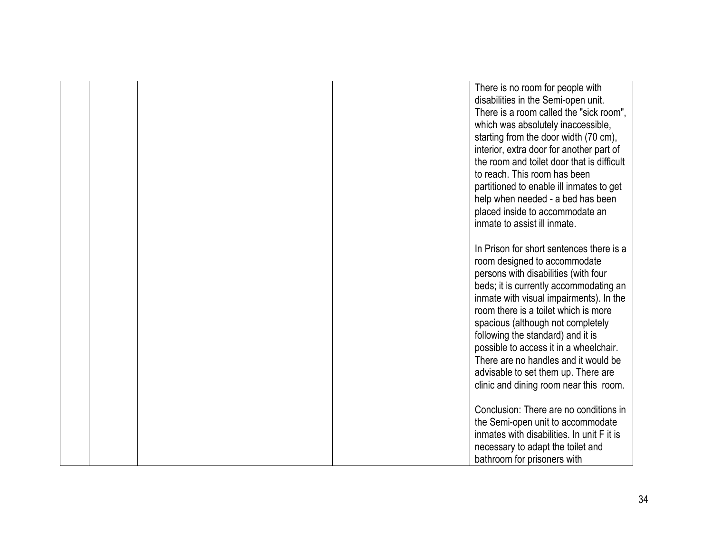|  |  | There is no room for people with<br>disabilities in the Semi-open unit.<br>There is a room called the "sick room",<br>which was absolutely inaccessible,<br>starting from the door width (70 cm),<br>interior, extra door for another part of<br>the room and toilet door that is difficult<br>to reach. This room has been<br>partitioned to enable ill inmates to get<br>help when needed - a bed has been<br>placed inside to accommodate an<br>inmate to assist ill inmate.            |
|--|--|--------------------------------------------------------------------------------------------------------------------------------------------------------------------------------------------------------------------------------------------------------------------------------------------------------------------------------------------------------------------------------------------------------------------------------------------------------------------------------------------|
|  |  | In Prison for short sentences there is a<br>room designed to accommodate<br>persons with disabilities (with four<br>beds; it is currently accommodating an<br>inmate with visual impairments). In the<br>room there is a toilet which is more<br>spacious (although not completely<br>following the standard) and it is<br>possible to access it in a wheelchair.<br>There are no handles and it would be<br>advisable to set them up. There are<br>clinic and dining room near this room. |
|  |  | Conclusion: There are no conditions in<br>the Semi-open unit to accommodate<br>inmates with disabilities. In unit F it is<br>necessary to adapt the toilet and<br>bathroom for prisoners with                                                                                                                                                                                                                                                                                              |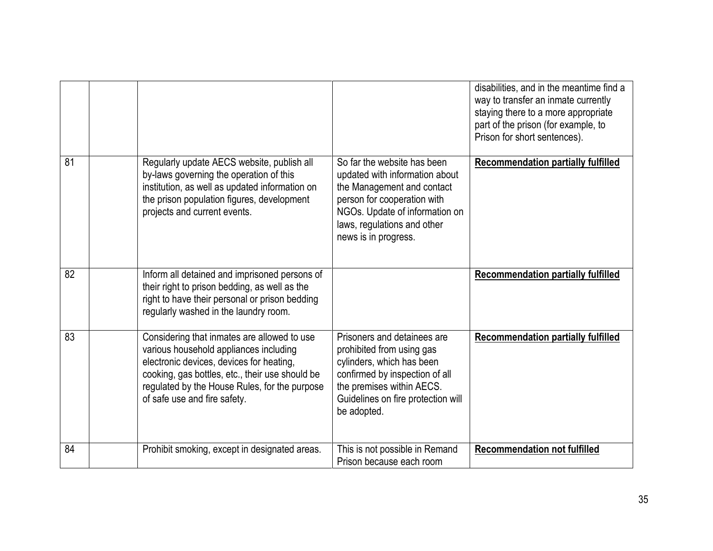|    |                                                                                                                                                                                                                                                                       |                                                                                                                                                                                                                     | disabilities, and in the meantime find a<br>way to transfer an inmate currently<br>staying there to a more appropriate<br>part of the prison (for example, to<br>Prison for short sentences). |
|----|-----------------------------------------------------------------------------------------------------------------------------------------------------------------------------------------------------------------------------------------------------------------------|---------------------------------------------------------------------------------------------------------------------------------------------------------------------------------------------------------------------|-----------------------------------------------------------------------------------------------------------------------------------------------------------------------------------------------|
| 81 | Regularly update AECS website, publish all<br>by-laws governing the operation of this<br>institution, as well as updated information on<br>the prison population figures, development<br>projects and current events.                                                 | So far the website has been<br>updated with information about<br>the Management and contact<br>person for cooperation with<br>NGOs. Update of information on<br>laws, regulations and other<br>news is in progress. | <b>Recommendation partially fulfilled</b>                                                                                                                                                     |
| 82 | Inform all detained and imprisoned persons of<br>their right to prison bedding, as well as the<br>right to have their personal or prison bedding<br>regularly washed in the laundry room.                                                                             |                                                                                                                                                                                                                     | <b>Recommendation partially fulfilled</b>                                                                                                                                                     |
| 83 | Considering that inmates are allowed to use<br>various household appliances including<br>electronic devices, devices for heating,<br>cooking, gas bottles, etc., their use should be<br>regulated by the House Rules, for the purpose<br>of safe use and fire safety. | Prisoners and detainees are<br>prohibited from using gas<br>cylinders, which has been<br>confirmed by inspection of all<br>the premises within AECS.<br>Guidelines on fire protection will<br>be adopted.           | <b>Recommendation partially fulfilled</b>                                                                                                                                                     |
| 84 | Prohibit smoking, except in designated areas.                                                                                                                                                                                                                         | This is not possible in Remand<br>Prison because each room                                                                                                                                                          | <b>Recommendation not fulfilled</b>                                                                                                                                                           |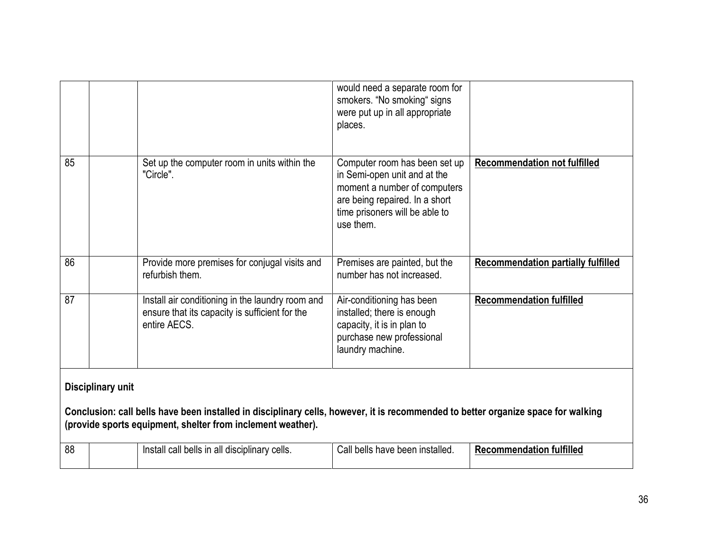| 88                                                                                                                                                                                                                    |  | Install call bells in all disciplinary cells.                                                                      | Call bells have been installed.                                                                                                                                                | <b>Recommendation fulfilled</b>           |
|-----------------------------------------------------------------------------------------------------------------------------------------------------------------------------------------------------------------------|--|--------------------------------------------------------------------------------------------------------------------|--------------------------------------------------------------------------------------------------------------------------------------------------------------------------------|-------------------------------------------|
| Disciplinary unit<br>Conclusion: call bells have been installed in disciplinary cells, however, it is recommended to better organize space for walking<br>(provide sports equipment, shelter from inclement weather). |  |                                                                                                                    |                                                                                                                                                                                |                                           |
| 87                                                                                                                                                                                                                    |  | Install air conditioning in the laundry room and<br>ensure that its capacity is sufficient for the<br>entire AECS. | Air-conditioning has been<br>installed; there is enough<br>capacity, it is in plan to<br>purchase new professional<br>laundry machine.                                         | <b>Recommendation fulfilled</b>           |
| 86                                                                                                                                                                                                                    |  | Provide more premises for conjugal visits and<br>refurbish them.                                                   | Premises are painted, but the<br>number has not increased.                                                                                                                     | <b>Recommendation partially fulfilled</b> |
| 85                                                                                                                                                                                                                    |  | Set up the computer room in units within the<br>"Circle".                                                          | Computer room has been set up<br>in Semi-open unit and at the<br>moment a number of computers<br>are being repaired. In a short<br>time prisoners will be able to<br>use them. | <b>Recommendation not fulfilled</b>       |
|                                                                                                                                                                                                                       |  |                                                                                                                    | would need a separate room for<br>smokers. "No smoking" signs<br>were put up in all appropriate<br>places.                                                                     |                                           |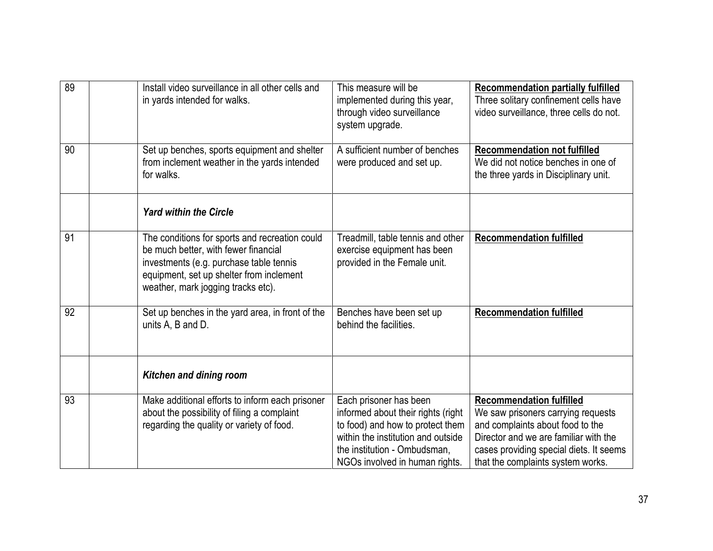| 89 | Install video surveillance in all other cells and<br>in yards intended for walks.                                                                                                                                   | This measure will be<br>implemented during this year,<br>through video surveillance<br>system upgrade.                                                                                                   | <b>Recommendation partially fulfilled</b><br>Three solitary confinement cells have<br>video surveillance, three cells do not.                                                                                                      |
|----|---------------------------------------------------------------------------------------------------------------------------------------------------------------------------------------------------------------------|----------------------------------------------------------------------------------------------------------------------------------------------------------------------------------------------------------|------------------------------------------------------------------------------------------------------------------------------------------------------------------------------------------------------------------------------------|
| 90 | Set up benches, sports equipment and shelter<br>from inclement weather in the yards intended<br>for walks.                                                                                                          | A sufficient number of benches<br>were produced and set up.                                                                                                                                              | <b>Recommendation not fulfilled</b><br>We did not notice benches in one of<br>the three yards in Disciplinary unit.                                                                                                                |
|    | <b>Yard within the Circle</b>                                                                                                                                                                                       |                                                                                                                                                                                                          |                                                                                                                                                                                                                                    |
| 91 | The conditions for sports and recreation could<br>be much better, with fewer financial<br>investments (e.g. purchase table tennis<br>equipment, set up shelter from inclement<br>weather, mark jogging tracks etc). | Treadmill, table tennis and other<br>exercise equipment has been<br>provided in the Female unit.                                                                                                         | <b>Recommendation fulfilled</b>                                                                                                                                                                                                    |
| 92 | Set up benches in the yard area, in front of the<br>units A, B and D.                                                                                                                                               | Benches have been set up<br>behind the facilities.                                                                                                                                                       | <b>Recommendation fulfilled</b>                                                                                                                                                                                                    |
|    | <b>Kitchen and dining room</b>                                                                                                                                                                                      |                                                                                                                                                                                                          |                                                                                                                                                                                                                                    |
| 93 | Make additional efforts to inform each prisoner<br>about the possibility of filing a complaint<br>regarding the quality or variety of food.                                                                         | Each prisoner has been<br>informed about their rights (right<br>to food) and how to protect them<br>within the institution and outside<br>the institution - Ombudsman,<br>NGOs involved in human rights. | <b>Recommendation fulfilled</b><br>We saw prisoners carrying requests<br>and complaints about food to the<br>Director and we are familiar with the<br>cases providing special diets. It seems<br>that the complaints system works. |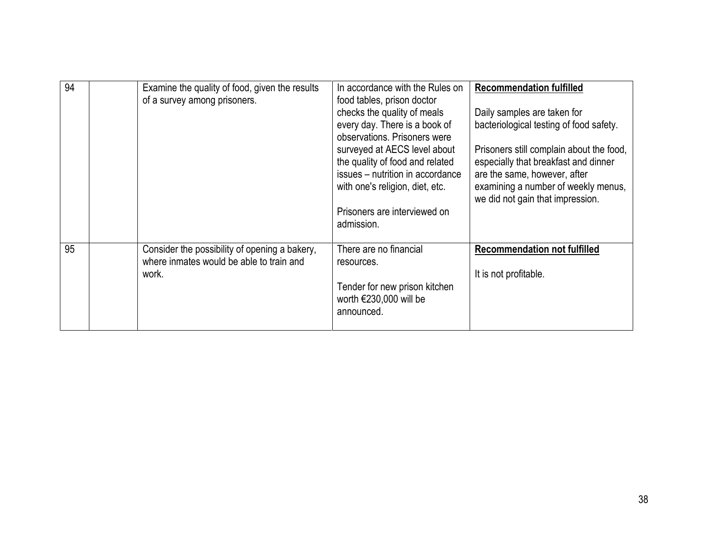| 94 | Examine the quality of food, given the results<br>of a survey among prisoners.                     | In accordance with the Rules on<br>food tables, prison doctor<br>checks the quality of meals<br>every day. There is a book of                                                                                        | <b>Recommendation fulfilled</b><br>Daily samples are taken for<br>bacteriological testing of food safety.                                                                                   |
|----|----------------------------------------------------------------------------------------------------|----------------------------------------------------------------------------------------------------------------------------------------------------------------------------------------------------------------------|---------------------------------------------------------------------------------------------------------------------------------------------------------------------------------------------|
|    |                                                                                                    | observations. Prisoners were<br>surveyed at AECS level about<br>the quality of food and related<br>issues - nutrition in accordance<br>with one's religion, diet, etc.<br>Prisoners are interviewed on<br>admission. | Prisoners still complain about the food,<br>especially that breakfast and dinner<br>are the same, however, after<br>examining a number of weekly menus,<br>we did not gain that impression. |
|    |                                                                                                    |                                                                                                                                                                                                                      |                                                                                                                                                                                             |
| 95 | Consider the possibility of opening a bakery,<br>where inmates would be able to train and<br>work. | There are no financial<br>resources.<br>Tender for new prison kitchen<br>worth $€230,000$ will be<br>announced.                                                                                                      | <b>Recommendation not fulfilled</b><br>It is not profitable.                                                                                                                                |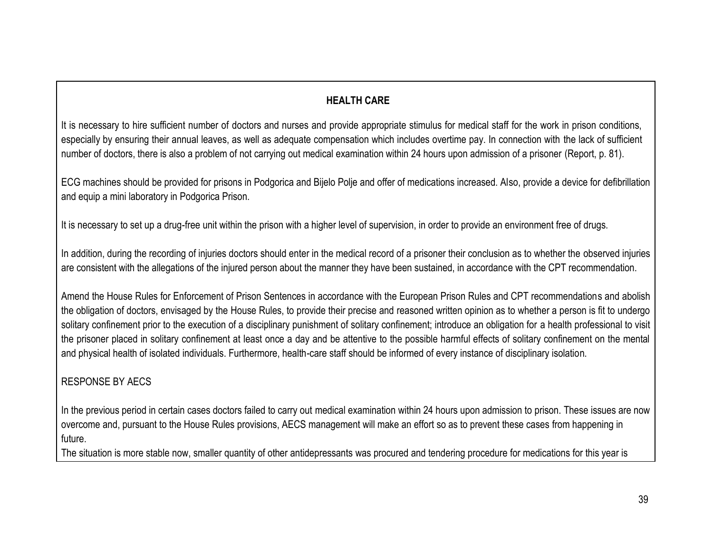### **HEALTH CARE**

It is necessary to hire sufficient number of doctors and nurses and provide appropriate stimulus for medical staff for the work in prison conditions, especially by ensuring their annual leaves, as well as adequate compensation which includes overtime pay. In connection with the lack of sufficient number of doctors, there is also a problem of not carrying out medical examination within 24 hours upon admission of a prisoner (Report, p. 81).

ECG machines should be provided for prisons in Podgorica and Bijelo Polje and offer of medications increased. Also, provide a device for defibrillation and equip a mini laboratory in Podgorica Prison.

It is necessary to set up a drug-free unit within the prison with a higher level of supervision, in order to provide an environment free of drugs.

In addition, during the recording of injuries doctors should enter in the medical record of a prisoner their conclusion as to whether the observed injuries are consistent with the allegations of the injured person about the manner they have been sustained, in accordance with the CPT recommendation.

Amend the House Rules for Enforcement of Prison Sentences in accordance with the European Prison Rules and CPT recommendations and abolish the obligation of doctors, envisaged by the House Rules, to provide their precise and reasoned written opinion as to whether a person is fit to undergo solitary confinement prior to the execution of a disciplinary punishment of solitary confinement; introduce an obligation for a health professional to visit the prisoner placed in solitary confinement at least once a day and be attentive to the possible harmful effects of solitary confinement on the mental and physical health of isolated individuals. Furthermore, health-care staff should be informed of every instance of disciplinary isolation.

#### RESPONSE BY AECS

In the previous period in certain cases doctors failed to carry out medical examination within 24 hours upon admission to prison. These issues are now overcome and, pursuant to the House Rules provisions, AECS management will make an effort so as to prevent these cases from happening in future.

The situation is more stable now, smaller quantity of other antidepressants was procured and tendering procedure for medications for this year is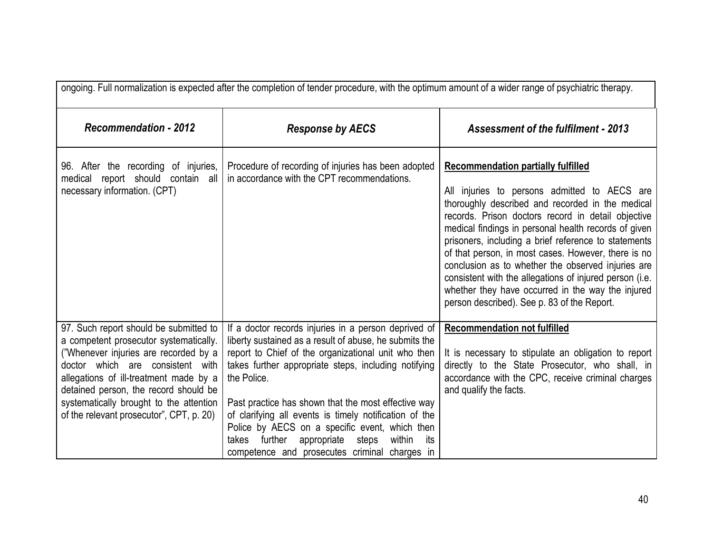| ongoing. Full normalization is expected after the completion of tender procedure, with the optimum amount of a wider range of psychiatric therapy.                                                                                                                                                                                      |                                                                                                                                                                                                                                                                                                                                                                                                                                                                                                                            |                                                                                                                                                                                                                                                                                                                                                                                                                                                                                                                                                                                                 |  |  |
|-----------------------------------------------------------------------------------------------------------------------------------------------------------------------------------------------------------------------------------------------------------------------------------------------------------------------------------------|----------------------------------------------------------------------------------------------------------------------------------------------------------------------------------------------------------------------------------------------------------------------------------------------------------------------------------------------------------------------------------------------------------------------------------------------------------------------------------------------------------------------------|-------------------------------------------------------------------------------------------------------------------------------------------------------------------------------------------------------------------------------------------------------------------------------------------------------------------------------------------------------------------------------------------------------------------------------------------------------------------------------------------------------------------------------------------------------------------------------------------------|--|--|
| <b>Recommendation - 2012</b>                                                                                                                                                                                                                                                                                                            | <b>Response by AECS</b>                                                                                                                                                                                                                                                                                                                                                                                                                                                                                                    | <b>Assessment of the fulfilment - 2013</b>                                                                                                                                                                                                                                                                                                                                                                                                                                                                                                                                                      |  |  |
| 96. After the recording of injuries,<br>medical report should contain all<br>necessary information. (CPT)                                                                                                                                                                                                                               | Procedure of recording of injuries has been adopted<br>in accordance with the CPT recommendations.                                                                                                                                                                                                                                                                                                                                                                                                                         | <b>Recommendation partially fulfilled</b><br>All injuries to persons admitted to AECS are<br>thoroughly described and recorded in the medical<br>records. Prison doctors record in detail objective<br>medical findings in personal health records of given<br>prisoners, including a brief reference to statements<br>of that person, in most cases. However, there is no<br>conclusion as to whether the observed injuries are<br>consistent with the allegations of injured person (i.e.<br>whether they have occurred in the way the injured<br>person described). See p. 83 of the Report. |  |  |
| 97. Such report should be submitted to<br>a competent prosecutor systematically.<br>("Whenever injuries are recorded by a<br>doctor which are consistent with<br>allegations of ill-treatment made by a<br>detained person, the record should be<br>systematically brought to the attention<br>of the relevant prosecutor", CPT, p. 20) | If a doctor records injuries in a person deprived of<br>liberty sustained as a result of abuse, he submits the<br>report to Chief of the organizational unit who then<br>takes further appropriate steps, including notifying<br>the Police.<br>Past practice has shown that the most effective way<br>of clarifying all events is timely notification of the<br>Police by AECS on a specific event, which then<br>further<br>appropriate steps<br>within<br>takes<br>its<br>competence and prosecutes criminal charges in | <b>Recommendation not fulfilled</b><br>It is necessary to stipulate an obligation to report<br>directly to the State Prosecutor, who shall, in<br>accordance with the CPC, receive criminal charges<br>and qualify the facts.                                                                                                                                                                                                                                                                                                                                                                   |  |  |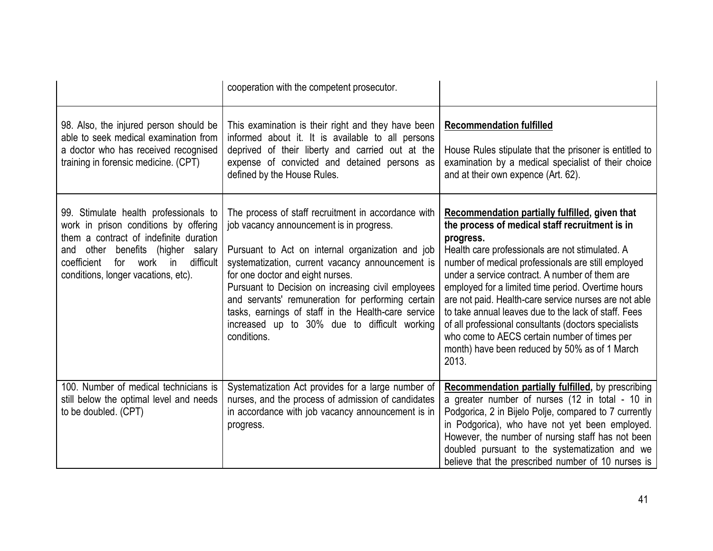|                                                                                                                                                                                                                                                       | cooperation with the competent prosecutor.                                                                                                                                                                                                                                                                                                                                                                                                                                   |                                                                                                                                                                                                                                                                                                                                                                                                                                                                                                                                                                                                                   |
|-------------------------------------------------------------------------------------------------------------------------------------------------------------------------------------------------------------------------------------------------------|------------------------------------------------------------------------------------------------------------------------------------------------------------------------------------------------------------------------------------------------------------------------------------------------------------------------------------------------------------------------------------------------------------------------------------------------------------------------------|-------------------------------------------------------------------------------------------------------------------------------------------------------------------------------------------------------------------------------------------------------------------------------------------------------------------------------------------------------------------------------------------------------------------------------------------------------------------------------------------------------------------------------------------------------------------------------------------------------------------|
| 98. Also, the injured person should be<br>able to seek medical examination from<br>a doctor who has received recognised<br>training in forensic medicine. (CPT)                                                                                       | This examination is their right and they have been<br>informed about it. It is available to all persons<br>deprived of their liberty and carried out at the<br>expense of convicted and detained persons as<br>defined by the House Rules.                                                                                                                                                                                                                                   | <b>Recommendation fulfilled</b><br>House Rules stipulate that the prisoner is entitled to<br>examination by a medical specialist of their choice<br>and at their own expence (Art. 62).                                                                                                                                                                                                                                                                                                                                                                                                                           |
| 99. Stimulate health professionals to<br>work in prison conditions by offering<br>them a contract of indefinite duration<br>benefits (higher salary<br>and other<br>coefficient<br>work in<br>difficult<br>for<br>conditions, longer vacations, etc). | The process of staff recruitment in accordance with<br>job vacancy announcement is in progress.<br>Pursuant to Act on internal organization and job<br>systematization, current vacancy announcement is<br>for one doctor and eight nurses.<br>Pursuant to Decision on increasing civil employees<br>and servants' remuneration for performing certain<br>tasks, earnings of staff in the Health-care service<br>increased up to 30% due to difficult working<br>conditions. | Recommendation partially fulfilled, given that<br>the process of medical staff recruitment is in<br>progress.<br>Health care professionals are not stimulated. A<br>number of medical professionals are still employed<br>under a service contract. A number of them are<br>employed for a limited time period. Overtime hours<br>are not paid. Health-care service nurses are not able<br>to take annual leaves due to the lack of staff. Fees<br>of all professional consultants (doctors specialists<br>who come to AECS certain number of times per<br>month) have been reduced by 50% as of 1 March<br>2013. |
| 100. Number of medical technicians is<br>still below the optimal level and needs<br>to be doubled. (CPT)                                                                                                                                              | Systematization Act provides for a large number of<br>nurses, and the process of admission of candidates<br>in accordance with job vacancy announcement is in<br>progress.                                                                                                                                                                                                                                                                                                   | <b>Recommendation partially fulfilled, by prescribing</b><br>a greater number of nurses (12 in total - 10 in<br>Podgorica, 2 in Bijelo Polje, compared to 7 currently<br>in Podgorica), who have not yet been employed.<br>However, the number of nursing staff has not been<br>doubled pursuant to the systematization and we<br>believe that the prescribed number of 10 nurses is                                                                                                                                                                                                                              |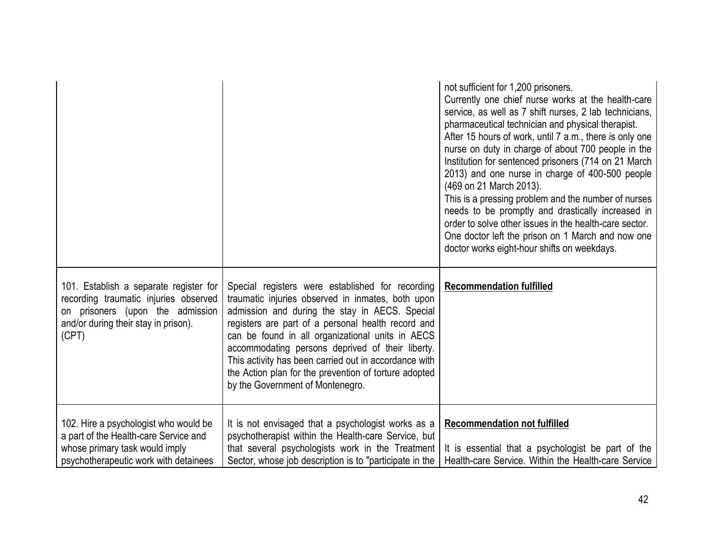|                                                                                                                                                                      |                                                                                                                                                                                                                                                                                                                                                                                                                                                                             | not sufficient for 1,200 prisoners.<br>Currently one chief nurse works at the health-care<br>service, as well as 7 shift nurses, 2 lab technicians,<br>pharmaceutical technician and physical therapist.<br>After 15 hours of work, until 7 a.m., there is only one<br>nurse on duty in charge of about 700 people in the<br>Institution for sentenced prisoners (714 on 21 March<br>2013) and one nurse in charge of 400-500 people<br>(469 on 21 March 2013).<br>This is a pressing problem and the number of nurses<br>needs to be promptly and drastically increased in<br>order to solve other issues in the health-care sector.<br>One doctor left the prison on 1 March and now one<br>doctor works eight-hour shifts on weekdays. |
|----------------------------------------------------------------------------------------------------------------------------------------------------------------------|-----------------------------------------------------------------------------------------------------------------------------------------------------------------------------------------------------------------------------------------------------------------------------------------------------------------------------------------------------------------------------------------------------------------------------------------------------------------------------|-------------------------------------------------------------------------------------------------------------------------------------------------------------------------------------------------------------------------------------------------------------------------------------------------------------------------------------------------------------------------------------------------------------------------------------------------------------------------------------------------------------------------------------------------------------------------------------------------------------------------------------------------------------------------------------------------------------------------------------------|
| 101. Establish a separate register for<br>recording traumatic injuries observed<br>on prisoners (upon the admission<br>and/or during their stay in prison).<br>(CPT) | Special registers were established for recording<br>traumatic injuries observed in inmates, both upon<br>admission and during the stay in AECS. Special<br>registers are part of a personal health record and<br>can be found in all organizational units in AECS<br>accommodating persons deprived of their liberty.<br>This activity has been carried out in accordance with<br>the Action plan for the prevention of torture adopted<br>by the Government of Montenegro. | <b>Recommendation fulfilled</b>                                                                                                                                                                                                                                                                                                                                                                                                                                                                                                                                                                                                                                                                                                           |
| 102. Hire a psychologist who would be<br>a part of the Health-care Service and<br>whose primary task would imply<br>psychotherapeutic work with detainees            | It is not envisaged that a psychologist works as a<br>psychotherapist within the Health-care Service, but<br>that several psychologists work in the Treatment<br>Sector, whose job description is to "participate in the                                                                                                                                                                                                                                                    | <b>Recommendation not fulfilled</b><br>It is essential that a psychologist be part of the<br>Health-care Service. Within the Health-care Service                                                                                                                                                                                                                                                                                                                                                                                                                                                                                                                                                                                          |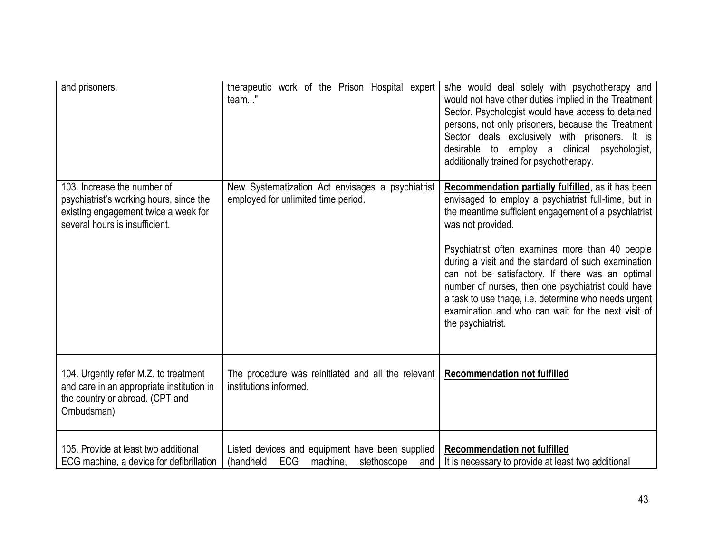| and prisoners.                                                                                                                                   | therapeutic work of the Prison Hospital expert<br>team"                                                      | s/he would deal solely with psychotherapy and<br>would not have other duties implied in the Treatment<br>Sector. Psychologist would have access to detained<br>persons, not only prisoners, because the Treatment<br>Sector deals exclusively with prisoners. It is<br>desirable to employ a clinical psychologist,<br>additionally trained for psychotherapy. |
|--------------------------------------------------------------------------------------------------------------------------------------------------|--------------------------------------------------------------------------------------------------------------|----------------------------------------------------------------------------------------------------------------------------------------------------------------------------------------------------------------------------------------------------------------------------------------------------------------------------------------------------------------|
| 103. Increase the number of<br>psychiatrist's working hours, since the<br>existing engagement twice a week for<br>several hours is insufficient. | New Systematization Act envisages a psychiatrist<br>employed for unlimited time period.                      | Recommendation partially fulfilled, as it has been<br>envisaged to employ a psychiatrist full-time, but in<br>the meantime sufficient engagement of a psychiatrist<br>was not provided.                                                                                                                                                                        |
|                                                                                                                                                  |                                                                                                              | Psychiatrist often examines more than 40 people<br>during a visit and the standard of such examination<br>can not be satisfactory. If there was an optimal<br>number of nurses, then one psychiatrist could have<br>a task to use triage, i.e. determine who needs urgent<br>examination and who can wait for the next visit of<br>the psychiatrist.           |
| 104. Urgently refer M.Z. to treatment<br>and care in an appropriate institution in<br>the country or abroad. (CPT and<br>Ombudsman)              | The procedure was reinitiated and all the relevant<br>institutions informed.                                 | <b>Recommendation not fulfilled</b>                                                                                                                                                                                                                                                                                                                            |
| 105. Provide at least two additional<br>ECG machine, a device for defibrillation                                                                 | Listed devices and equipment have been supplied<br><b>ECG</b><br>(handheld<br>stethoscope<br>machine,<br>and | <b>Recommendation not fulfilled</b><br>It is necessary to provide at least two additional                                                                                                                                                                                                                                                                      |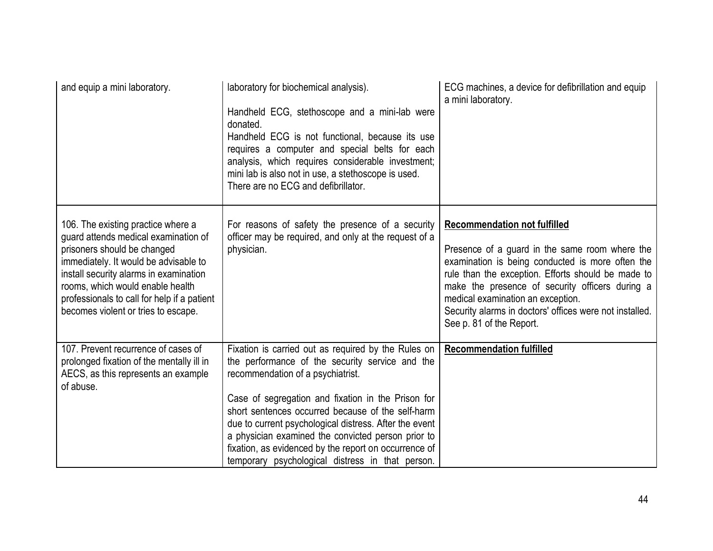| and equip a mini laboratory.                                                                                                                                                                                                                                                                                           | laboratory for biochemical analysis).<br>Handheld ECG, stethoscope and a mini-lab were<br>donated.<br>Handheld ECG is not functional, because its use<br>requires a computer and special belts for each<br>analysis, which requires considerable investment;<br>mini lab is also not in use, a stethoscope is used.<br>There are no ECG and defibrillator.                                                                                                                          | ECG machines, a device for defibrillation and equip<br>a mini laboratory.                                                                                                                                                                                                                                                                                                      |
|------------------------------------------------------------------------------------------------------------------------------------------------------------------------------------------------------------------------------------------------------------------------------------------------------------------------|-------------------------------------------------------------------------------------------------------------------------------------------------------------------------------------------------------------------------------------------------------------------------------------------------------------------------------------------------------------------------------------------------------------------------------------------------------------------------------------|--------------------------------------------------------------------------------------------------------------------------------------------------------------------------------------------------------------------------------------------------------------------------------------------------------------------------------------------------------------------------------|
| 106. The existing practice where a<br>guard attends medical examination of<br>prisoners should be changed<br>immediately. It would be advisable to<br>install security alarms in examination<br>rooms, which would enable health<br>professionals to call for help if a patient<br>becomes violent or tries to escape. | For reasons of safety the presence of a security<br>officer may be required, and only at the request of a<br>physician.                                                                                                                                                                                                                                                                                                                                                             | <b>Recommendation not fulfilled</b><br>Presence of a guard in the same room where the<br>examination is being conducted is more often the<br>rule than the exception. Efforts should be made to<br>make the presence of security officers during a<br>medical examination an exception.<br>Security alarms in doctors' offices were not installed.<br>See p. 81 of the Report. |
| 107. Prevent recurrence of cases of<br>prolonged fixation of the mentally ill in<br>AECS, as this represents an example<br>of abuse.                                                                                                                                                                                   | Fixation is carried out as required by the Rules on<br>the performance of the security service and the<br>recommendation of a psychiatrist.<br>Case of segregation and fixation in the Prison for<br>short sentences occurred because of the self-harm<br>due to current psychological distress. After the event<br>a physician examined the convicted person prior to<br>fixation, as evidenced by the report on occurrence of<br>temporary psychological distress in that person. | <b>Recommendation fulfilled</b>                                                                                                                                                                                                                                                                                                                                                |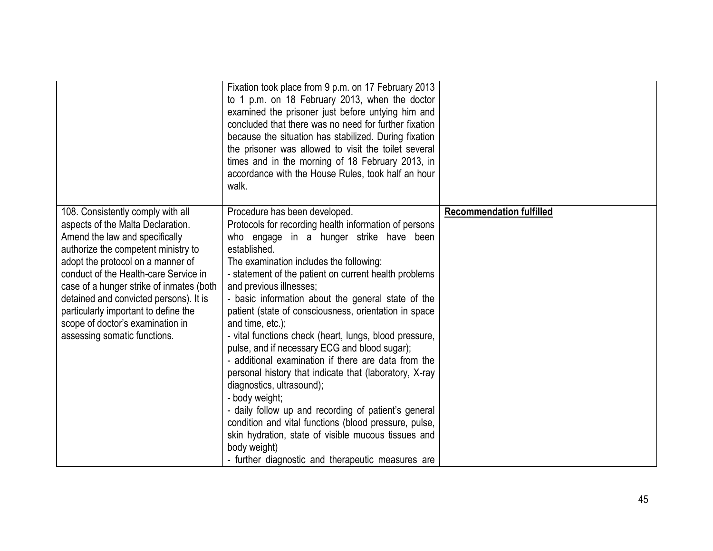|                                                                                                                                                                                                                                                                                                                                                                                                                                 | Fixation took place from 9 p.m. on 17 February 2013<br>to 1 p.m. on 18 February 2013, when the doctor<br>examined the prisoner just before untying him and<br>concluded that there was no need for further fixation<br>because the situation has stabilized. During fixation<br>the prisoner was allowed to visit the toilet several<br>times and in the morning of 18 February 2013, in<br>accordance with the House Rules, took half an hour<br>walk.                                                                                                                                                                                                                                                                                                                                                                                                                                                                                     |                                 |
|---------------------------------------------------------------------------------------------------------------------------------------------------------------------------------------------------------------------------------------------------------------------------------------------------------------------------------------------------------------------------------------------------------------------------------|---------------------------------------------------------------------------------------------------------------------------------------------------------------------------------------------------------------------------------------------------------------------------------------------------------------------------------------------------------------------------------------------------------------------------------------------------------------------------------------------------------------------------------------------------------------------------------------------------------------------------------------------------------------------------------------------------------------------------------------------------------------------------------------------------------------------------------------------------------------------------------------------------------------------------------------------|---------------------------------|
| 108. Consistently comply with all<br>aspects of the Malta Declaration.<br>Amend the law and specifically<br>authorize the competent ministry to<br>adopt the protocol on a manner of<br>conduct of the Health-care Service in<br>case of a hunger strike of inmates (both<br>detained and convicted persons). It is<br>particularly important to define the<br>scope of doctor's examination in<br>assessing somatic functions. | Procedure has been developed.<br>Protocols for recording health information of persons<br>who engage in a hunger strike have been<br>established.<br>The examination includes the following:<br>- statement of the patient on current health problems<br>and previous illnesses;<br>- basic information about the general state of the<br>patient (state of consciousness, orientation in space<br>and time, etc.);<br>- vital functions check (heart, lungs, blood pressure,<br>pulse, and if necessary ECG and blood sugar);<br>- additional examination if there are data from the<br>personal history that indicate that (laboratory, X-ray<br>diagnostics, ultrasound);<br>- body weight;<br>- daily follow up and recording of patient's general<br>condition and vital functions (blood pressure, pulse,<br>skin hydration, state of visible mucous tissues and<br>body weight)<br>- further diagnostic and therapeutic measures are | <b>Recommendation fulfilled</b> |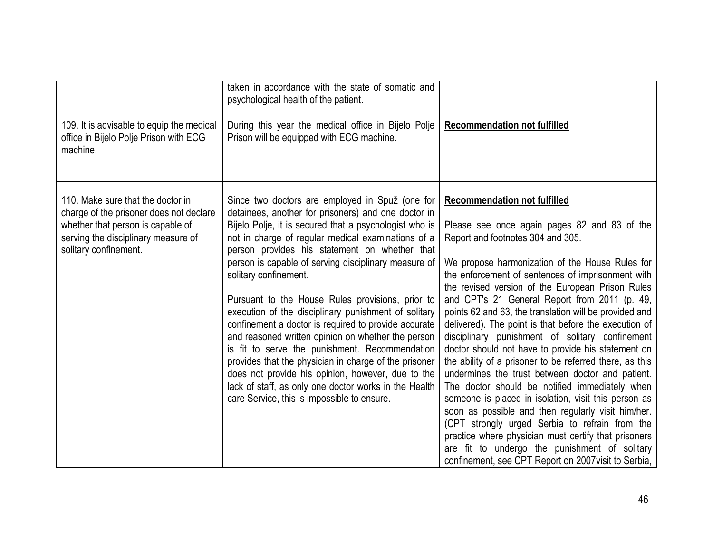|                                                                                                                                                                                   | taken in accordance with the state of somatic and<br>psychological health of the patient.                                                                                                                                                                                                                                                                                                                                                                                                                                                                                                                                                                                                                                                                                                                                                                  |                                                                                                                                                                                                                                                                                                                                                                                                                                                                                                                                                                                                                                                                                                                                                                                                                                                                                                                                                                                                                                                                     |
|-----------------------------------------------------------------------------------------------------------------------------------------------------------------------------------|------------------------------------------------------------------------------------------------------------------------------------------------------------------------------------------------------------------------------------------------------------------------------------------------------------------------------------------------------------------------------------------------------------------------------------------------------------------------------------------------------------------------------------------------------------------------------------------------------------------------------------------------------------------------------------------------------------------------------------------------------------------------------------------------------------------------------------------------------------|---------------------------------------------------------------------------------------------------------------------------------------------------------------------------------------------------------------------------------------------------------------------------------------------------------------------------------------------------------------------------------------------------------------------------------------------------------------------------------------------------------------------------------------------------------------------------------------------------------------------------------------------------------------------------------------------------------------------------------------------------------------------------------------------------------------------------------------------------------------------------------------------------------------------------------------------------------------------------------------------------------------------------------------------------------------------|
| 109. It is advisable to equip the medical<br>office in Bijelo Polje Prison with ECG<br>machine.                                                                                   | During this year the medical office in Bijelo Polje<br>Prison will be equipped with ECG machine.                                                                                                                                                                                                                                                                                                                                                                                                                                                                                                                                                                                                                                                                                                                                                           | <b>Recommendation not fulfilled</b>                                                                                                                                                                                                                                                                                                                                                                                                                                                                                                                                                                                                                                                                                                                                                                                                                                                                                                                                                                                                                                 |
| 110. Make sure that the doctor in<br>charge of the prisoner does not declare<br>whether that person is capable of<br>serving the disciplinary measure of<br>solitary confinement. | Since two doctors are employed in Spuž (one for<br>detainees, another for prisoners) and one doctor in<br>Bijelo Polje, it is secured that a psychologist who is<br>not in charge of regular medical examinations of a<br>person provides his statement on whether that<br>person is capable of serving disciplinary measure of<br>solitary confinement.<br>Pursuant to the House Rules provisions, prior to<br>execution of the disciplinary punishment of solitary<br>confinement a doctor is required to provide accurate<br>and reasoned written opinion on whether the person<br>is fit to serve the punishment. Recommendation<br>provides that the physician in charge of the prisoner<br>does not provide his opinion, however, due to the<br>lack of staff, as only one doctor works in the Health<br>care Service, this is impossible to ensure. | <b>Recommendation not fulfilled</b><br>Please see once again pages 82 and 83 of the<br>Report and footnotes 304 and 305.<br>We propose harmonization of the House Rules for<br>the enforcement of sentences of imprisonment with<br>the revised version of the European Prison Rules<br>and CPT's 21 General Report from 2011 (p. 49,<br>points 62 and 63, the translation will be provided and<br>delivered). The point is that before the execution of<br>disciplinary punishment of solitary confinement<br>doctor should not have to provide his statement on<br>the ability of a prisoner to be referred there, as this<br>undermines the trust between doctor and patient.<br>The doctor should be notified immediately when<br>someone is placed in isolation, visit this person as<br>soon as possible and then regularly visit him/her.<br>(CPT strongly urged Serbia to refrain from the<br>practice where physician must certify that prisoners<br>are fit to undergo the punishment of solitary<br>confinement, see CPT Report on 2007 visit to Serbia, |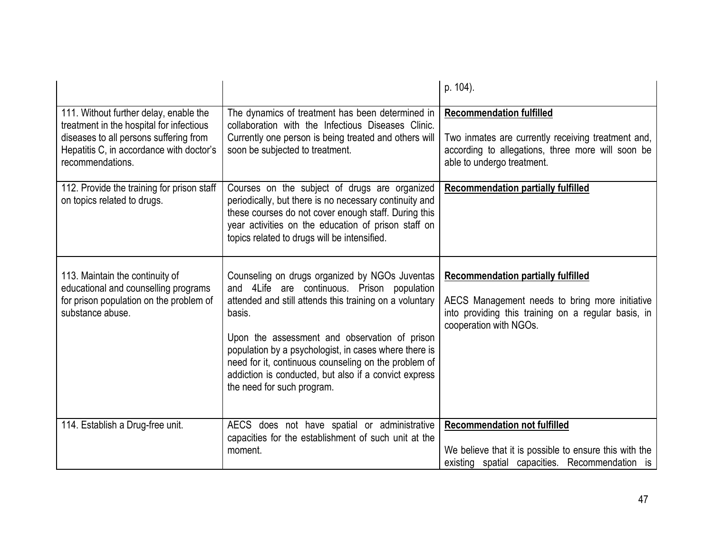|                                                                                                                                                                                              |                                                                                                                                                                                                                                                                                                                                                                                                                             | p. 104).                                                                                                                                                                     |
|----------------------------------------------------------------------------------------------------------------------------------------------------------------------------------------------|-----------------------------------------------------------------------------------------------------------------------------------------------------------------------------------------------------------------------------------------------------------------------------------------------------------------------------------------------------------------------------------------------------------------------------|------------------------------------------------------------------------------------------------------------------------------------------------------------------------------|
| 111. Without further delay, enable the<br>treatment in the hospital for infectious<br>diseases to all persons suffering from<br>Hepatitis C, in accordance with doctor's<br>recommendations. | The dynamics of treatment has been determined in<br>collaboration with the Infectious Diseases Clinic.<br>Currently one person is being treated and others will<br>soon be subjected to treatment.                                                                                                                                                                                                                          | <b>Recommendation fulfilled</b><br>Two inmates are currently receiving treatment and,<br>according to allegations, three more will soon be<br>able to undergo treatment.     |
| 112. Provide the training for prison staff<br>on topics related to drugs.                                                                                                                    | Courses on the subject of drugs are organized<br>periodically, but there is no necessary continuity and<br>these courses do not cover enough staff. During this<br>year activities on the education of prison staff on<br>topics related to drugs will be intensified.                                                                                                                                                      | <b>Recommendation partially fulfilled</b>                                                                                                                                    |
| 113. Maintain the continuity of<br>educational and counselling programs<br>for prison population on the problem of<br>substance abuse.                                                       | Counseling on drugs organized by NGOs Juventas<br>and 4Life are continuous. Prison population<br>attended and still attends this training on a voluntary<br>basis.<br>Upon the assessment and observation of prison<br>population by a psychologist, in cases where there is<br>need for it, continuous counseling on the problem of<br>addiction is conducted, but also if a convict express<br>the need for such program. | <b>Recommendation partially fulfilled</b><br>AECS Management needs to bring more initiative<br>into providing this training on a regular basis, in<br>cooperation with NGOs. |
| 114. Establish a Drug-free unit.                                                                                                                                                             | AECS does not have spatial or administrative<br>capacities for the establishment of such unit at the<br>moment.                                                                                                                                                                                                                                                                                                             | <b>Recommendation not fulfilled</b><br>We believe that it is possible to ensure this with the<br>existing spatial capacities. Recommendation is                              |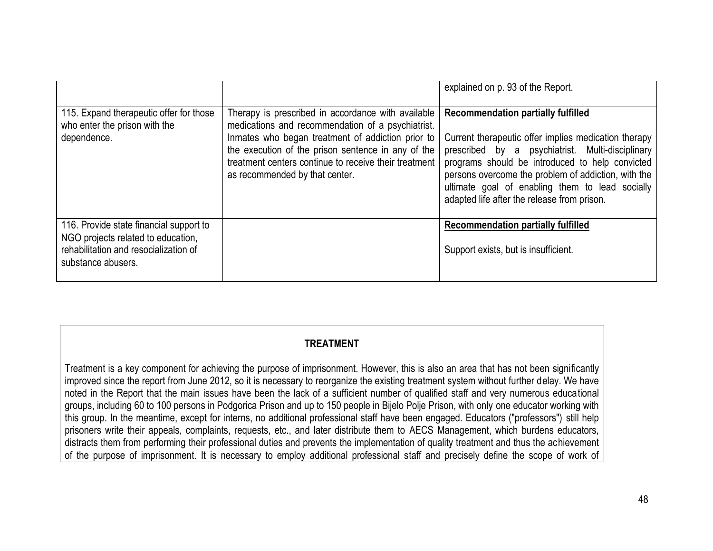|                                                                                                                                              |                                                                                                                                                                                                                                                                                                                 | explained on p. 93 of the Report.                                                                                                                                                                                                                                                                                                                                 |
|----------------------------------------------------------------------------------------------------------------------------------------------|-----------------------------------------------------------------------------------------------------------------------------------------------------------------------------------------------------------------------------------------------------------------------------------------------------------------|-------------------------------------------------------------------------------------------------------------------------------------------------------------------------------------------------------------------------------------------------------------------------------------------------------------------------------------------------------------------|
| 115. Expand therapeutic offer for those<br>who enter the prison with the<br>dependence.                                                      | Therapy is prescribed in accordance with available<br>medications and recommendation of a psychiatrist.<br>Inmates who began treatment of addiction prior to<br>the execution of the prison sentence in any of the<br>treatment centers continue to receive their treatment  <br>as recommended by that center. | <b>Recommendation partially fulfilled</b><br>Current therapeutic offer implies medication therapy<br>prescribed by a psychiatrist. Multi-disciplinary<br>programs should be introduced to help convicted<br>persons overcome the problem of addiction, with the<br>ultimate goal of enabling them to lead socially<br>adapted life after the release from prison. |
| 116. Provide state financial support to<br>NGO projects related to education,<br>rehabilitation and resocialization of<br>substance abusers. |                                                                                                                                                                                                                                                                                                                 | <b>Recommendation partially fulfilled</b><br>Support exists, but is insufficient.                                                                                                                                                                                                                                                                                 |

### **TREATMENT**

Treatment is a key component for achieving the purpose of imprisonment. However, this is also an area that has not been significantly improved since the report from June 2012, so it is necessary to reorganize the existing treatment system without further delay. We have noted in the Report that the main issues have been the lack of a sufficient number of qualified staff and very numerous educational groups, including 60 to 100 persons in Podgorica Prison and up to 150 people in Bijelo Polje Prison, with only one educator working with this group. In the meantime, except for interns, no additional professional staff have been engaged. Educators ("professors") still help prisoners write their appeals, complaints, requests, etc., and later distribute them to AECS Management, which burdens educators, distracts them from performing their professional duties and prevents the implementation of quality treatment and thus the achievement of the purpose of imprisonment. It is necessary to employ additional professional staff and precisely define the scope of work of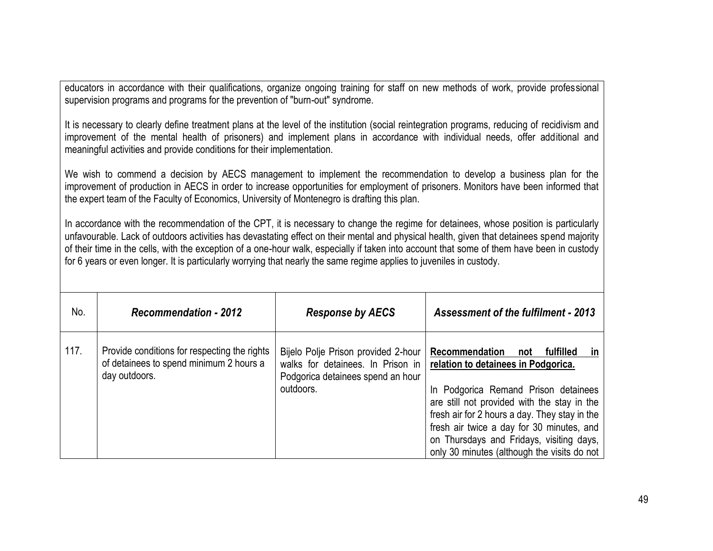educators in accordance with their qualifications, organize ongoing training for staff on new methods of work, provide professional supervision programs and programs for the prevention of "burn-out" syndrome.

It is necessary to clearly define treatment plans at the level of the institution (social reintegration programs, reducing of recidivism and improvement of the mental health of prisoners) and implement plans in accordance with individual needs, offer additional and meaningful activities and provide conditions for their implementation.

We wish to commend a decision by AECS management to implement the recommendation to develop a business plan for the improvement of production in AECS in order to increase opportunities for employment of prisoners. Monitors have been informed that the expert team of the Faculty of Economics, University of Montenegro is drafting this plan.

In accordance with the recommendation of the CPT, it is necessary to change the regime for detainees, whose position is particularly unfavourable. Lack of outdoors activities has devastating effect on their mental and physical health, given that detainees spend majority of their time in the cells, with the exception of a one-hour walk, especially if taken into account that some of them have been in custody for 6 years or even longer. It is particularly worrying that nearly the same regime applies to juveniles in custody.

| No.  | <b>Recommendation - 2012</b>                                                                             | <b>Response by AECS</b>                                                                                                    | <b>Assessment of the fulfilment - 2013</b>                                                                                                                                                                                                                                                                                                                      |
|------|----------------------------------------------------------------------------------------------------------|----------------------------------------------------------------------------------------------------------------------------|-----------------------------------------------------------------------------------------------------------------------------------------------------------------------------------------------------------------------------------------------------------------------------------------------------------------------------------------------------------------|
| 117. | Provide conditions for respecting the rights<br>of detainees to spend minimum 2 hours a<br>day outdoors. | Bijelo Polje Prison provided 2-hour<br>walks for detainees. In Prison in<br>Podgorica detainees spend an hour<br>outdoors. | Recommendation<br>fulfilled<br>not<br>ın<br>relation to detainees in Podgorica.<br>In Podgorica Remand Prison detainees<br>are still not provided with the stay in the<br>fresh air for 2 hours a day. They stay in the<br>fresh air twice a day for 30 minutes, and<br>on Thursdays and Fridays, visiting days,<br>only 30 minutes (although the visits do not |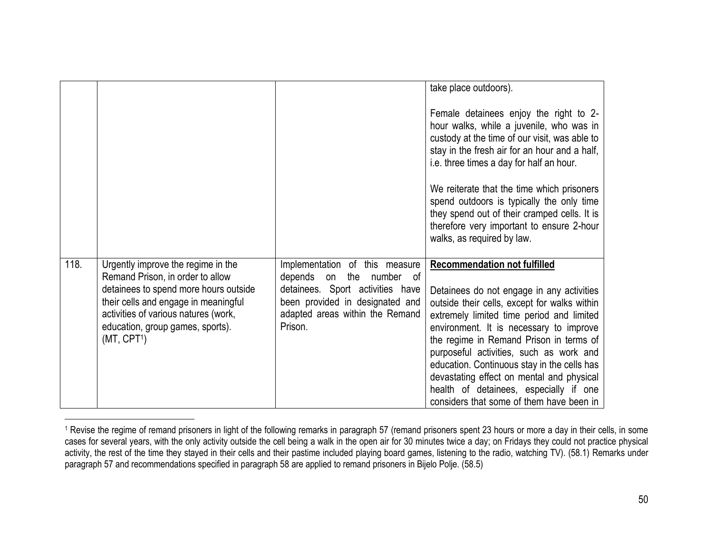|      |                                                                                                                                                                                                                                                                |                                                                                                                                                                                          | take place outdoors).                                                                                                                                                                                                                                                                                                                                                                                                                                                                            |
|------|----------------------------------------------------------------------------------------------------------------------------------------------------------------------------------------------------------------------------------------------------------------|------------------------------------------------------------------------------------------------------------------------------------------------------------------------------------------|--------------------------------------------------------------------------------------------------------------------------------------------------------------------------------------------------------------------------------------------------------------------------------------------------------------------------------------------------------------------------------------------------------------------------------------------------------------------------------------------------|
|      |                                                                                                                                                                                                                                                                |                                                                                                                                                                                          |                                                                                                                                                                                                                                                                                                                                                                                                                                                                                                  |
|      |                                                                                                                                                                                                                                                                |                                                                                                                                                                                          | Female detainees enjoy the right to 2-<br>hour walks, while a juvenile, who was in<br>custody at the time of our visit, was able to<br>stay in the fresh air for an hour and a half,<br>i.e. three times a day for half an hour.                                                                                                                                                                                                                                                                 |
|      |                                                                                                                                                                                                                                                                |                                                                                                                                                                                          | We reiterate that the time which prisoners<br>spend outdoors is typically the only time<br>they spend out of their cramped cells. It is<br>therefore very important to ensure 2-hour<br>walks, as required by law.                                                                                                                                                                                                                                                                               |
| 118. | Urgently improve the regime in the<br>Remand Prison, in order to allow<br>detainees to spend more hours outside<br>their cells and engage in meaningful<br>activities of various natures (work,<br>education, group games, sports).<br>(MT, CPT <sup>1</sup> ) | Implementation of this measure<br>depends<br>the<br>number of<br>on<br>detainees. Sport activities have<br>been provided in designated and<br>adapted areas within the Remand<br>Prison. | <b>Recommendation not fulfilled</b><br>Detainees do not engage in any activities<br>outside their cells, except for walks within<br>extremely limited time period and limited<br>environment. It is necessary to improve<br>the regime in Remand Prison in terms of<br>purposeful activities, such as work and<br>education. Continuous stay in the cells has<br>devastating effect on mental and physical<br>health of detainees, especially if one<br>considers that some of them have been in |

<sup>&</sup>lt;sup>1</sup> Revise the regime of remand prisoners in light of the following remarks in paragraph 57 (remand prisoners spent 23 hours or more a day in their cells, in some cases for several years, with the only activity outside the cell being a walk in the open air for 30 minutes twice a day; on Fridays they could not practice physical activity, the rest of the time they stayed in their cells and their pastime included playing board games, listening to the radio, watching TV). (58.1) Remarks under paragraph 57 and recommendations specified in paragraph 58 are applied to remand prisoners in Bijelo Polje. (58.5)

 $\overline{a}$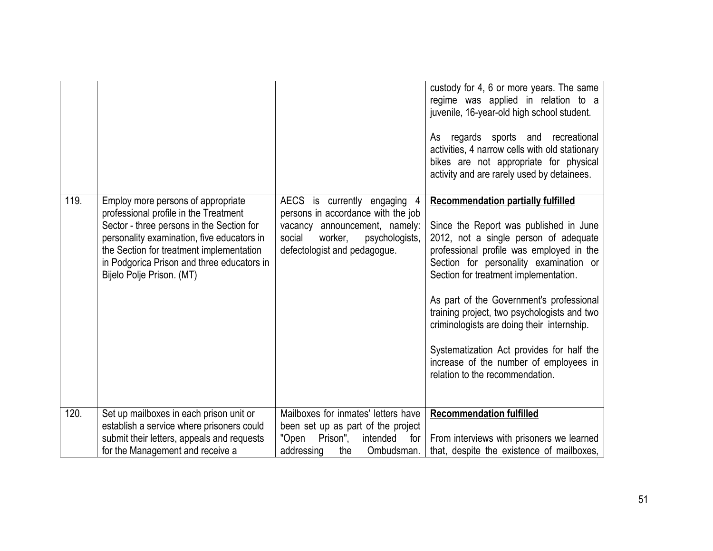|      |                                                                                                                                                                                                                                                                                               |                                                                                                                                                                          | custody for 4, 6 or more years. The same<br>regime was applied in relation to a<br>juvenile, 16-year-old high school student.<br>regards sports and recreational<br>As<br>activities, 4 narrow cells with old stationary<br>bikes are not appropriate for physical<br>activity and are rarely used by detainees.                                                                                                                                                                                                               |
|------|-----------------------------------------------------------------------------------------------------------------------------------------------------------------------------------------------------------------------------------------------------------------------------------------------|--------------------------------------------------------------------------------------------------------------------------------------------------------------------------|--------------------------------------------------------------------------------------------------------------------------------------------------------------------------------------------------------------------------------------------------------------------------------------------------------------------------------------------------------------------------------------------------------------------------------------------------------------------------------------------------------------------------------|
| 119. | Employ more persons of appropriate<br>professional profile in the Treatment<br>Sector - three persons in the Section for<br>personality examination, five educators in<br>the Section for treatment implementation<br>in Podgorica Prison and three educators in<br>Bijelo Polje Prison. (MT) | AECS is currently engaging<br>persons in accordance with the job<br>vacancy announcement, namely:<br>social<br>worker,<br>psychologists,<br>defectologist and pedagogue. | <b>Recommendation partially fulfilled</b><br>Since the Report was published in June<br>2012, not a single person of adequate<br>professional profile was employed in the<br>Section for personality examination or<br>Section for treatment implementation.<br>As part of the Government's professional<br>training project, two psychologists and two<br>criminologists are doing their internship.<br>Systematization Act provides for half the<br>increase of the number of employees in<br>relation to the recommendation. |
| 120. | Set up mailboxes in each prison unit or<br>establish a service where prisoners could<br>submit their letters, appeals and requests<br>for the Management and receive a                                                                                                                        | Mailboxes for inmates' letters have<br>been set up as part of the project<br>"Open<br>Prison",<br>intended<br>for<br>addressing<br>Ombudsman.<br>the                     | <b>Recommendation fulfilled</b><br>From interviews with prisoners we learned<br>that, despite the existence of mailboxes,                                                                                                                                                                                                                                                                                                                                                                                                      |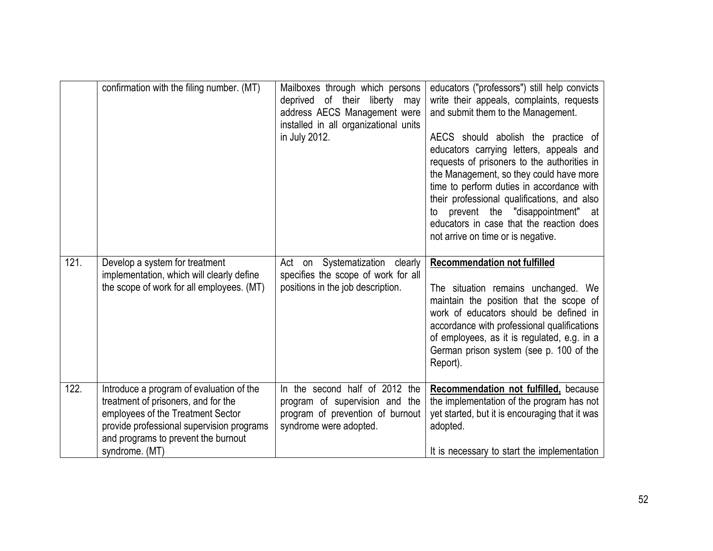|      | confirmation with the filing number. (MT)                                                                                                                                                                                  | Mailboxes through which persons<br>deprived<br>of their liberty<br>may<br>address AECS Management were<br>installed in all organizational units<br>in July 2012. | educators ("professors") still help convicts<br>write their appeals, complaints, requests<br>and submit them to the Management.<br>AECS should abolish the practice of<br>educators carrying letters, appeals and<br>requests of prisoners to the authorities in<br>the Management, so they could have more<br>time to perform duties in accordance with<br>their professional qualifications, and also<br>prevent the "disappointment" at<br>to<br>educators in case that the reaction does<br>not arrive on time or is negative. |
|------|----------------------------------------------------------------------------------------------------------------------------------------------------------------------------------------------------------------------------|------------------------------------------------------------------------------------------------------------------------------------------------------------------|------------------------------------------------------------------------------------------------------------------------------------------------------------------------------------------------------------------------------------------------------------------------------------------------------------------------------------------------------------------------------------------------------------------------------------------------------------------------------------------------------------------------------------|
| 121. | Develop a system for treatment<br>implementation, which will clearly define<br>the scope of work for all employees. (MT)                                                                                                   | Act on Systematization clearly<br>specifies the scope of work for all<br>positions in the job description.                                                       | <b>Recommendation not fulfilled</b><br>The situation remains unchanged. We<br>maintain the position that the scope of<br>work of educators should be defined in<br>accordance with professional qualifications<br>of employees, as it is regulated, e.g. in a<br>German prison system (see p. 100 of the<br>Report).                                                                                                                                                                                                               |
| 122. | Introduce a program of evaluation of the<br>treatment of prisoners, and for the<br>employees of the Treatment Sector<br>provide professional supervision programs<br>and programs to prevent the burnout<br>syndrome. (MT) | In the second half of 2012 the<br>program of supervision and the<br>program of prevention of burnout<br>syndrome were adopted.                                   | Recommendation not fulfilled, because<br>the implementation of the program has not<br>yet started, but it is encouraging that it was<br>adopted.<br>It is necessary to start the implementation                                                                                                                                                                                                                                                                                                                                    |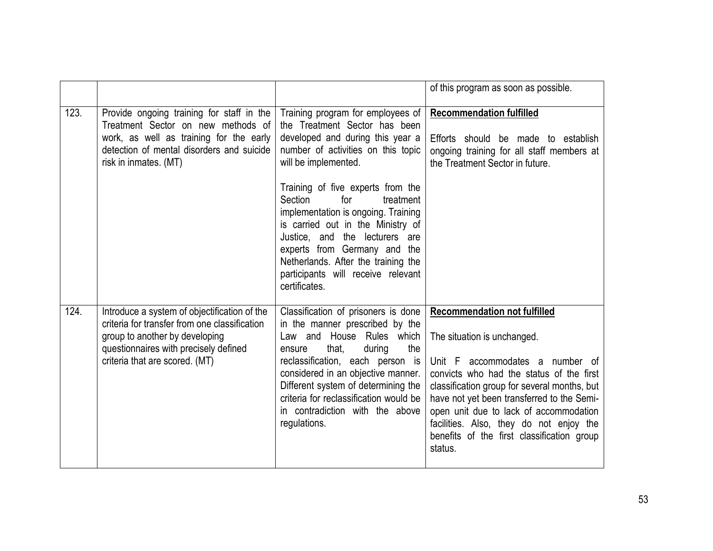|      |                                                                                                                                                                                                            |                                                                                                                                                                                                                                                                                                                                                       | of this program as soon as possible.                                                                                                                                                                                                                                                                                                                                                          |
|------|------------------------------------------------------------------------------------------------------------------------------------------------------------------------------------------------------------|-------------------------------------------------------------------------------------------------------------------------------------------------------------------------------------------------------------------------------------------------------------------------------------------------------------------------------------------------------|-----------------------------------------------------------------------------------------------------------------------------------------------------------------------------------------------------------------------------------------------------------------------------------------------------------------------------------------------------------------------------------------------|
| 123. | Provide ongoing training for staff in the<br>Treatment Sector on new methods of<br>work, as well as training for the early<br>detection of mental disorders and suicide<br>risk in inmates. (MT)           | Training program for employees of<br>the Treatment Sector has been<br>developed and during this year a<br>number of activities on this topic<br>will be implemented.                                                                                                                                                                                  | <b>Recommendation fulfilled</b><br>Efforts should be made to establish<br>ongoing training for all staff members at<br>the Treatment Sector in future.                                                                                                                                                                                                                                        |
|      |                                                                                                                                                                                                            | Training of five experts from the<br>Section<br>for<br>treatment<br>implementation is ongoing. Training<br>is carried out in the Ministry of<br>Justice, and the lecturers are<br>experts from Germany and the<br>Netherlands. After the training the<br>participants will receive relevant<br>certificates.                                          |                                                                                                                                                                                                                                                                                                                                                                                               |
| 124. | Introduce a system of objectification of the<br>criteria for transfer from one classification<br>group to another by developing<br>questionnaires with precisely defined<br>criteria that are scored. (MT) | Classification of prisoners is done<br>in the manner prescribed by the<br>Law and House Rules which<br>that,<br>during<br>the<br>ensure<br>reclassification, each person is<br>considered in an objective manner.<br>Different system of determining the<br>criteria for reclassification would be<br>in contradiction with the above<br>regulations. | <b>Recommendation not fulfilled</b><br>The situation is unchanged.<br>Unit F accommodates a number of<br>convicts who had the status of the first<br>classification group for several months, but<br>have not yet been transferred to the Semi-<br>open unit due to lack of accommodation<br>facilities. Also, they do not enjoy the<br>benefits of the first classification group<br>status. |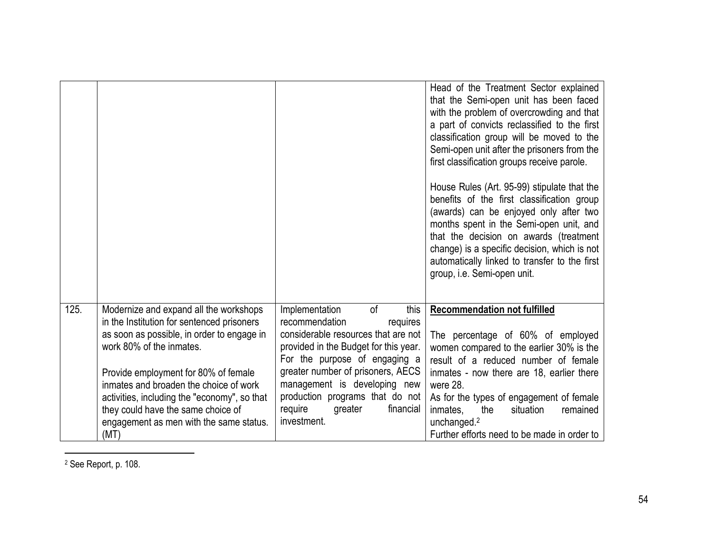|      |                                                                                                                                                                                                                                                                                                                                                                                           |                                                                                                                                                                                                                                                                                                                                       | Head of the Treatment Sector explained<br>that the Semi-open unit has been faced<br>with the problem of overcrowding and that<br>a part of convicts reclassified to the first<br>classification group will be moved to the<br>Semi-open unit after the prisoners from the<br>first classification groups receive parole.<br>House Rules (Art. 95-99) stipulate that the<br>benefits of the first classification group<br>(awards) can be enjoyed only after two<br>months spent in the Semi-open unit, and<br>that the decision on awards (treatment<br>change) is a specific decision, which is not<br>automatically linked to transfer to the first<br>group, i.e. Semi-open unit. |
|------|-------------------------------------------------------------------------------------------------------------------------------------------------------------------------------------------------------------------------------------------------------------------------------------------------------------------------------------------------------------------------------------------|---------------------------------------------------------------------------------------------------------------------------------------------------------------------------------------------------------------------------------------------------------------------------------------------------------------------------------------|--------------------------------------------------------------------------------------------------------------------------------------------------------------------------------------------------------------------------------------------------------------------------------------------------------------------------------------------------------------------------------------------------------------------------------------------------------------------------------------------------------------------------------------------------------------------------------------------------------------------------------------------------------------------------------------|
| 125. | Modernize and expand all the workshops<br>in the Institution for sentenced prisoners<br>as soon as possible, in order to engage in<br>work 80% of the inmates.<br>Provide employment for 80% of female<br>inmates and broaden the choice of work<br>activities, including the "economy", so that<br>they could have the same choice of<br>engagement as men with the same status.<br>(MT) | Implementation<br>0f<br>this<br>recommendation<br>requires<br>considerable resources that are not<br>provided in the Budget for this year.<br>For the purpose of engaging a<br>greater number of prisoners, AECS<br>management is developing new<br>production programs that do not<br>financial<br>require<br>greater<br>investment. | <b>Recommendation not fulfilled</b><br>The percentage of 60% of employed<br>women compared to the earlier 30% is the<br>result of a reduced number of female<br>inmates - now there are 18, earlier there<br>were 28.<br>As for the types of engagement of female<br>inmates.<br>the<br>situation<br>remained<br>unchanged. <sup>2</sup><br>Further efforts need to be made in order to                                                                                                                                                                                                                                                                                              |

<sup>2</sup> See Report, p. 108.

 $\overline{a}$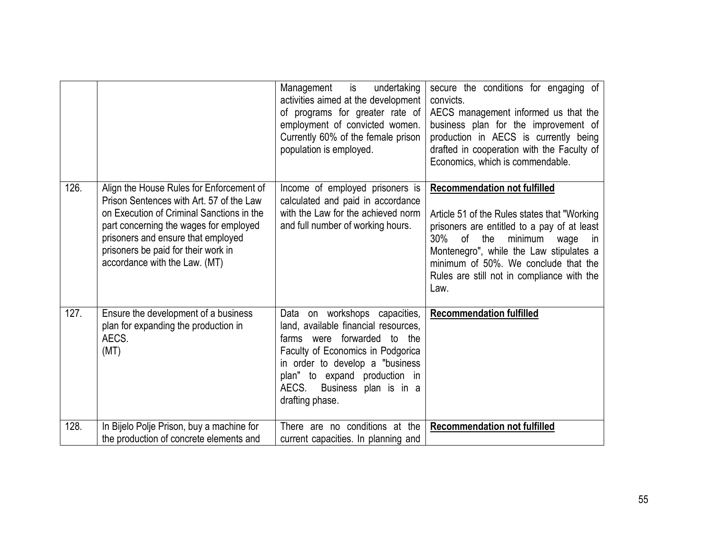|      |                                                                                                                                                                                                                                                                                           | undertaking<br>Management is<br>activities aimed at the development<br>of programs for greater rate of<br>employment of convicted women.<br>Currently 60% of the female prison<br>population is employed.                                                           | secure the conditions for engaging of<br>convicts.<br>AECS management informed us that the<br>business plan for the improvement of<br>production in AECS is currently being<br>drafted in cooperation with the Faculty of<br>Economics, which is commendable.                                                       |
|------|-------------------------------------------------------------------------------------------------------------------------------------------------------------------------------------------------------------------------------------------------------------------------------------------|---------------------------------------------------------------------------------------------------------------------------------------------------------------------------------------------------------------------------------------------------------------------|---------------------------------------------------------------------------------------------------------------------------------------------------------------------------------------------------------------------------------------------------------------------------------------------------------------------|
| 126. | Align the House Rules for Enforcement of<br>Prison Sentences with Art. 57 of the Law<br>on Execution of Criminal Sanctions in the<br>part concerning the wages for employed<br>prisoners and ensure that employed<br>prisoners be paid for their work in<br>accordance with the Law. (MT) | Income of employed prisoners is<br>calculated and paid in accordance<br>with the Law for the achieved norm<br>and full number of working hours.                                                                                                                     | <b>Recommendation not fulfilled</b><br>Article 51 of the Rules states that "Working"<br>prisoners are entitled to a pay of at least<br>30% of the<br>minimum<br>wage<br>in<br>Montenegro", while the Law stipulates a<br>minimum of 50%. We conclude that the<br>Rules are still not in compliance with the<br>Law. |
| 127. | Ensure the development of a business<br>plan for expanding the production in<br>AECS.<br>(MT)                                                                                                                                                                                             | Data on workshops capacities,<br>land, available financial resources,<br>farms were forwarded to the<br>Faculty of Economics in Podgorica<br>in order to develop a "business"<br>plan" to expand production in<br>AECS.<br>Business plan is in a<br>drafting phase. | <b>Recommendation fulfilled</b>                                                                                                                                                                                                                                                                                     |
| 128. | In Bijelo Polje Prison, buy a machine for<br>the production of concrete elements and                                                                                                                                                                                                      | There are no conditions at the<br>current capacities. In planning and                                                                                                                                                                                               | <b>Recommendation not fulfilled</b>                                                                                                                                                                                                                                                                                 |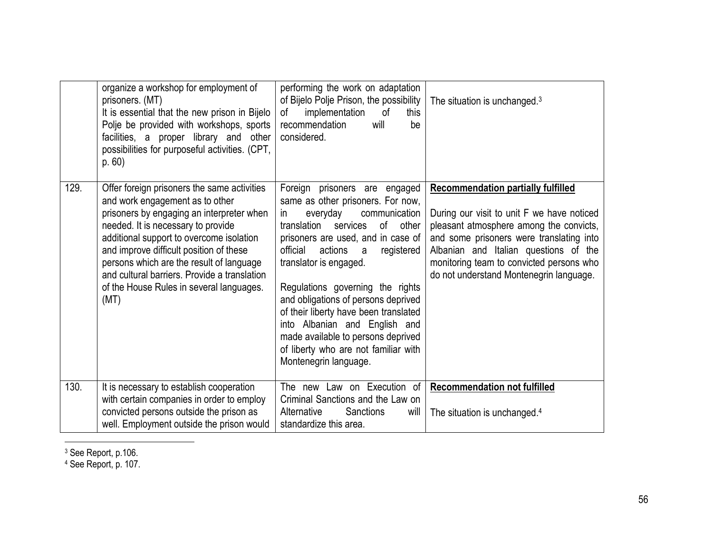|      | organize a workshop for employment of<br>prisoners. (MT)<br>It is essential that the new prison in Bijelo<br>Polje be provided with workshops, sports<br>facilities, a proper library and other<br>possibilities for purposeful activities. (CPT,<br>p.60)                                                                                                                                               | performing the work on adaptation<br>of Bijelo Polje Prison, the possibility<br>implementation<br>of<br>this<br>of<br>recommendation<br>will<br>be<br>considered.                                                                                                                                                                                                                                                                                                                                                                   | The situation is unchanged. <sup>3</sup>                                                                                                                                                                                                                                                                       |
|------|----------------------------------------------------------------------------------------------------------------------------------------------------------------------------------------------------------------------------------------------------------------------------------------------------------------------------------------------------------------------------------------------------------|-------------------------------------------------------------------------------------------------------------------------------------------------------------------------------------------------------------------------------------------------------------------------------------------------------------------------------------------------------------------------------------------------------------------------------------------------------------------------------------------------------------------------------------|----------------------------------------------------------------------------------------------------------------------------------------------------------------------------------------------------------------------------------------------------------------------------------------------------------------|
| 129. | Offer foreign prisoners the same activities<br>and work engagement as to other<br>prisoners by engaging an interpreter when<br>needed. It is necessary to provide<br>additional support to overcome isolation<br>and improve difficult position of these<br>persons which are the result of language<br>and cultural barriers. Provide a translation<br>of the House Rules in several languages.<br>(MT) | Foreign prisoners are engaged<br>same as other prisoners. For now,<br>communication<br>everyday<br><i>in</i><br>translation<br>services<br>$\circ$ f<br>other<br>prisoners are used, and in case of<br>actions<br>official<br>registered<br>a<br>translator is engaged.<br>Regulations governing the rights<br>and obligations of persons deprived<br>of their liberty have been translated<br>into Albanian and English and<br>made available to persons deprived<br>of liberty who are not familiar with<br>Montenegrin language. | <b>Recommendation partially fulfilled</b><br>During our visit to unit F we have noticed<br>pleasant atmosphere among the convicts,<br>and some prisoners were translating into<br>Albanian and Italian questions of the<br>monitoring team to convicted persons who<br>do not understand Montenegrin language. |
| 130. | It is necessary to establish cooperation<br>with certain companies in order to employ<br>convicted persons outside the prison as                                                                                                                                                                                                                                                                         | The new Law on Execution of<br>Criminal Sanctions and the Law on<br>Alternative<br>Sanctions<br>will                                                                                                                                                                                                                                                                                                                                                                                                                                | <b>Recommendation not fulfilled</b><br>The situation is unchanged. <sup>4</sup>                                                                                                                                                                                                                                |
|      | well. Employment outside the prison would                                                                                                                                                                                                                                                                                                                                                                | standardize this area.                                                                                                                                                                                                                                                                                                                                                                                                                                                                                                              |                                                                                                                                                                                                                                                                                                                |

<sup>3</sup> See Report, p.106.

 $\overline{a}$ 

<sup>4</sup> See Report, p. 107.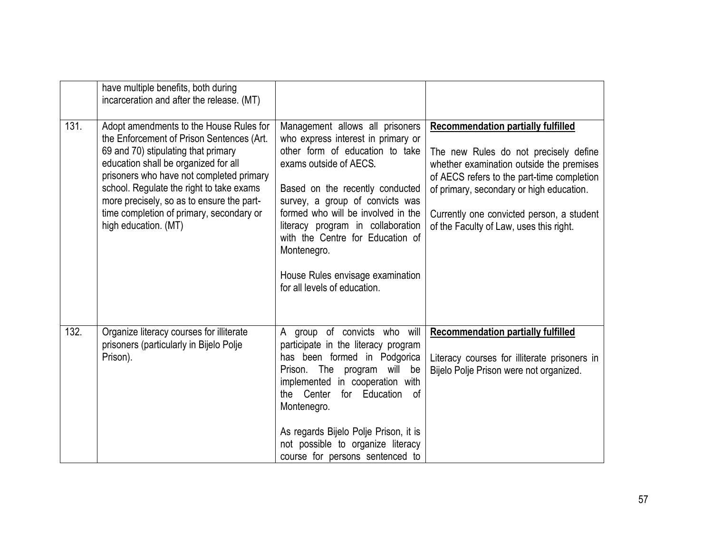|      | have multiple benefits, both during<br>incarceration and after the release. (MT)                                                                                                                                                                                                                                                                                             |                                                                                                                                                                                                                                                                                                                                                                                                            |                                                                                                                                                                                                                                                                                                                  |
|------|------------------------------------------------------------------------------------------------------------------------------------------------------------------------------------------------------------------------------------------------------------------------------------------------------------------------------------------------------------------------------|------------------------------------------------------------------------------------------------------------------------------------------------------------------------------------------------------------------------------------------------------------------------------------------------------------------------------------------------------------------------------------------------------------|------------------------------------------------------------------------------------------------------------------------------------------------------------------------------------------------------------------------------------------------------------------------------------------------------------------|
| 131. | Adopt amendments to the House Rules for<br>the Enforcement of Prison Sentences (Art.<br>69 and 70) stipulating that primary<br>education shall be organized for all<br>prisoners who have not completed primary<br>school. Regulate the right to take exams<br>more precisely, so as to ensure the part-<br>time completion of primary, secondary or<br>high education. (MT) | Management allows all prisoners<br>who express interest in primary or<br>other form of education to take<br>exams outside of AECS.<br>Based on the recently conducted<br>survey, a group of convicts was<br>formed who will be involved in the<br>literacy program in collaboration<br>with the Centre for Education of<br>Montenegro.<br>House Rules envisage examination<br>for all levels of education. | <b>Recommendation partially fulfilled</b><br>The new Rules do not precisely define<br>whether examination outside the premises<br>of AECS refers to the part-time completion<br>of primary, secondary or high education.<br>Currently one convicted person, a student<br>of the Faculty of Law, uses this right. |
| 132. | Organize literacy courses for illiterate<br>prisoners (particularly in Bijelo Polje<br>Prison).                                                                                                                                                                                                                                                                              | A group of convicts who will<br>participate in the literacy program<br>has been formed in Podgorica<br>Prison. The program will be<br>implemented in cooperation with<br>the Center<br>for Education of<br>Montenegro.<br>As regards Bijelo Polje Prison, it is<br>not possible to organize literacy<br>course for persons sentenced to                                                                    | <b>Recommendation partially fulfilled</b><br>Literacy courses for illiterate prisoners in<br>Bijelo Polje Prison were not organized.                                                                                                                                                                             |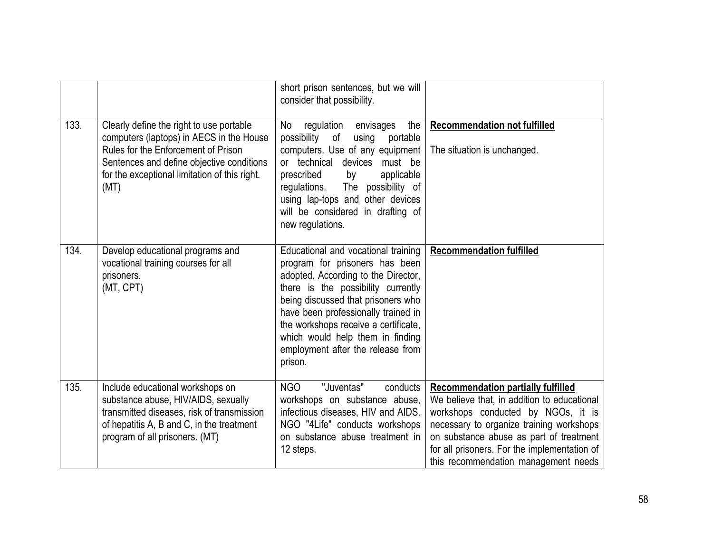|      |                                                                                                                                                                                                                                   | short prison sentences, but we will<br>consider that possibility.                                                                                                                                                                                                                                                                                           |                                                                                                                                                                                                                                                                                                               |
|------|-----------------------------------------------------------------------------------------------------------------------------------------------------------------------------------------------------------------------------------|-------------------------------------------------------------------------------------------------------------------------------------------------------------------------------------------------------------------------------------------------------------------------------------------------------------------------------------------------------------|---------------------------------------------------------------------------------------------------------------------------------------------------------------------------------------------------------------------------------------------------------------------------------------------------------------|
| 133. | Clearly define the right to use portable<br>computers (laptops) in AECS in the House<br>Rules for the Enforcement of Prison<br>Sentences and define objective conditions<br>for the exceptional limitation of this right.<br>(MT) | the<br>No<br>regulation<br>envisages<br>possibility<br>using<br>of<br>portable<br>computers. Use of any equipment<br>or technical<br>devices<br>must be<br>prescribed<br>applicable<br>by<br>regulations. The possibility of<br>using lap-tops and other devices<br>will be considered in drafting of<br>new regulations.                                   | <b>Recommendation not fulfilled</b><br>The situation is unchanged.                                                                                                                                                                                                                                            |
| 134. | Develop educational programs and<br>vocational training courses for all<br>prisoners.<br>(MT, CPT)                                                                                                                                | Educational and vocational training<br>program for prisoners has been<br>adopted. According to the Director,<br>there is the possibility currently<br>being discussed that prisoners who<br>have been professionally trained in<br>the workshops receive a certificate,<br>which would help them in finding<br>employment after the release from<br>prison. | <b>Recommendation fulfilled</b>                                                                                                                                                                                                                                                                               |
| 135. | Include educational workshops on<br>substance abuse, HIV/AIDS, sexually<br>transmitted diseases, risk of transmission<br>of hepatitis A, B and C, in the treatment<br>program of all prisoners. (MT)                              | <b>NGO</b><br>"Juventas"<br>conducts<br>workshops on substance abuse,<br>infectious diseases, HIV and AIDS.<br>NGO "4Life" conducts workshops<br>on substance abuse treatment in<br>12 steps.                                                                                                                                                               | <b>Recommendation partially fulfilled</b><br>We believe that, in addition to educational<br>workshops conducted by NGOs, it is<br>necessary to organize training workshops<br>on substance abuse as part of treatment<br>for all prisoners. For the implementation of<br>this recommendation management needs |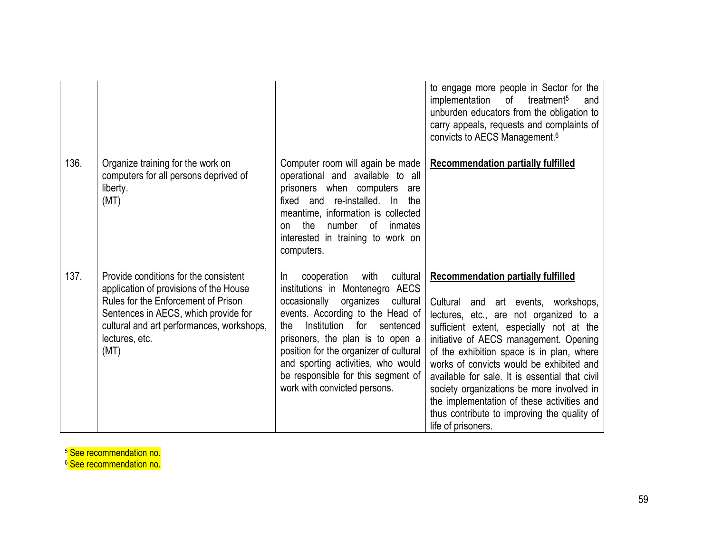|      |                                                                                                                                                                                                                                       |                                                                                                                                                                                                                                                                                                                                                                                        | to engage more people in Sector for the<br>implementation<br>of<br>treatment <sup>5</sup><br>and<br>unburden educators from the obligation to<br>carry appeals, requests and complaints of<br>convicts to AECS Management. <sup>6</sup>                                                                                                                                                                                                                                                                                     |
|------|---------------------------------------------------------------------------------------------------------------------------------------------------------------------------------------------------------------------------------------|----------------------------------------------------------------------------------------------------------------------------------------------------------------------------------------------------------------------------------------------------------------------------------------------------------------------------------------------------------------------------------------|-----------------------------------------------------------------------------------------------------------------------------------------------------------------------------------------------------------------------------------------------------------------------------------------------------------------------------------------------------------------------------------------------------------------------------------------------------------------------------------------------------------------------------|
| 136. | Organize training for the work on<br>computers for all persons deprived of<br>liberty.<br>(MT)                                                                                                                                        | Computer room will again be made<br>operational and available to all<br>prisoners when computers<br>are<br>fixed and re-installed. In<br>the<br>meantime, information is collected<br>the<br>number<br>0f<br>inmates<br><b>on</b><br>interested in training to work on<br>computers.                                                                                                   | <b>Recommendation partially fulfilled</b>                                                                                                                                                                                                                                                                                                                                                                                                                                                                                   |
| 137. | Provide conditions for the consistent<br>application of provisions of the House<br>Rules for the Enforcement of Prison<br>Sentences in AECS, which provide for<br>cultural and art performances, workshops,<br>lectures, etc.<br>(MT) | cultural<br>with<br>cooperation<br>In<br>institutions in Montenegro AECS<br>occasionally<br>organizes cultural<br>events. According to the Head of<br>Institution<br>for<br>sentenced<br>the<br>prisoners, the plan is to open a<br>position for the organizer of cultural<br>and sporting activities, who would<br>be responsible for this segment of<br>work with convicted persons. | <b>Recommendation partially fulfilled</b><br>Cultural and art events, workshops,<br>lectures, etc., are not organized to a<br>sufficient extent, especially not at the<br>initiative of AECS management. Opening<br>of the exhibition space is in plan, where<br>works of convicts would be exhibited and<br>available for sale. It is essential that civil<br>society organizations be more involved in<br>the implementation of these activities and<br>thus contribute to improving the quality of<br>life of prisoners. |

 $\overline{a}$ <sup>5</sup> See recommendation no.

<sup>6</sup> See recommendation no.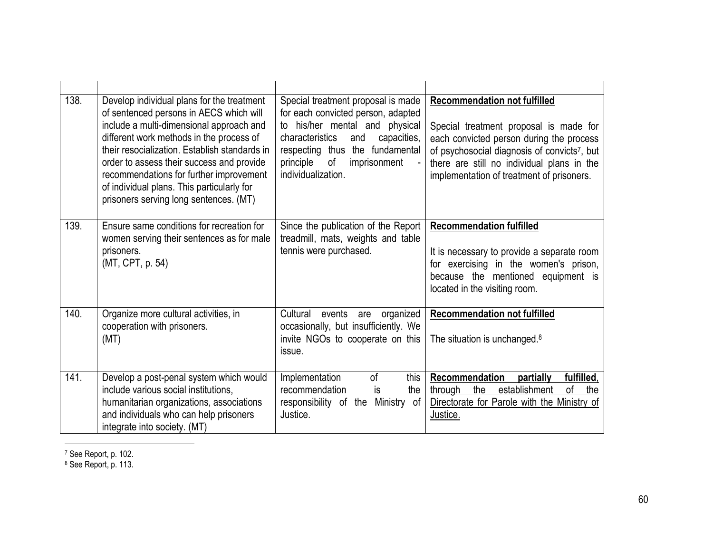| 138. | Develop individual plans for the treatment<br>of sentenced persons in AECS which will<br>include a multi-dimensional approach and<br>different work methods in the process of<br>their resocialization. Establish standards in<br>order to assess their success and provide<br>recommendations for further improvement<br>of individual plans. This particularly for<br>prisoners serving long sentences. (MT) | Special treatment proposal is made<br>for each convicted person, adapted<br>to his/her mental and physical<br>characteristics<br>capacities,<br>and<br>respecting thus the fundamental<br>principle<br>of<br>imprisonment<br>individualization. | <b>Recommendation not fulfilled</b><br>Special treatment proposal is made for<br>each convicted person during the process<br>of psychosocial diagnosis of convicts <sup>7</sup> , but<br>there are still no individual plans in the<br>implementation of treatment of prisoners. |
|------|----------------------------------------------------------------------------------------------------------------------------------------------------------------------------------------------------------------------------------------------------------------------------------------------------------------------------------------------------------------------------------------------------------------|-------------------------------------------------------------------------------------------------------------------------------------------------------------------------------------------------------------------------------------------------|----------------------------------------------------------------------------------------------------------------------------------------------------------------------------------------------------------------------------------------------------------------------------------|
| 139. | Ensure same conditions for recreation for<br>women serving their sentences as for male<br>prisoners.<br>(MT, CPT, p. 54)                                                                                                                                                                                                                                                                                       | Since the publication of the Report<br>treadmill, mats, weights and table<br>tennis were purchased.                                                                                                                                             | <b>Recommendation fulfilled</b><br>It is necessary to provide a separate room<br>for exercising in the women's prison,<br>because the mentioned equipment is<br>located in the visiting room.                                                                                    |
| 140. | Organize more cultural activities, in<br>cooperation with prisoners.<br>(MT)                                                                                                                                                                                                                                                                                                                                   | organized<br>Cultural<br>events<br>are<br>occasionally, but insufficiently. We<br>invite NGOs to cooperate on this<br>issue.                                                                                                                    | <b>Recommendation not fulfilled</b><br>The situation is unchanged. <sup>8</sup>                                                                                                                                                                                                  |
| 141. | Develop a post-penal system which would<br>include various social institutions,<br>humanitarian organizations, associations<br>and individuals who can help prisoners<br>integrate into society. (MT)                                                                                                                                                                                                          | Implementation<br><sub>of</sub><br>this<br>recommendation<br>is<br>the<br>responsibility of the<br>Ministry of<br>Justice.                                                                                                                      | Recommendation<br>partially<br>fulfilled,<br>establishment<br>οf<br>the<br>the<br>through<br>Directorate for Parole with the Ministry of<br>Justice.                                                                                                                             |

<sup>7</sup> See Report, p. 102.

 $\overline{a}$ 

<sup>8</sup> See Report, p. 113.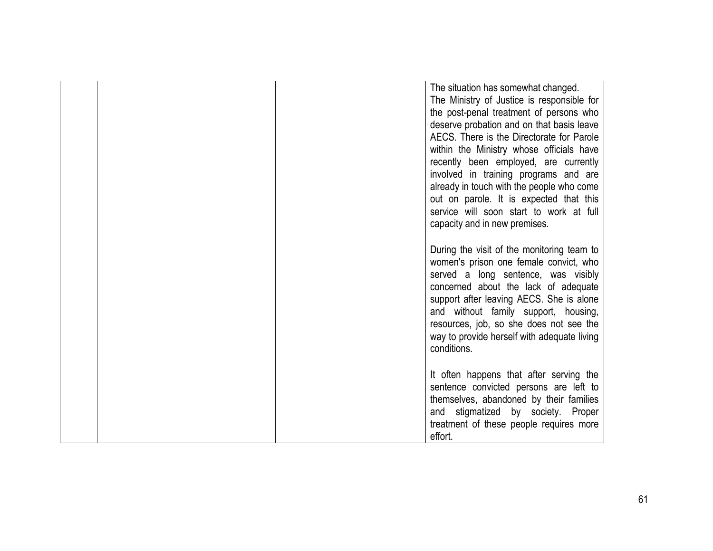|  | The situation has somewhat changed.<br>The Ministry of Justice is responsible for<br>the post-penal treatment of persons who<br>deserve probation and on that basis leave<br>AECS. There is the Directorate for Parole<br>within the Ministry whose officials have<br>recently been employed, are currently<br>involved in training programs and are<br>already in touch with the people who come<br>out on parole. It is expected that this |
|--|----------------------------------------------------------------------------------------------------------------------------------------------------------------------------------------------------------------------------------------------------------------------------------------------------------------------------------------------------------------------------------------------------------------------------------------------|
|  | service will soon start to work at full<br>capacity and in new premises.                                                                                                                                                                                                                                                                                                                                                                     |
|  | During the visit of the monitoring team to<br>women's prison one female convict, who<br>served a long sentence, was visibly<br>concerned about the lack of adequate<br>support after leaving AECS. She is alone<br>and without family support, housing,<br>resources, job, so she does not see the<br>way to provide herself with adequate living<br>conditions.                                                                             |
|  | It often happens that after serving the<br>sentence convicted persons are left to<br>themselves, abandoned by their families<br>and stigmatized by society. Proper<br>treatment of these people requires more<br>effort.                                                                                                                                                                                                                     |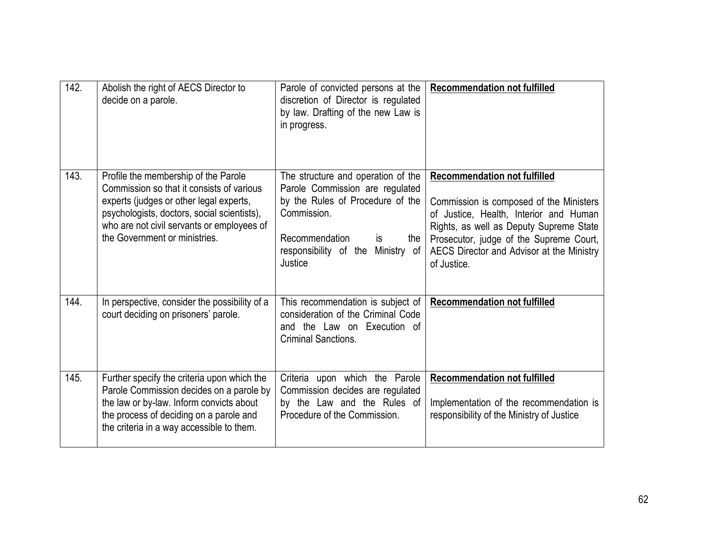| 142. | Abolish the right of AECS Director to<br>decide on a parole.                                                                                                                                                                                               | Parole of convicted persons at the<br>discretion of Director is regulated<br>by law. Drafting of the new Law is<br>in progress.                                                                         | <b>Recommendation not fulfilled</b>                                                                                                                                                                                                                                        |
|------|------------------------------------------------------------------------------------------------------------------------------------------------------------------------------------------------------------------------------------------------------------|---------------------------------------------------------------------------------------------------------------------------------------------------------------------------------------------------------|----------------------------------------------------------------------------------------------------------------------------------------------------------------------------------------------------------------------------------------------------------------------------|
| 143. | Profile the membership of the Parole<br>Commission so that it consists of various<br>experts (judges or other legal experts,<br>psychologists, doctors, social scientists),<br>who are not civil servants or employees of<br>the Government or ministries. | The structure and operation of the<br>Parole Commission are regulated<br>by the Rules of Procedure of the<br>Commission.<br>Recommendation<br>the<br>is<br>responsibility of the Ministry of<br>Justice | <b>Recommendation not fulfilled</b><br>Commission is composed of the Ministers<br>of Justice, Health, Interior and Human<br>Rights, as well as Deputy Supreme State<br>Prosecutor, judge of the Supreme Court,<br>AECS Director and Advisor at the Ministry<br>of Justice. |
| 144. | In perspective, consider the possibility of a<br>court deciding on prisoners' parole.                                                                                                                                                                      | This recommendation is subject of<br>consideration of the Criminal Code<br>and the Law on Execution of<br><b>Criminal Sanctions.</b>                                                                    | <b>Recommendation not fulfilled</b>                                                                                                                                                                                                                                        |
| 145. | Further specify the criteria upon which the<br>Parole Commission decides on a parole by<br>the law or by-law. Inform convicts about<br>the process of deciding on a parole and<br>the criteria in a way accessible to them.                                | Criteria upon which the Parole<br>Commission decides are regulated<br>by the Law and the Rules of<br>Procedure of the Commission.                                                                       | <b>Recommendation not fulfilled</b><br>Implementation of the recommendation is<br>responsibility of the Ministry of Justice                                                                                                                                                |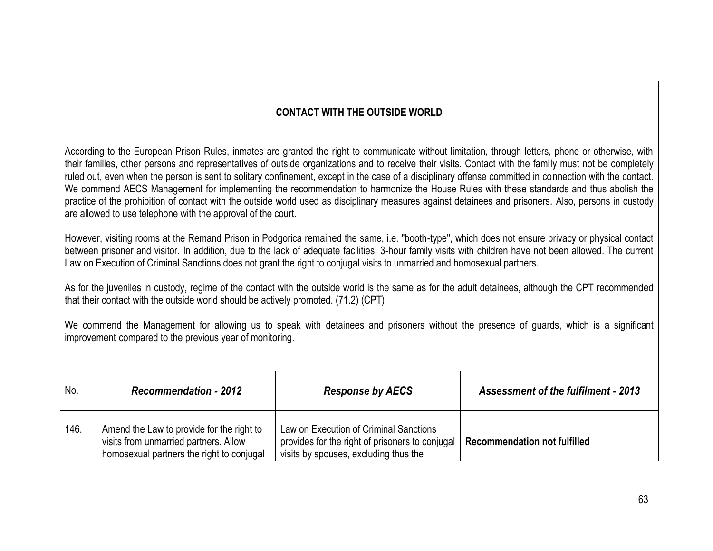## **CONTACT WITH THE OUTSIDE WORLD**

According to the European Prison Rules, inmates are granted the right to communicate without limitation, through letters, phone or otherwise, with their families, other persons and representatives of outside organizations and to receive their visits. Contact with the family must not be completely ruled out, even when the person is sent to solitary confinement, except in the case of a disciplinary offense committed in connection with the contact. We commend AECS Management for implementing the recommendation to harmonize the House Rules with these standards and thus abolish the practice of the prohibition of contact with the outside world used as disciplinary measures against detainees and prisoners. Also, persons in custody are allowed to use telephone with the approval of the court.

However, visiting rooms at the Remand Prison in Podgorica remained the same, i.e. "booth-type", which does not ensure privacy or physical contact between prisoner and visitor. In addition, due to the lack of adequate facilities, 3-hour family visits with children have not been allowed. The current Law on Execution of Criminal Sanctions does not grant the right to conjugal visits to unmarried and homosexual partners.

As for the juveniles in custody, regime of the contact with the outside world is the same as for the adult detainees, although the CPT recommended that their contact with the outside world should be actively promoted. (71.2) (CPT)

We commend the Management for allowing us to speak with detainees and prisoners without the presence of guards, which is a significant improvement compared to the previous year of monitoring.

| No.  | <b>Recommendation - 2012</b>                                                                                                    | <b>Response by AECS</b>                                                                                                            | <b>Assessment of the fulfilment - 2013</b> |
|------|---------------------------------------------------------------------------------------------------------------------------------|------------------------------------------------------------------------------------------------------------------------------------|--------------------------------------------|
| 146. | Amend the Law to provide for the right to<br>visits from unmarried partners. Allow<br>homosexual partners the right to conjugal | Law on Execution of Criminal Sanctions<br>provides for the right of prisoners to conjugal<br>visits by spouses, excluding thus the | <b>Recommendation not fulfilled</b>        |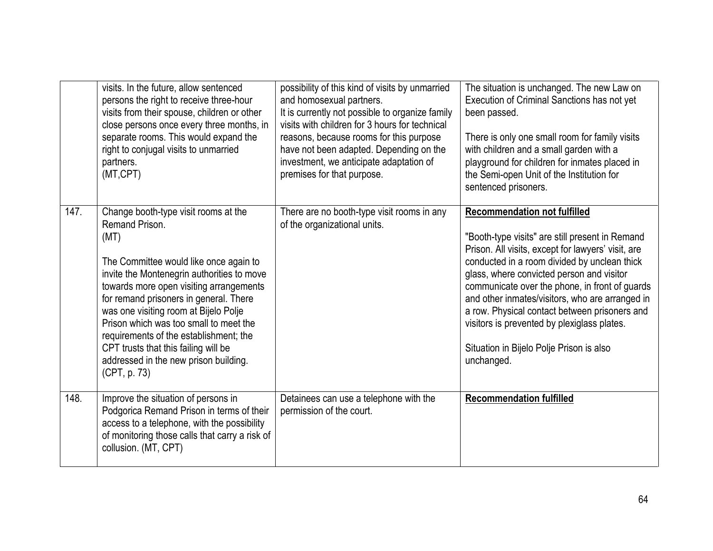|      | visits. In the future, allow sentenced<br>persons the right to receive three-hour<br>visits from their spouse, children or other<br>close persons once every three months, in<br>separate rooms. This would expand the<br>right to conjugal visits to unmarried<br>partners.<br>(MT,CPT)                                                                                                                                                                                  | possibility of this kind of visits by unmarried<br>and homosexual partners.<br>It is currently not possible to organize family<br>visits with children for 3 hours for technical<br>reasons, because rooms for this purpose<br>have not been adapted. Depending on the<br>investment, we anticipate adaptation of<br>premises for that purpose. | The situation is unchanged. The new Law on<br>Execution of Criminal Sanctions has not yet<br>been passed.<br>There is only one small room for family visits<br>with children and a small garden with a<br>playground for children for inmates placed in<br>the Semi-open Unit of the Institution for<br>sentenced prisoners.                                                                                                                                                                             |
|------|---------------------------------------------------------------------------------------------------------------------------------------------------------------------------------------------------------------------------------------------------------------------------------------------------------------------------------------------------------------------------------------------------------------------------------------------------------------------------|-------------------------------------------------------------------------------------------------------------------------------------------------------------------------------------------------------------------------------------------------------------------------------------------------------------------------------------------------|----------------------------------------------------------------------------------------------------------------------------------------------------------------------------------------------------------------------------------------------------------------------------------------------------------------------------------------------------------------------------------------------------------------------------------------------------------------------------------------------------------|
| 147. | Change booth-type visit rooms at the<br>Remand Prison.<br>(MT)<br>The Committee would like once again to<br>invite the Montenegrin authorities to move<br>towards more open visiting arrangements<br>for remand prisoners in general. There<br>was one visiting room at Bijelo Polje<br>Prison which was too small to meet the<br>requirements of the establishment; the<br>CPT trusts that this failing will be<br>addressed in the new prison building.<br>(CPT, p. 73) | There are no booth-type visit rooms in any<br>of the organizational units.                                                                                                                                                                                                                                                                      | <b>Recommendation not fulfilled</b><br>"Booth-type visits" are still present in Remand<br>Prison. All visits, except for lawyers' visit, are<br>conducted in a room divided by unclean thick<br>glass, where convicted person and visitor<br>communicate over the phone, in front of guards<br>and other inmates/visitors, who are arranged in<br>a row. Physical contact between prisoners and<br>visitors is prevented by plexiglass plates.<br>Situation in Bijelo Polje Prison is also<br>unchanged. |
| 148. | Improve the situation of persons in<br>Podgorica Remand Prison in terms of their<br>access to a telephone, with the possibility<br>of monitoring those calls that carry a risk of<br>collusion. (MT, CPT)                                                                                                                                                                                                                                                                 | Detainees can use a telephone with the<br>permission of the court.                                                                                                                                                                                                                                                                              | <b>Recommendation fulfilled</b>                                                                                                                                                                                                                                                                                                                                                                                                                                                                          |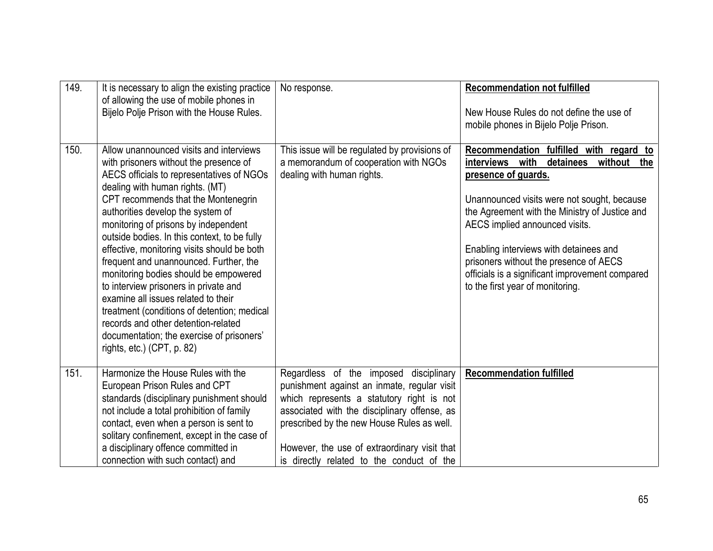| 149. | It is necessary to align the existing practice<br>of allowing the use of mobile phones in<br>Bijelo Polje Prison with the House Rules.                                                                                                                                                                                                                                                                                                                                                                                                                                                                                                                                                                                   | No response.                                                                                                                                                                                                                                                                                                                  | <b>Recommendation not fulfilled</b><br>New House Rules do not define the use of<br>mobile phones in Bijelo Polje Prison.                                                                                                                                                                                                                                                                                                       |
|------|--------------------------------------------------------------------------------------------------------------------------------------------------------------------------------------------------------------------------------------------------------------------------------------------------------------------------------------------------------------------------------------------------------------------------------------------------------------------------------------------------------------------------------------------------------------------------------------------------------------------------------------------------------------------------------------------------------------------------|-------------------------------------------------------------------------------------------------------------------------------------------------------------------------------------------------------------------------------------------------------------------------------------------------------------------------------|--------------------------------------------------------------------------------------------------------------------------------------------------------------------------------------------------------------------------------------------------------------------------------------------------------------------------------------------------------------------------------------------------------------------------------|
| 150. | Allow unannounced visits and interviews<br>with prisoners without the presence of<br>AECS officials to representatives of NGOs<br>dealing with human rights. (MT)<br>CPT recommends that the Montenegrin<br>authorities develop the system of<br>monitoring of prisons by independent<br>outside bodies. In this context, to be fully<br>effective, monitoring visits should be both<br>frequent and unannounced. Further, the<br>monitoring bodies should be empowered<br>to interview prisoners in private and<br>examine all issues related to their<br>treatment (conditions of detention; medical<br>records and other detention-related<br>documentation; the exercise of prisoners'<br>rights, etc.) (CPT, p. 82) | This issue will be regulated by provisions of<br>a memorandum of cooperation with NGOs<br>dealing with human rights.                                                                                                                                                                                                          | Recommendation fulfilled with regard to<br>with<br>detainees<br>without the<br>interviews<br>presence of guards.<br>Unannounced visits were not sought, because<br>the Agreement with the Ministry of Justice and<br>AECS implied announced visits.<br>Enabling interviews with detainees and<br>prisoners without the presence of AECS<br>officials is a significant improvement compared<br>to the first year of monitoring. |
| 151. | Harmonize the House Rules with the<br>European Prison Rules and CPT<br>standards (disciplinary punishment should<br>not include a total prohibition of family<br>contact, even when a person is sent to<br>solitary confinement, except in the case of<br>a disciplinary offence committed in<br>connection with such contact) and                                                                                                                                                                                                                                                                                                                                                                                       | Regardless of the imposed disciplinary<br>punishment against an inmate, regular visit<br>which represents a statutory right is not<br>associated with the disciplinary offense, as<br>prescribed by the new House Rules as well.<br>However, the use of extraordinary visit that<br>is directly related to the conduct of the | <b>Recommendation fulfilled</b>                                                                                                                                                                                                                                                                                                                                                                                                |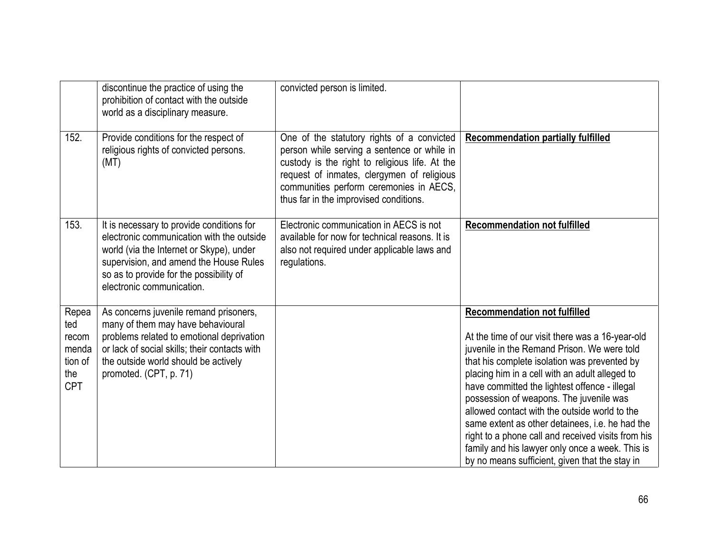|                                                                | discontinue the practice of using the<br>prohibition of contact with the outside<br>world as a disciplinary measure.                                                                                                                                 | convicted person is limited.                                                                                                                                                                                                                                                   |                                                                                                                                                                                                                                                                                                                                                                                                                                                                                                                                                                                                     |
|----------------------------------------------------------------|------------------------------------------------------------------------------------------------------------------------------------------------------------------------------------------------------------------------------------------------------|--------------------------------------------------------------------------------------------------------------------------------------------------------------------------------------------------------------------------------------------------------------------------------|-----------------------------------------------------------------------------------------------------------------------------------------------------------------------------------------------------------------------------------------------------------------------------------------------------------------------------------------------------------------------------------------------------------------------------------------------------------------------------------------------------------------------------------------------------------------------------------------------------|
| 152.                                                           | Provide conditions for the respect of<br>religious rights of convicted persons.<br>(MT)                                                                                                                                                              | One of the statutory rights of a convicted<br>person while serving a sentence or while in<br>custody is the right to religious life. At the<br>request of inmates, clergymen of religious<br>communities perform ceremonies in AECS,<br>thus far in the improvised conditions. | <b>Recommendation partially fulfilled</b>                                                                                                                                                                                                                                                                                                                                                                                                                                                                                                                                                           |
| 153.                                                           | It is necessary to provide conditions for<br>electronic communication with the outside<br>world (via the Internet or Skype), under<br>supervision, and amend the House Rules<br>so as to provide for the possibility of<br>electronic communication. | Electronic communication in AECS is not<br>available for now for technical reasons. It is<br>also not required under applicable laws and<br>regulations.                                                                                                                       | <b>Recommendation not fulfilled</b>                                                                                                                                                                                                                                                                                                                                                                                                                                                                                                                                                                 |
| Repea<br>ted<br>recom<br>menda<br>tion of<br>the<br><b>CPT</b> | As concerns juvenile remand prisoners,<br>many of them may have behavioural<br>problems related to emotional deprivation<br>or lack of social skills; their contacts with<br>the outside world should be actively<br>promoted. (CPT, p. 71)          |                                                                                                                                                                                                                                                                                | <b>Recommendation not fulfilled</b><br>At the time of our visit there was a 16-year-old<br>juvenile in the Remand Prison. We were told<br>that his complete isolation was prevented by<br>placing him in a cell with an adult alleged to<br>have committed the lightest offence - illegal<br>possession of weapons. The juvenile was<br>allowed contact with the outside world to the<br>same extent as other detainees, i.e. he had the<br>right to a phone call and received visits from his<br>family and his lawyer only once a week. This is<br>by no means sufficient, given that the stay in |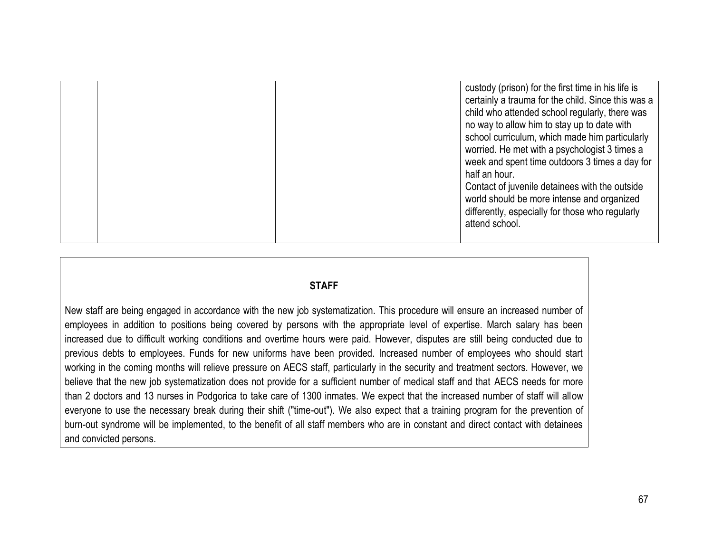|  | custody (prison) for the first time in his life is<br>certainly a trauma for the child. Since this was a<br>child who attended school regularly, there was<br>no way to allow him to stay up to date with<br>school curriculum, which made him particularly<br>worried. He met with a psychologist 3 times a<br>week and spent time outdoors 3 times a day for<br>half an hour.<br>Contact of juvenile detainees with the outside |
|--|-----------------------------------------------------------------------------------------------------------------------------------------------------------------------------------------------------------------------------------------------------------------------------------------------------------------------------------------------------------------------------------------------------------------------------------|
|  | world should be more intense and organized<br>differently, especially for those who regularly<br>attend school.                                                                                                                                                                                                                                                                                                                   |
|  |                                                                                                                                                                                                                                                                                                                                                                                                                                   |

#### **STAFF**

New staff are being engaged in accordance with the new job systematization. This procedure will ensure an increased number of employees in addition to positions being covered by persons with the appropriate level of expertise. March salary has been increased due to difficult working conditions and overtime hours were paid. However, disputes are still being conducted due to previous debts to employees. Funds for new uniforms have been provided. Increased number of employees who should start working in the coming months will relieve pressure on AECS staff, particularly in the security and treatment sectors. However, we believe that the new job systematization does not provide for a sufficient number of medical staff and that AECS needs for more than 2 doctors and 13 nurses in Podgorica to take care of 1300 inmates. We expect that the increased number of staff will allow everyone to use the necessary break during their shift ("time-out"). We also expect that a training program for the prevention of burn-out syndrome will be implemented, to the benefit of all staff members who are in constant and direct contact with detainees and convicted persons.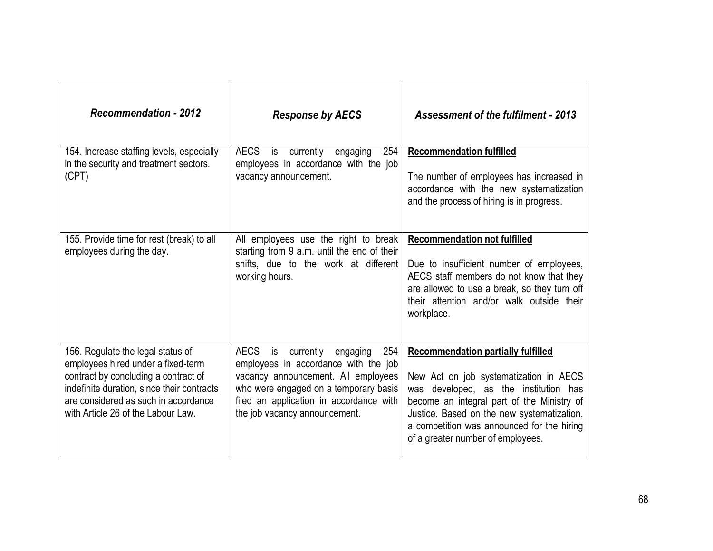| <b>Recommendation - 2012</b>                                                                                                                                                                                                                | <b>Response by AECS</b>                                                                                                                                                                                                               | <b>Assessment of the fulfilment - 2013</b>                                                                                                                                                                                                                                                                     |
|---------------------------------------------------------------------------------------------------------------------------------------------------------------------------------------------------------------------------------------------|---------------------------------------------------------------------------------------------------------------------------------------------------------------------------------------------------------------------------------------|----------------------------------------------------------------------------------------------------------------------------------------------------------------------------------------------------------------------------------------------------------------------------------------------------------------|
| 154. Increase staffing levels, especially<br>in the security and treatment sectors.<br>(CPT)                                                                                                                                                | AECS is<br>currently<br>254<br>engaging<br>employees in accordance with the job<br>vacancy announcement.                                                                                                                              | <b>Recommendation fulfilled</b><br>The number of employees has increased in<br>accordance with the new systematization<br>and the process of hiring is in progress.                                                                                                                                            |
| 155. Provide time for rest (break) to all<br>employees during the day.                                                                                                                                                                      | All employees use the right to break<br>starting from 9 a.m. until the end of their<br>shifts, due to the work at different<br>working hours.                                                                                         | <b>Recommendation not fulfilled</b><br>Due to insufficient number of employees,<br>AECS staff members do not know that they<br>are allowed to use a break, so they turn off<br>their attention and/or walk outside their<br>workplace.                                                                         |
| 156. Regulate the legal status of<br>employees hired under a fixed-term<br>contract by concluding a contract of<br>indefinite duration, since their contracts<br>are considered as such in accordance<br>with Article 26 of the Labour Law. | AECS is currently engaging<br>254<br>employees in accordance with the job<br>vacancy announcement. All employees<br>who were engaged on a temporary basis<br>filed an application in accordance with<br>the job vacancy announcement. | <b>Recommendation partially fulfilled</b><br>New Act on job systematization in AECS<br>developed, as the institution has<br>was<br>become an integral part of the Ministry of<br>Justice. Based on the new systematization,<br>a competition was announced for the hiring<br>of a greater number of employees. |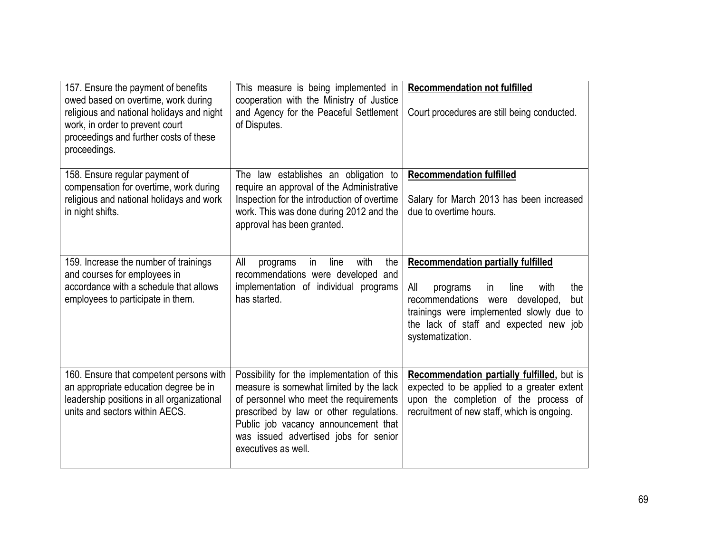| 157. Ensure the payment of benefits<br>owed based on overtime, work during<br>religious and national holidays and night<br>work, in order to prevent court<br>proceedings and further costs of these<br>proceedings. | This measure is being implemented in<br>cooperation with the Ministry of Justice<br>and Agency for the Peaceful Settlement<br>of Disputes.                                                                                                                                         | <b>Recommendation not fulfilled</b><br>Court procedures are still being conducted.                                                                                                                                                               |
|----------------------------------------------------------------------------------------------------------------------------------------------------------------------------------------------------------------------|------------------------------------------------------------------------------------------------------------------------------------------------------------------------------------------------------------------------------------------------------------------------------------|--------------------------------------------------------------------------------------------------------------------------------------------------------------------------------------------------------------------------------------------------|
| 158. Ensure regular payment of<br>compensation for overtime, work during<br>religious and national holidays and work<br>in night shifts.                                                                             | The law establishes an obligation to<br>require an approval of the Administrative<br>Inspection for the introduction of overtime<br>work. This was done during 2012 and the<br>approval has been granted.                                                                          | <b>Recommendation fulfilled</b><br>Salary for March 2013 has been increased<br>due to overtime hours.                                                                                                                                            |
| 159. Increase the number of trainings<br>and courses for employees in<br>accordance with a schedule that allows<br>employees to participate in them.                                                                 | All<br>with<br>the<br>line<br>in<br>programs<br>recommendations were developed and<br>implementation of individual programs<br>has started.                                                                                                                                        | <b>Recommendation partially fulfilled</b><br>All<br>with<br>the<br>programs<br>in<br>line<br>recommendations were<br>developed,<br>but<br>trainings were implemented slowly due to<br>the lack of staff and expected new job<br>systematization. |
| 160. Ensure that competent persons with<br>an appropriate education degree be in<br>leadership positions in all organizational<br>units and sectors within AECS.                                                     | Possibility for the implementation of this<br>measure is somewhat limited by the lack<br>of personnel who meet the requirements<br>prescribed by law or other regulations.<br>Public job vacancy announcement that<br>was issued advertised jobs for senior<br>executives as well. | Recommendation partially fulfilled, but is<br>expected to be applied to a greater extent<br>upon the completion of the process of<br>recruitment of new staff, which is ongoing.                                                                 |